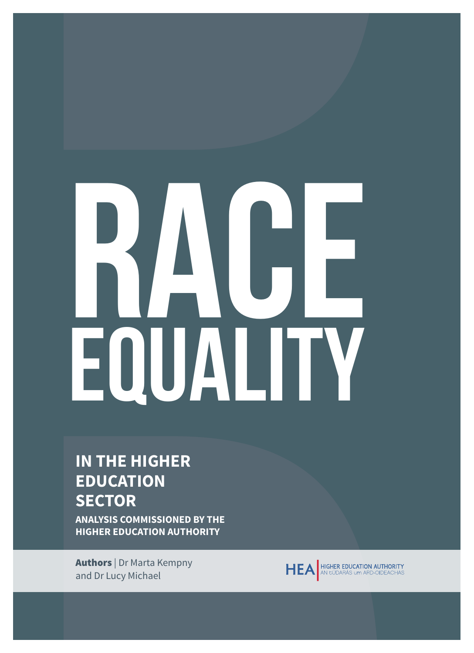# RAGE EQUALITY

# **IN THE HIGHER EDUCATION SECTOR**

**ANALYSIS COMMISSIONED BY THE HIGHER EDUCATION AUTHORITY**

Authors | Dr Marta Kempny and Dr Lucy Michael

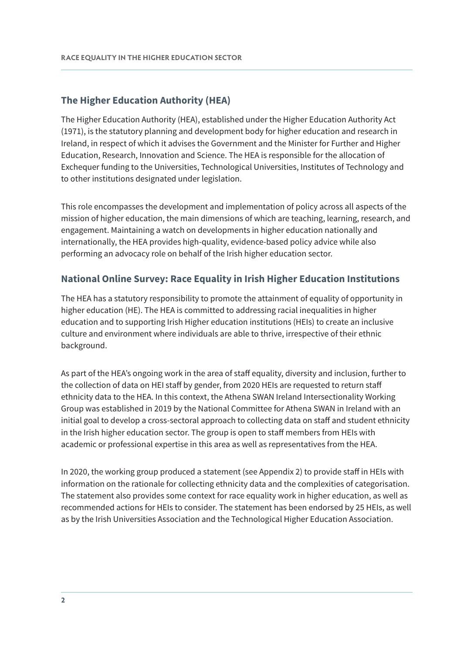#### **The Higher Education Authority (HEA)**

The Higher Education Authority (HEA), established under the Higher Education Authority Act (1971), is the statutory planning and development body for higher education and research in Ireland, in respect of which it advises the Government and the Minister for Further and Higher Education, Research, Innovation and Science. The HEA is responsible for the allocation of Exchequer funding to the Universities, Technological Universities, Institutes of Technology and to other institutions designated under legislation.

This role encompasses the development and implementation of policy across all aspects of the mission of higher education, the main dimensions of which are teaching, learning, research, and engagement. Maintaining a watch on developments in higher education nationally and internationally, the HEA provides high-quality, evidence-based policy advice while also performing an advocacy role on behalf of the Irish higher education sector.

#### **National Online Survey: Race Equality in Irish Higher Education Institutions**

The HEA has a statutory responsibility to promote the attainment of equality of opportunity in higher education (HE). The HEA is committed to addressing racial inequalities in higher education and to supporting Irish Higher education institutions (HEIs) to create an inclusive culture and environment where individuals are able to thrive, irrespective of their ethnic background.

As part of the HEA's ongoing work in the area of staff equality, diversity and inclusion, further to the collection of data on HEI staff by gender, from 2020 HEIs are requested to return staff ethnicity data to the HEA. In this context, the Athena SWAN Ireland Intersectionality Working Group was established in 2019 by the National Committee for Athena SWAN in Ireland with an initial goal to develop a cross-sectoral approach to collecting data on staff and student ethnicity in the Irish higher education sector. The group is open to staff members from HEIs with academic or professional expertise in this area as well as representatives from the HEA.

In 2020, the working group produced a statement (see Appendix 2) to provide staff in HEIs with information on the rationale for collecting ethnicity data and the complexities of categorisation. The statement also provides some context for race equality work in higher education, as well as recommended actions for HEIs to consider. The statement has been endorsed by 25 HEIs, as well as by the Irish Universities Association and the Technological Higher Education Association.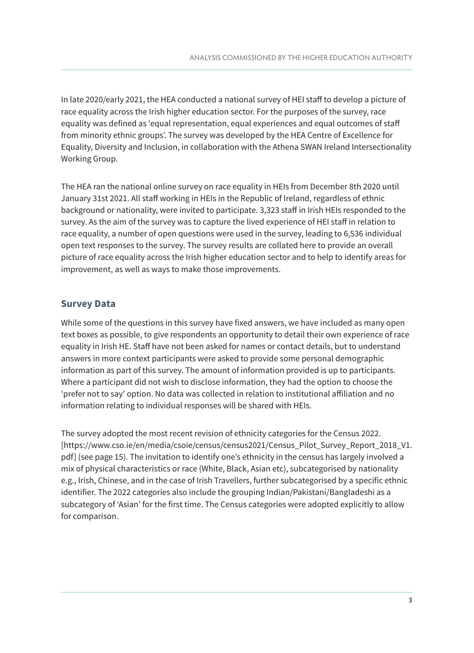In late 2020/early 2021, the HEA conducted a national survey of HEI staff to develop a picture of race equality across the Irish higher education sector. For the purposes of the survey, race equality was defined as 'equal representation, equal experiences and equal outcomes of staff from minority ethnic groups'. The survey was developed by the HEA Centre of Excellence for Equality, Diversity and Inclusion, in collaboration with the Athena SWAN Ireland Intersectionality Working Group.

The HEA ran the national online survey on race equality in HEIs from December 8th 2020 until January 31st 2021. All staff working in HEIs in the Republic of Ireland, regardless of ethnic background or nationality, were invited to participate. 3,323 staff in Irish HEIs responded to the survey. As the aim of the survey was to capture the lived experience of HEI staff in relation to race equality, a number of open questions were used in the survey, leading to 6,536 individual open text responses to the survey. The survey results are collated here to provide an overall picture of race equality across the Irish higher education sector and to help to identify areas for improvement, as well as ways to make those improvements.

#### **Survey Data**

While some of the questions in this survey have fixed answers, we have included as many open text boxes as possible, to give respondents an opportunity to detail their own experience of race equality in Irish HE. Staff have not been asked for names or contact details, but to understand answers in more context participants were asked to provide some personal demographic information as part of this survey. The amount of information provided is up to participants. Where a participant did not wish to disclose information, they had the option to choose the 'prefer not to say' option. No data was collected in relation to institutional affiliation and no information relating to individual responses will be shared with HEIs.

The survey adopted the most recent revision of ethnicity categories for the Census 2022. [\[https://www.cso.ie/en/media/csoie/census/census2021/Census\\_Pilot\\_Survey\\_Report\\_2018\\_V1.]([https://www.cso.ie/en/media/csoie/census/census2021/Census_Pilot_Survey_Report_2018_V1.pdf] ) [pdf\] \(]([https://www.cso.ie/en/media/csoie/census/census2021/Census_Pilot_Survey_Report_2018_V1.pdf] )see page 15). The invitation to identify one's ethnicity in the census has largely involved a mix of physical characteristics or race (White, Black, Asian etc), subcategorised by nationality e.g., Irish, Chinese, and in the case of Irish Travellers, further subcategorised by a specific ethnic identifier. The 2022 categories also include the grouping Indian/Pakistani/Bangladeshi as a subcategory of 'Asian' for the first time. The Census categories were adopted explicitly to allow for comparison.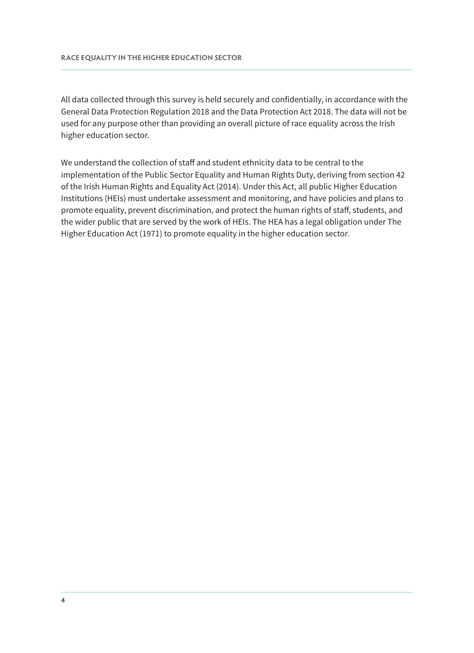All data collected through this survey is held securely and confidentially, in accordance with the General Data Protection Regulation 2018 and the Data Protection Act 2018. The data will not be used for any purpose other than providing an overall picture of race equality across the Irish higher education sector.

We understand the collection of staff and student ethnicity data to be central to the implementation of the Public Sector Equality and Human Rights Duty, deriving from section 42 of the Irish Human Rights and Equality Act (2014). Under this Act, all public Higher Education Institutions (HEIs) must undertake assessment and monitoring, and have policies and plans to promote equality, prevent discrimination, and protect the human rights of staff, students, and the wider public that are served by the work of HEIs. The HEA has a legal obligation under The Higher Education Act (1971) to promote equality in the higher education sector.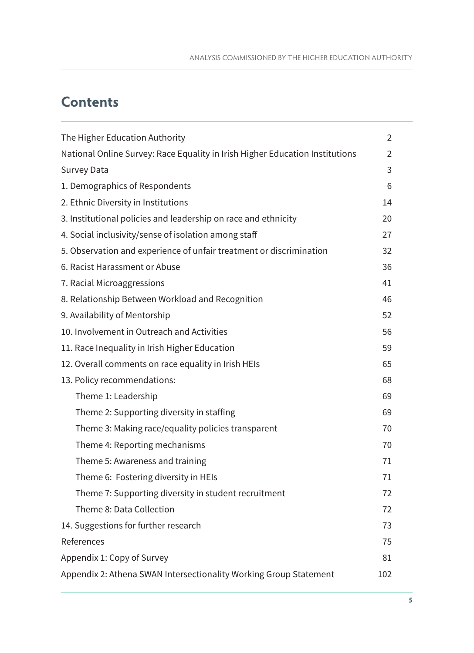### **Contents**

| The Higher Education Authority                                               | $\overline{2}$ |
|------------------------------------------------------------------------------|----------------|
| National Online Survey: Race Equality in Irish Higher Education Institutions | $\overline{2}$ |
| <b>Survey Data</b>                                                           | 3              |
| 1. Demographics of Respondents                                               | 6              |
| 2. Ethnic Diversity in Institutions                                          | 14             |
| 3. Institutional policies and leadership on race and ethnicity               | 20             |
| 4. Social inclusivity/sense of isolation among staff                         | 27             |
| 5. Observation and experience of unfair treatment or discrimination          | 32             |
| 6. Racist Harassment or Abuse                                                | 36             |
| 7. Racial Microaggressions                                                   | 41             |
| 8. Relationship Between Workload and Recognition                             | 46             |
| 9. Availability of Mentorship                                                | 52             |
| 10. Involvement in Outreach and Activities                                   | 56             |
| 11. Race Inequality in Irish Higher Education                                | 59             |
| 12. Overall comments on race equality in Irish HEIs                          | 65             |
| 13. Policy recommendations:                                                  | 68             |
| Theme 1: Leadership                                                          | 69             |
| Theme 2: Supporting diversity in staffing                                    | 69             |
| Theme 3: Making race/equality policies transparent                           | 70             |
| Theme 4: Reporting mechanisms                                                | 70             |
| Theme 5: Awareness and training                                              | 71             |
| Theme 6: Fostering diversity in HEIs                                         | 71             |
| Theme 7: Supporting diversity in student recruitment                         | 72             |
| Theme 8: Data Collection                                                     | 72             |
| 14. Suggestions for further research                                         | 73             |
| References                                                                   | 75             |
| Appendix 1: Copy of Survey                                                   | 81             |
| Appendix 2: Athena SWAN Intersectionality Working Group Statement            | 102            |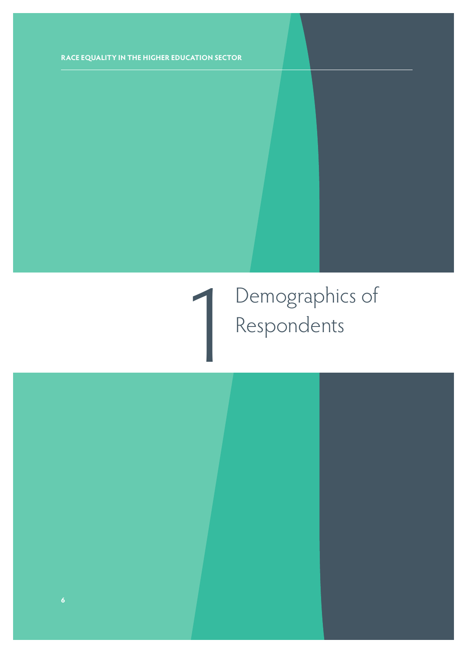## 1 Demographics of Respondents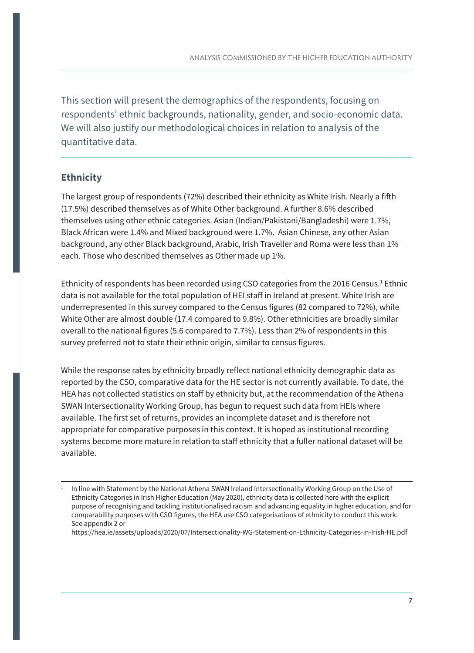This section will present the demographics of the respondents, focusing on respondents' ethnic backgrounds, nationality, gender, and socio-economic data. We will also justify our methodological choices in relation to analysis of the quantitative data.

#### **Ethnicity**

The largest group of respondents (72%) described their ethnicity as White Irish. Nearly a fifth (17.5%) described themselves as of White Other background. A further 8.6% described themselves using other ethnic categories. Asian (Indian/Pakistani/Bangladeshi) were 1.7%, Black African were 1.4% and Mixed background were 1.7%. Asian Chinese, any other Asian background, any other Black background, Arabic, Irish Traveller and Roma were less than 1% each. Those who described themselves as Other made up 1%.

Ethnicity of respondents has been recorded using CSO categories from the 2016 Census.<sup>1</sup> Ethnic data is not available for the total population of HEI staff in Ireland at present. White Irish are underrepresented in this survey compared to the Census figures (82 compared to 72%), while White Other are almost double (17.4 compared to 9.8%). Other ethnicities are broadly similar overall to the national figures (5.6 compared to 7.7%). Less than 2% of respondents in this survey preferred not to state their ethnic origin, similar to census figures.

While the response rates by ethnicity broadly reflect national ethnicity demographic data as reported by the CSO, comparative data for the HE sector is not currently available. To date, the HEA has not collected statistics on staff by ethnicity but, at the recommendation of the Athena SWAN Intersectionality Working Group, has begun to request such data from HEIs where available. The first set of returns, provides an incomplete dataset and is therefore not appropriate for comparative purposes in this context. It is hoped as institutional recording systems become more mature in relation to staff ethnicity that a fuller national dataset will be available.

In line with Statement by the National Athena SWAN Ireland Intersectionality Working Group on the Use of Ethnicity Categories in Irish Higher Education (May 2020), ethnicity data is collected here with the explicit purpose of recognising and tackling institutionalised racism and advancing equality in higher education, and for comparability purposes with CSO figures, the HEA use CSO categorisations of ethnicity to conduct this work. See appendix 2 or

https://hea.ie/assets/uploads/2020/07/Intersectionality-WG-Statement-on-Ethnicity-Categories-in-Irish-HE.pdf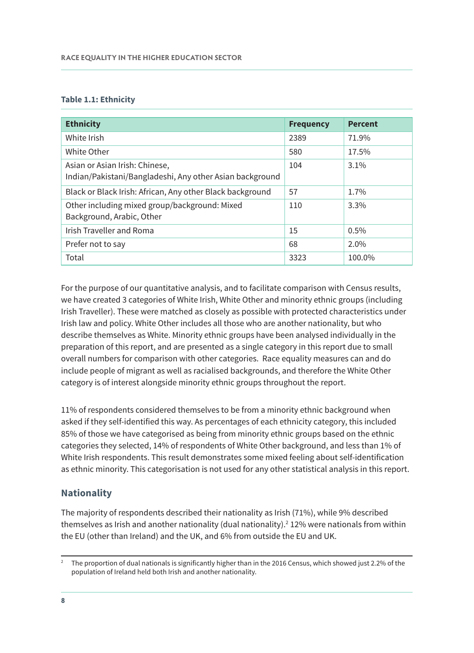#### **Table 1.1: Ethnicity**

| <b>Ethnicity</b>                                                                           | <b>Frequency</b> | <b>Percent</b> |
|--------------------------------------------------------------------------------------------|------------------|----------------|
| White Irish                                                                                | 2389             | 71.9%          |
| White Other                                                                                | 580              | 17.5%          |
| Asian or Asian Irish: Chinese,<br>Indian/Pakistani/Bangladeshi, Any other Asian background | 104              | $3.1\%$        |
| Black or Black Irish: African, Any other Black background                                  | 57               | 1.7%           |
| Other including mixed group/background: Mixed<br>Background, Arabic, Other                 | 110              | $3.3\%$        |
| <b>Irish Traveller and Roma</b>                                                            | 15               | 0.5%           |
| Prefer not to say                                                                          | 68               | 2.0%           |
| Total                                                                                      | 3323             | 100.0%         |

For the purpose of our quantitative analysis, and to facilitate comparison with Census results, we have created 3 categories of White Irish, White Other and minority ethnic groups (including Irish Traveller). These were matched as closely as possible with protected characteristics under Irish law and policy. White Other includes all those who are another nationality, but who describe themselves as White. Minority ethnic groups have been analysed individually in the preparation of this report, and are presented as a single category in this report due to small overall numbers for comparison with other categories. Race equality measures can and do include people of migrant as well as racialised backgrounds, and therefore the White Other category is of interest alongside minority ethnic groups throughout the report.

11% of respondents considered themselves to be from a minority ethnic background when asked if they self-identified this way. As percentages of each ethnicity category, this included 85% of those we have categorised as being from minority ethnic groups based on the ethnic categories they selected, 14% of respondents of White Other background, and less than 1% of White Irish respondents. This result demonstrates some mixed feeling about self-identification as ethnic minority. This categorisation is not used for any other statistical analysis in this report.

#### **Nationality**

The majority of respondents described their nationality as Irish (71%), while 9% described themselves as Irish and another nationality (dual nationality). $2$  12% were nationals from within the EU (other than Ireland) and the UK, and 6% from outside the EU and UK.

<sup>&</sup>lt;sup>2</sup> The proportion of dual nationals is significantly higher than in the 2016 Census, which showed just 2.2% of the population of Ireland held both Irish and another nationality.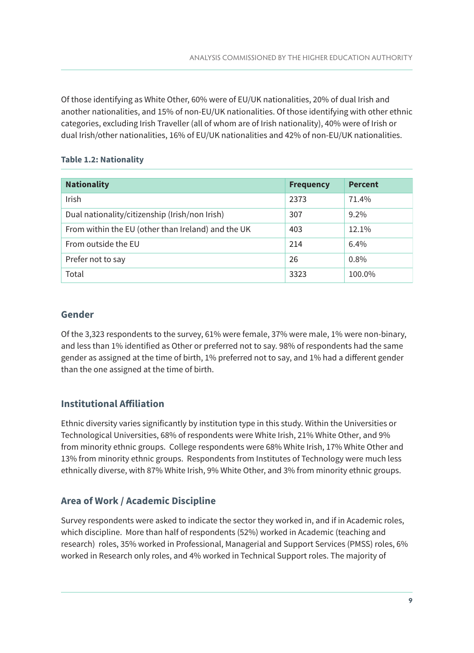Of those identifying as White Other, 60% were of EU/UK nationalities, 20% of dual Irish and another nationalities, and 15% of non-EU/UK nationalities. Of those identifying with other ethnic categories, excluding Irish Traveller (all of whom are of Irish nationality), 40% were of Irish or dual Irish/other nationalities, 16% of EU/UK nationalities and 42% of non-EU/UK nationalities.

#### **Table 1.2: Nationality**

| <b>Nationality</b>                                 | <b>Frequency</b> | <b>Percent</b> |
|----------------------------------------------------|------------------|----------------|
| Irish                                              | 2373             | 71.4%          |
| Dual nationality/citizenship (Irish/non Irish)     | 307              | $9.2\%$        |
| From within the EU (other than Ireland) and the UK | 403              | 12.1%          |
| From outside the EU                                | 214              | 6.4%           |
| Prefer not to say                                  | 26               | 0.8%           |
| Total                                              | 3323             | 100.0%         |

#### **Gender**

Of the 3,323 respondents to the survey, 61% were female, 37% were male, 1% were non-binary, and less than 1% identified as Other or preferred not to say. 98% of respondents had the same gender as assigned at the time of birth, 1% preferred not to say, and 1% had a different gender than the one assigned at the time of birth.

#### **Institutional Affiliation**

Ethnic diversity varies significantly by institution type in this study. Within the Universities or Technological Universities, 68% of respondents were White Irish, 21% White Other, and 9% from minority ethnic groups. College respondents were 68% White Irish, 17% White Other and 13% from minority ethnic groups. Respondents from Institutes of Technology were much less ethnically diverse, with 87% White Irish, 9% White Other, and 3% from minority ethnic groups.

#### **Area of Work / Academic Discipline**

Survey respondents were asked to indicate the sector they worked in, and if in Academic roles, which discipline. More than half of respondents (52%) worked in Academic (teaching and research) roles, 35% worked in Professional, Managerial and Support Services (PMSS) roles, 6% worked in Research only roles, and 4% worked in Technical Support roles. The majority of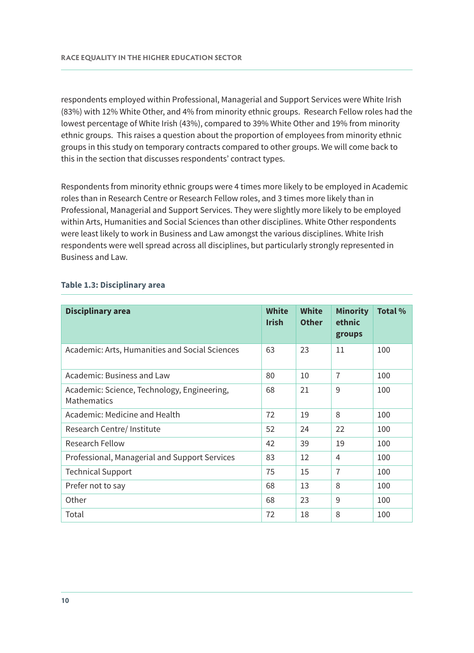respondents employed within Professional, Managerial and Support Services were White Irish (83%) with 12% White Other, and 4% from minority ethnic groups. Research Fellow roles had the lowest percentage of White Irish (43%), compared to 39% White Other and 19% from minority ethnic groups. This raises a question about the proportion of employees from minority ethnic groups in this study on temporary contracts compared to other groups. We will come back to this in the section that discusses respondents' contract types.

Respondents from minority ethnic groups were 4 times more likely to be employed in Academic roles than in Research Centre or Research Fellow roles, and 3 times more likely than in Professional, Managerial and Support Services. They were slightly more likely to be employed within Arts, Humanities and Social Sciences than other disciplines. White Other respondents were least likely to work in Business and Law amongst the various disciplines. White Irish respondents were well spread across all disciplines, but particularly strongly represented in Business and Law.

| <b>Disciplinary area</b>                                          | <b>White</b><br><b>Irish</b> | <b>White</b><br><b>Other</b> | <b>Minority</b><br>ethnic<br>groups | <b>Total %</b> |
|-------------------------------------------------------------------|------------------------------|------------------------------|-------------------------------------|----------------|
| Academic: Arts, Humanities and Social Sciences                    | 63                           | 23                           | 11                                  | 100            |
| Academic: Business and Law                                        | 80                           | 10                           | $\overline{7}$                      | 100            |
| Academic: Science, Technology, Engineering,<br><b>Mathematics</b> | 68                           | 21                           | 9                                   | 100            |
| Academic: Medicine and Health                                     | 72                           | 19                           | 8                                   | 100            |
| Research Centre/ Institute                                        | 52                           | 24                           | 22                                  | 100            |
| <b>Research Fellow</b>                                            | 42                           | 39                           | 19                                  | 100            |
| Professional, Managerial and Support Services                     | 83                           | 12                           | 4                                   | 100            |
| <b>Technical Support</b>                                          | 75                           | 15                           | 7                                   | 100            |
| Prefer not to say                                                 | 68                           | 13                           | 8                                   | 100            |
| Other                                                             | 68                           | 23                           | 9                                   | 100            |
| Total                                                             | 72                           | 18                           | 8                                   | 100            |

#### **Table 1.3: Disciplinary area**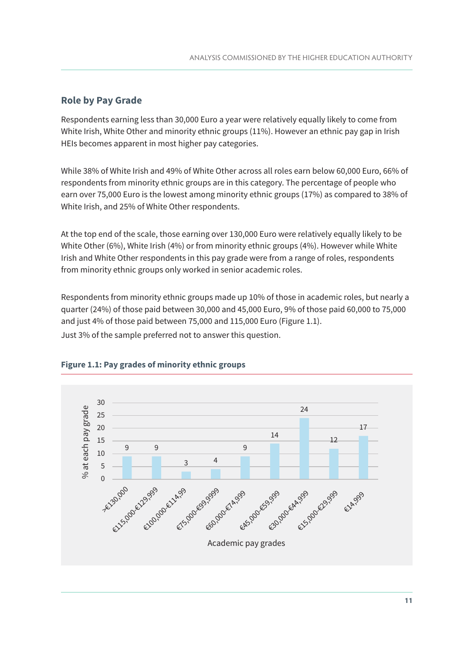#### **Role by Pay Grade**

Respondents earning less than 30,000 Euro a year were relatively equally likely to come from White Irish, White Other and minority ethnic groups (11%). However an ethnic pay gap in Irish HEIs becomes apparent in most higher pay categories.

While 38% of White Irish and 49% of White Other across all roles earn below 60,000 Euro, 66% of respondents from minority ethnic groups are in this category. The percentage of people who earn over 75,000 Euro is the lowest among minority ethnic groups (17%) as compared to 38% of White Irish, and 25% of White Other respondents.

At the top end of the scale, those earning over 130,000 Euro were relatively equally likely to be White Other (6%), White Irish (4%) or from minority ethnic groups (4%). However while White Irish and White Other respondents in this pay grade were from a range of roles, respondents from minority ethnic groups only worked in senior academic roles.

Respondents from minority ethnic groups made up 10% of those in academic roles, but nearly a quarter (24%) of those paid between 30,000 and 45,000 Euro, 9% of those paid 60,000 to 75,000 and just 4% of those paid between 75,000 and 115,000 Euro (Figure 1.1). Just 3% of the sample preferred not to answer this question.



#### **Figure 1.1: Pay grades of minority ethnic groups**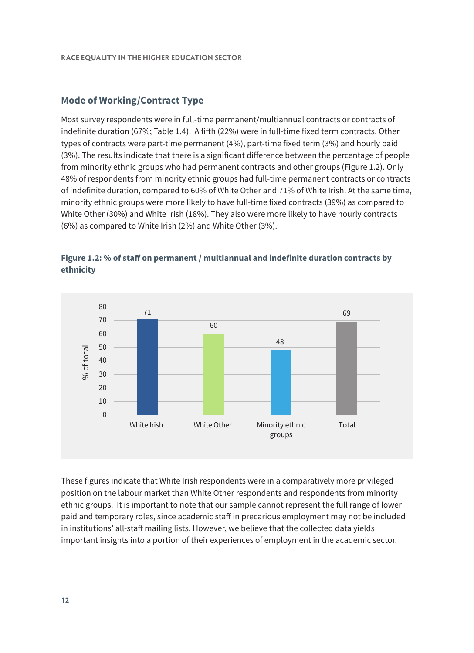#### **Mode of Working/Contract Type**

Most survey respondents were in full-time permanent/multiannual contracts or contracts of indefinite duration (67%; Table 1.4). A fifth (22%) were in full-time fixed term contracts. Other types of contracts were part-time permanent (4%), part-time fixed term (3%) and hourly paid (3%). The results indicate that there is a significant difference between the percentage of people from minority ethnic groups who had permanent contracts and other groups (Figure 1.2). Only 48% of respondents from minority ethnic groups had full-time permanent contracts or contracts of indefinite duration, compared to 60% of White Other and 71% of White Irish. At the same time, minority ethnic groups were more likely to have full-time fixed contracts (39%) as compared to White Other (30%) and White Irish (18%). They also were more likely to have hourly contracts (6%) as compared to White Irish (2%) and White Other (3%).



#### **Figure 1.2: % of staff on permanent / multiannual and indefinite duration contracts by ethnicity**

These figures indicate that White Irish respondents were in a comparatively more privileged position on the labour market than White Other respondents and respondents from minority ethnic groups. It is important to note that our sample cannot represent the full range of lower paid and temporary roles, since academic staff in precarious employment may not be included in institutions' all-staff mailing lists. However, we believe that the collected data yields important insights into a portion of their experiences of employment in the academic sector.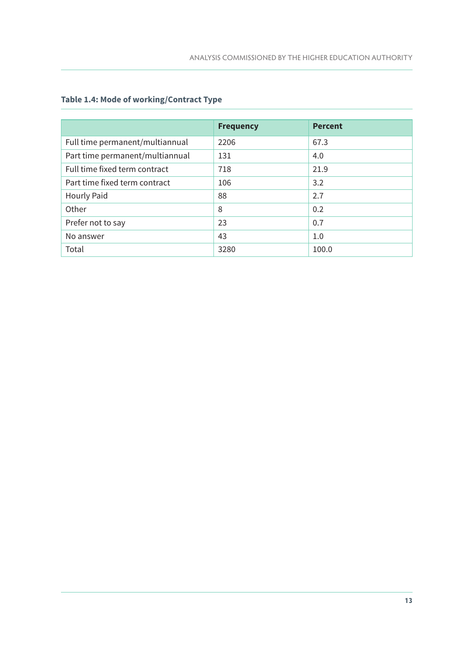#### **Table 1.4: Mode of working/Contract Type**

|                                 | <b>Frequency</b> | <b>Percent</b> |
|---------------------------------|------------------|----------------|
| Full time permanent/multiannual | 2206             | 67.3           |
| Part time permanent/multiannual | 131              | 4.0            |
| Full time fixed term contract   | 718              | 21.9           |
| Part time fixed term contract   | 106              | 3.2            |
| <b>Hourly Paid</b>              | 88               | 2.7            |
| Other                           | 8                | 0.2            |
| Prefer not to say               | 23               | 0.7            |
| No answer                       | 43               | 1.0            |
| Total                           | 3280             | 100.0          |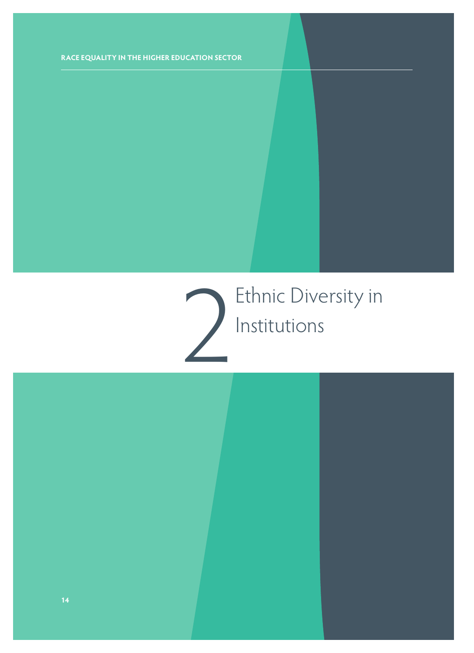# 2 Ethnic Diversity in Institutions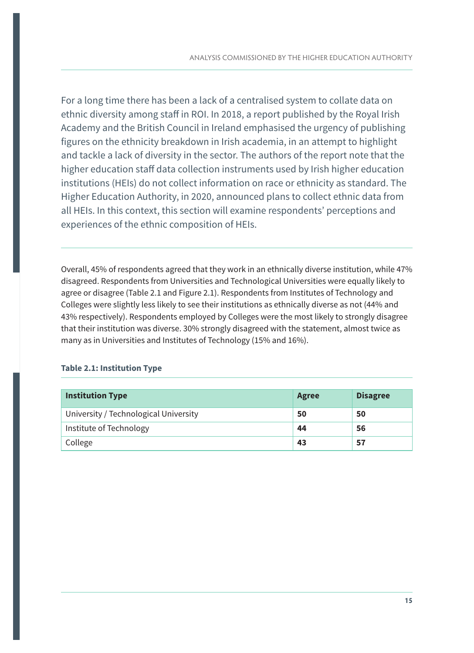For a long time there has been a lack of a centralised system to collate data on ethnic diversity among staff in ROI. In 2018, a report published by the Royal Irish Academy and the British Council in Ireland emphasised the urgency of publishing figures on the ethnicity breakdown in Irish academia, in an attempt to highlight and tackle a lack of diversity in the sector. The authors of the report note that the higher education staff data collection instruments used by Irish higher education institutions (HEIs) do not collect information on race or ethnicity as standard. The Higher Education Authority, in 2020, announced plans to collect ethnic data from all HEIs. In this context, this section will examine respondents' perceptions and experiences of the ethnic composition of HEIs.

Overall, 45% of respondents agreed that they work in an ethnically diverse institution, while 47% disagreed. Respondents from Universities and Technological Universities were equally likely to agree or disagree (Table 2.1 and Figure 2.1). Respondents from Institutes of Technology and Colleges were slightly less likely to see their institutions as ethnically diverse as not (44% and 43% respectively). Respondents employed by Colleges were the most likely to strongly disagree that their institution was diverse. 30% strongly disagreed with the statement, almost twice as many as in Universities and Institutes of Technology (15% and 16%).

#### **Table 2.1: Institution Type**

| <b>Institution Type</b>               | <b>Agree</b> | <b>Disagree</b> |
|---------------------------------------|--------------|-----------------|
| University / Technological University | 50           | 50              |
| Institute of Technology               | 44           | 56              |
| College                               | -43          | 57              |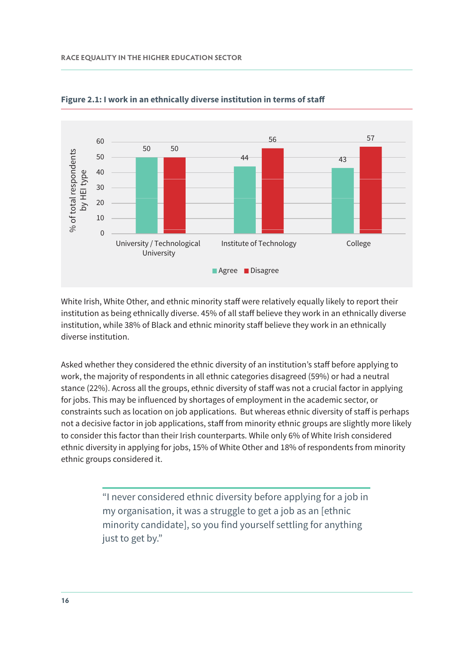

**Figure 2.1: I work in an ethnically diverse institution in terms of staff** 

White Irish, White Other, and ethnic minority staff were relatively equally likely to report their institution as being ethnically diverse. 45% of all staff believe they work in an ethnically diverse institution, while 38% of Black and ethnic minority staff believe they work in an ethnically diverse institution.

Asked whether they considered the ethnic diversity of an institution's staff before applying to work, the majority of respondents in all ethnic categories disagreed (59%) or had a neutral stance (22%). Across all the groups, ethnic diversity of staff was not a crucial factor in applying for jobs. This may be influenced by shortages of employment in the academic sector, or constraints such as location on job applications. But whereas ethnic diversity of staff is perhaps not a decisive factor in job applications, staff from minority ethnic groups are slightly more likely to consider this factor than their Irish counterparts. While only 6% of White Irish considered ethnic diversity in applying for jobs, 15% of White Other and 18% of respondents from minority ethnic groups considered it.

> "I never considered ethnic diversity before applying for a job in my organisation, it was a struggle to get a job as an [ethnic minority candidate], so you find yourself settling for anything just to get by."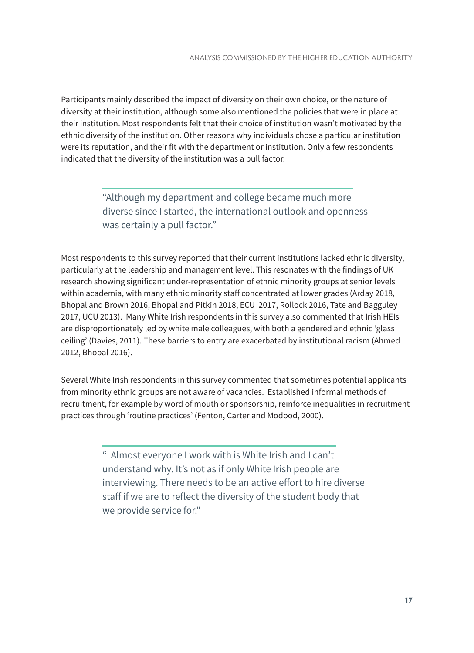Participants mainly described the impact of diversity on their own choice, or the nature of diversity at their institution, although some also mentioned the policies that were in place at their institution. Most respondents felt that their choice of institution wasn't motivated by the ethnic diversity of the institution. Other reasons why individuals chose a particular institution were its reputation, and their fit with the department or institution. Only a few respondents indicated that the diversity of the institution was a pull factor.

> "Although my department and college became much more diverse since I started, the international outlook and openness was certainly a pull factor."

Most respondents to this survey reported that their current institutions lacked ethnic diversity, particularly at the leadership and management level. This resonates with the findings of UK research showing significant under-representation of ethnic minority groups at senior levels within academia, with many ethnic minority staff concentrated at lower grades (Arday 2018, Bhopal and Brown 2016, Bhopal and Pitkin 2018, ECU 2017, Rollock 2016, Tate and Bagguley 2017, UCU 2013). Many White Irish respondents in this survey also commented that Irish HEIs are disproportionately led by white male colleagues, with both a gendered and ethnic 'glass ceiling' (Davies, 2011). These barriers to entry are exacerbated by institutional racism (Ahmed 2012, Bhopal 2016).

Several White Irish respondents in this survey commented that sometimes potential applicants from minority ethnic groups are not aware of vacancies. Established informal methods of recruitment, for example by word of mouth or sponsorship, reinforce inequalities in recruitment practices through 'routine practices' (Fenton, Carter and Modood, 2000).

> " Almost everyone I work with is White Irish and I can't understand why. It's not as if only White Irish people are interviewing. There needs to be an active effort to hire diverse staff if we are to reflect the diversity of the student body that we provide service for."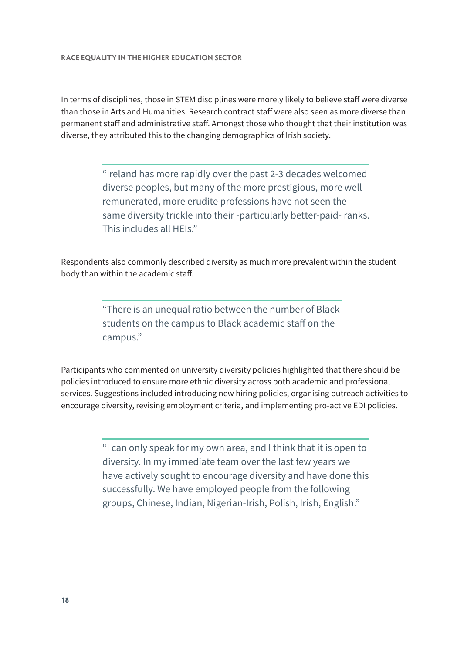In terms of disciplines, those in STEM disciplines were morely likely to believe staff were diverse than those in Arts and Humanities. Research contract staff were also seen as more diverse than permanent staff and administrative staff. Amongst those who thought that their institution was diverse, they attributed this to the changing demographics of Irish society.

> "Ireland has more rapidly over the past 2-3 decades welcomed diverse peoples, but many of the more prestigious, more wellremunerated, more erudite professions have not seen the same diversity trickle into their -particularly better-paid- ranks. This includes all HEIs."

Respondents also commonly described diversity as much more prevalent within the student body than within the academic staff.

> "There is an unequal ratio between the number of Black students on the campus to Black academic staff on the campus."

Participants who commented on university diversity policies highlighted that there should be policies introduced to ensure more ethnic diversity across both academic and professional services. Suggestions included introducing new hiring policies, organising outreach activities to encourage diversity, revising employment criteria, and implementing pro-active EDI policies.

> "I can only speak for my own area, and I think that it is open to diversity. In my immediate team over the last few years we have actively sought to encourage diversity and have done this successfully. We have employed people from the following groups, Chinese, Indian, Nigerian-Irish, Polish, Irish, English."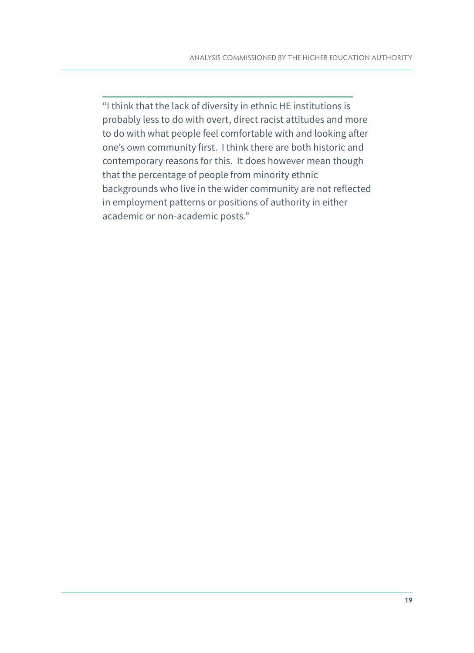"I think that the lack of diversity in ethnic HE institutions is probably less to do with overt, direct racist attitudes and more to do with what people feel comfortable with and looking after one's own community first. I think there are both historic and contemporary reasons for this. It does however mean though that the percentage of people from minority ethnic backgrounds who live in the wider community are not reflected in employment patterns or positions of authority in either academic or non-academic posts."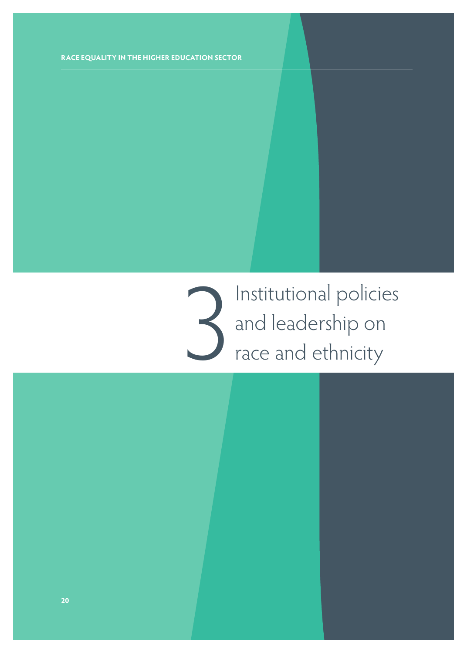3 Institutional policies and leadership on race and ethnicity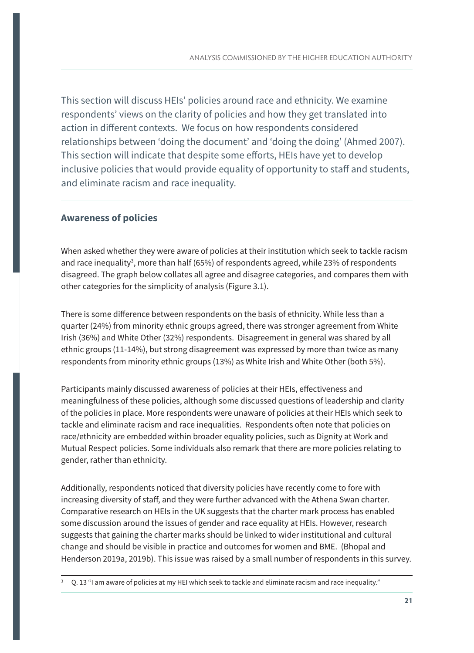This section will discuss HEIs' policies around race and ethnicity. We examine respondents' views on the clarity of policies and how they get translated into action in different contexts. We focus on how respondents considered relationships between 'doing the document' and 'doing the doing' (Ahmed 2007). This section will indicate that despite some efforts, HEIs have yet to develop inclusive policies that would provide equality of opportunity to staff and students, and eliminate racism and race inequality.

#### **Awareness of policies**

When asked whether they were aware of policies at their institution which seek to tackle racism and race inequality<sup>3</sup>, more than half (65%) of respondents agreed, while 23% of respondents disagreed. The graph below collates all agree and disagree categories, and compares them with other categories for the simplicity of analysis (Figure 3.1).

There is some difference between respondents on the basis of ethnicity. While less than a quarter (24%) from minority ethnic groups agreed, there was stronger agreement from White Irish (36%) and White Other (32%) respondents. Disagreement in general was shared by all ethnic groups (11-14%), but strong disagreement was expressed by more than twice as many respondents from minority ethnic groups (13%) as White Irish and White Other (both 5%).

Participants mainly discussed awareness of policies at their HEIs, effectiveness and meaningfulness of these policies, although some discussed questions of leadership and clarity of the policies in place. More respondents were unaware of policies at their HEIs which seek to tackle and eliminate racism and race inequalities. Respondents often note that policies on race/ethnicity are embedded within broader equality policies, such as Dignity at Work and Mutual Respect policies. Some individuals also remark that there are more policies relating to gender, rather than ethnicity.

Additionally, respondents noticed that diversity policies have recently come to fore with increasing diversity of staff, and they were further advanced with the Athena Swan charter. Comparative research on HEIs in the UK suggests that the charter mark process has enabled some discussion around the issues of gender and race equality at HEIs. However, research suggests that gaining the charter marks should be linked to wider institutional and cultural change and should be visible in practice and outcomes for women and BME. (Bhopal and Henderson 2019a, 2019b). This issue was raised by a small number of respondents in this survey.

<sup>3</sup> Q. 13 "I am aware of policies at my HEI which seek to tackle and eliminate racism and race inequality."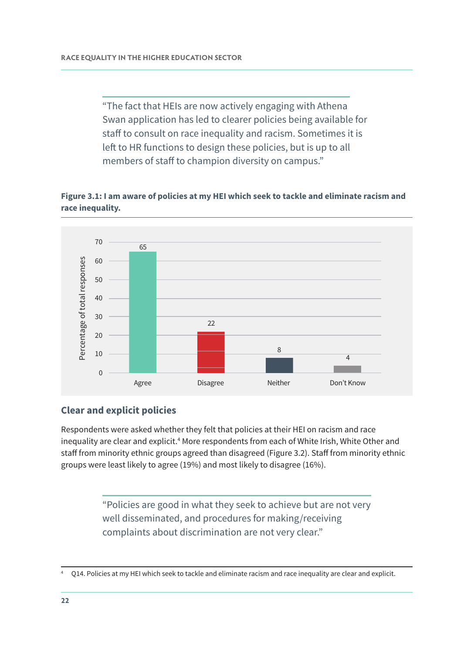"The fact that HEIs are now actively engaging with Athena Swan application has led to clearer policies being available for staff to consult on race inequality and racism. Sometimes it is left to HR functions to design these policies, but is up to all members of staff to champion diversity on campus."

#### **Figure 3.1: I am aware of policies at my HEI which seek to tackle and eliminate racism and race inequality.**



#### **Clear and explicit policies**

Respondents were asked whether they felt that policies at their HEI on racism and race inequality are clear and explicit.<sup>4</sup> More respondents from each of White Irish, White Other and staff from minority ethnic groups agreed than disagreed (Figure 3.2). Staff from minority ethnic groups were least likely to agree (19%) and most likely to disagree (16%).

> "Policies are good in what they seek to achieve but are not very well disseminated, and procedures for making/receiving complaints about discrimination are not very clear."

<sup>4</sup> Q14. Policies at my HEI which seek to tackle and eliminate racism and race inequality are clear and explicit.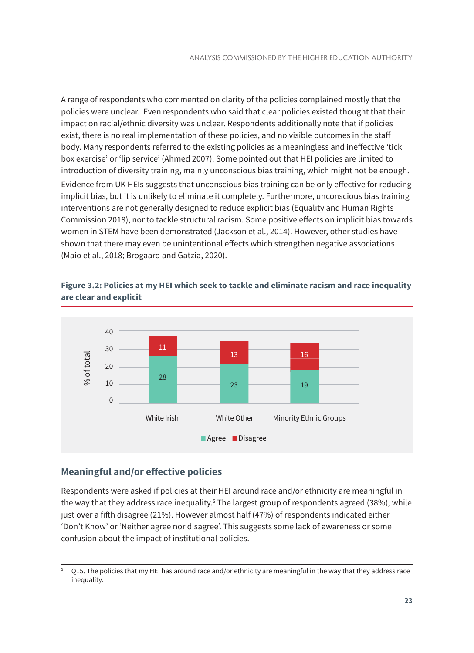A range of respondents who commented on clarity of the policies complained mostly that the policies were unclear. Even respondents who said that clear policies existed thought that their impact on racial/ethnic diversity was unclear. Respondents additionally note that if policies exist, there is no real implementation of these policies, and no visible outcomes in the staff body. Many respondents referred to the existing policies as a meaningless and ineffective 'tick box exercise' or 'lip service' (Ahmed 2007). Some pointed out that HEI policies are limited to introduction of diversity training, mainly unconscious bias training, which might not be enough. Evidence from UK HEIs suggests that unconscious bias training can be only effective for reducing implicit bias, but it is unlikely to eliminate it completely. Furthermore, unconscious bias training interventions are not generally designed to reduce explicit bias (Equality and Human Rights Commission 2018), nor to tackle structural racism. Some positive effects on implicit bias towards women in STEM have been demonstrated (Jackson et al., 2014). However, other studies have shown that there may even be unintentional effects which strengthen negative associations (Maio et al., 2018; Brogaard and Gatzia, 2020).

#### **Figure 3.2: Policies at my HEI which seek to tackle and eliminate racism and race inequality are clear and explicit**



#### **Meaningful and/or effective policies**

Respondents were asked if policies at their HEI around race and/or ethnicity are meaningful in the way that they address race inequality.<sup>5</sup> The largest group of respondents agreed (38%), while just over a fifth disagree (21%). However almost half (47%) of respondents indicated either 'Don't Know' or 'Neither agree nor disagree'. This suggests some lack of awareness or some confusion about the impact of institutional policies.

Q15. The policies that my HEI has around race and/or ethnicity are meaningful in the way that they address race inequality.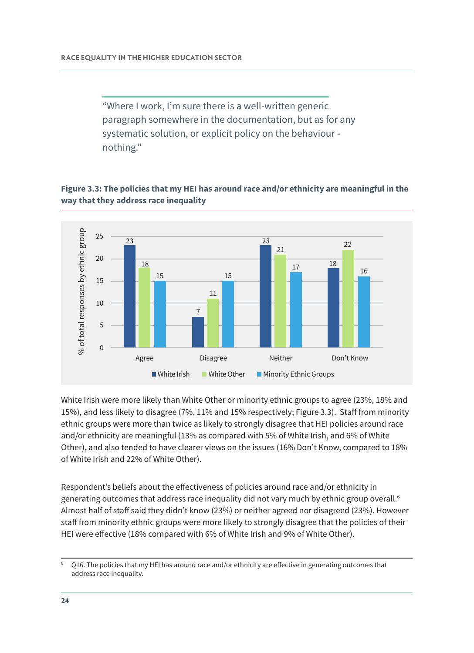"Where I work, I'm sure there is a well-written generic paragraph somewhere in the documentation, but as for any systematic solution, or explicit policy on the behaviour nothing."

#### **Figure 3.3: The policies that my HEI has around race and/or ethnicity are meaningful in the way that they address race inequality**



White Irish were more likely than White Other or minority ethnic groups to agree (23%, 18% and 15%), and less likely to disagree (7%, 11% and 15% respectively; Figure 3.3). Staff from minority ethnic groups were more than twice as likely to strongly disagree that HEI policies around race and/or ethnicity are meaningful (13% as compared with 5% of White Irish, and 6% of White Other), and also tended to have clearer views on the issues (16% Don't Know, compared to 18% of White Irish and 22% of White Other).

Respondent's beliefs about the effectiveness of policies around race and/or ethnicity in generating outcomes that address race inequality did not vary much by ethnic group overall.<sup>6</sup> Almost half of staff said they didn't know (23%) or neither agreed nor disagreed (23%). However staff from minority ethnic groups were more likely to strongly disagree that the policies of their HEI were effective (18% compared with 6% of White Irish and 9% of White Other).

Q16. The policies that my HEI has around race and/or ethnicity are effective in generating outcomes that address race inequality.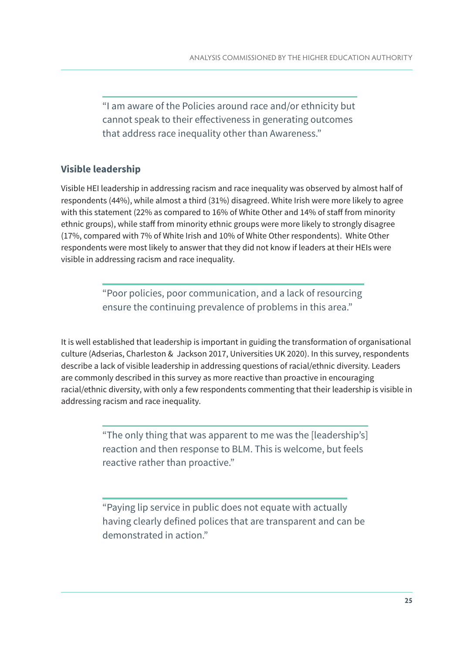"I am aware of the Policies around race and/or ethnicity but cannot speak to their effectiveness in generating outcomes that address race inequality other than Awareness."

#### **Visible leadership**

Visible HEI leadership in addressing racism and race inequality was observed by almost half of respondents (44%), while almost a third (31%) disagreed. White Irish were more likely to agree with this statement (22% as compared to 16% of White Other and 14% of staff from minority ethnic groups), while staff from minority ethnic groups were more likely to strongly disagree (17%, compared with 7% of White Irish and 10% of White Other respondents). White Other respondents were most likely to answer that they did not know if leaders at their HEIs were visible in addressing racism and race inequality.

> "Poor policies, poor communication, and a lack of resourcing ensure the continuing prevalence of problems in this area."

It is well established that leadership is important in guiding the transformation of organisational culture (Adserias, Charleston & Jackson 2017, Universities UK 2020). In this survey, respondents describe a lack of visible leadership in addressing questions of racial/ethnic diversity. Leaders are commonly described in this survey as more reactive than proactive in encouraging racial/ethnic diversity, with only a few respondents commenting that their leadership is visible in addressing racism and race inequality.

> "The only thing that was apparent to me was the [leadership's] reaction and then response to BLM. This is welcome, but feels reactive rather than proactive."

"Paying lip service in public does not equate with actually having clearly defined polices that are transparent and can be demonstrated in action."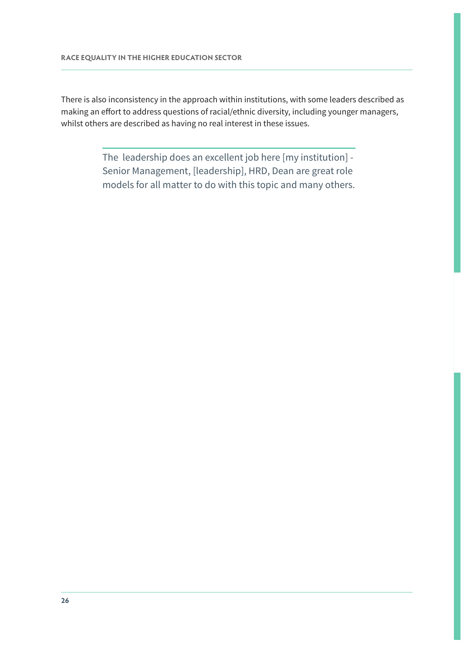There is also inconsistency in the approach within institutions, with some leaders described as making an effort to address questions of racial/ethnic diversity, including younger managers, whilst others are described as having no real interest in these issues.

> The leadership does an excellent job here [my institution] - Senior Management, [leadership], HRD, Dean are great role models for all matter to do with this topic and many others.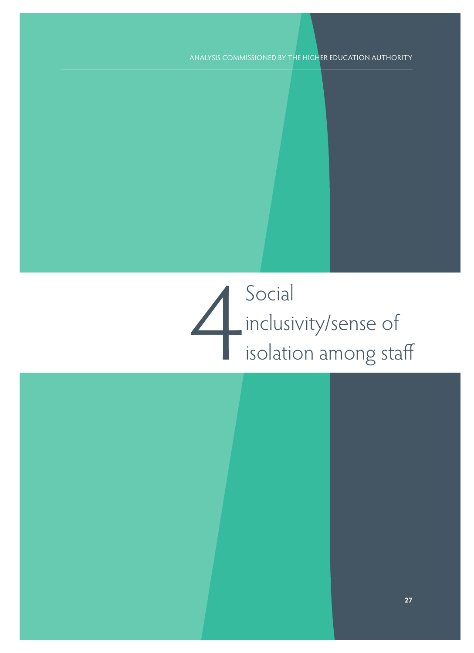# 4 Social inclusivity/sense of isolation among staff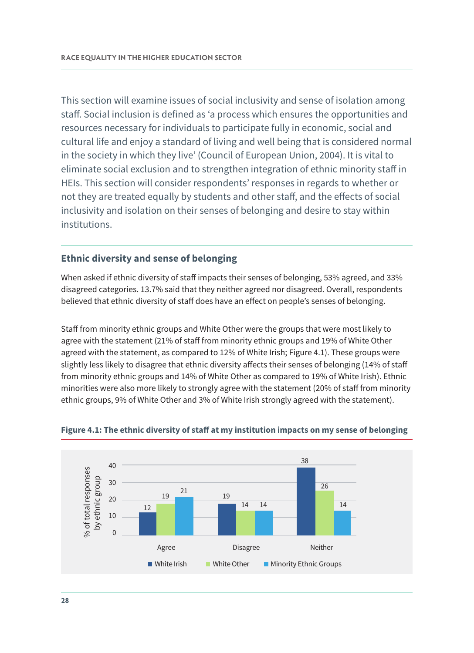This section will examine issues of social inclusivity and sense of isolation among staff. Social inclusion is defined as 'a process which ensures the opportunities and resources necessary for individuals to participate fully in economic, social and cultural life and enjoy a standard of living and well being that is considered normal in the society in which they live' (Council of European Union, 2004). It is vital to eliminate social exclusion and to strengthen integration of ethnic minority staff in HEIs. This section will consider respondents' responses in regards to whether or not they are treated equally by students and other staff, and the effects of social inclusivity and isolation on their senses of belonging and desire to stay within institutions.

#### **Ethnic diversity and sense of belonging**

When asked if ethnic diversity of staff impacts their senses of belonging, 53% agreed, and 33% disagreed categories. 13.7% said that they neither agreed nor disagreed. Overall, respondents believed that ethnic diversity of staff does have an effect on people's senses of belonging.

Staff from minority ethnic groups and White Other were the groups that were most likely to agree with the statement (21% of staff from minority ethnic groups and 19% of White Other agreed with the statement, as compared to 12% of White Irish; Figure 4.1). These groups were slightly less likely to disagree that ethnic diversity affects their senses of belonging (14% of staff from minority ethnic groups and 14% of White Other as compared to 19% of White Irish). Ethnic minorities were also more likely to strongly agree with the statement (20% of staff from minority ethnic groups, 9% of White Other and 3% of White Irish strongly agreed with the statement).



#### **Figure 4.1: The ethnic diversity of staff at my institution impacts on my sense of belonging**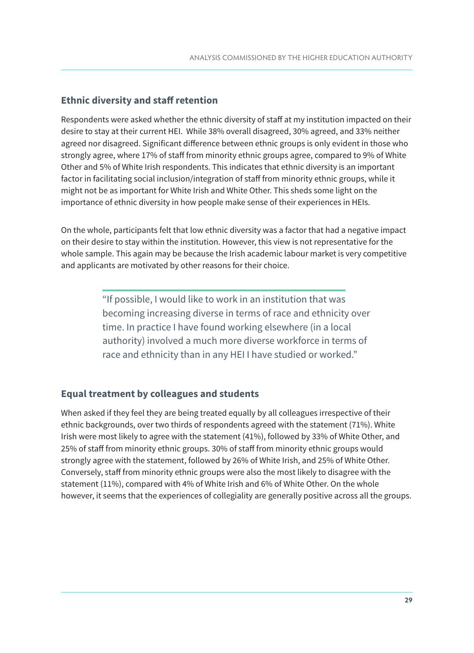#### **Ethnic diversity and staff retention**

Respondents were asked whether the ethnic diversity of staff at my institution impacted on their desire to stay at their current HEI. While 38% overall disagreed, 30% agreed, and 33% neither agreed nor disagreed. Significant difference between ethnic groups is only evident in those who strongly agree, where 17% of staff from minority ethnic groups agree, compared to 9% of White Other and 5% of White Irish respondents. This indicates that ethnic diversity is an important factor in facilitating social inclusion/integration of staff from minority ethnic groups, while it might not be as important for White Irish and White Other. This sheds some light on the importance of ethnic diversity in how people make sense of their experiences in HEIs.

On the whole, participants felt that low ethnic diversity was a factor that had a negative impact on their desire to stay within the institution. However, this view is not representative for the whole sample. This again may be because the Irish academic labour market is very competitive and applicants are motivated by other reasons for their choice.

> "If possible, I would like to work in an institution that was becoming increasing diverse in terms of race and ethnicity over time. In practice I have found working elsewhere (in a local authority) involved a much more diverse workforce in terms of race and ethnicity than in any HEI I have studied or worked."

#### **Equal treatment by colleagues and students**

When asked if they feel they are being treated equally by all colleagues irrespective of their ethnic backgrounds, over two thirds of respondents agreed with the statement (71%). White Irish were most likely to agree with the statement (41%), followed by 33% of White Other, and 25% of staff from minority ethnic groups. 30% of staff from minority ethnic groups would strongly agree with the statement, followed by 26% of White Irish, and 25% of White Other. Conversely, staff from minority ethnic groups were also the most likely to disagree with the statement (11%), compared with 4% of White Irish and 6% of White Other. On the whole however, it seems that the experiences of collegiality are generally positive across all the groups.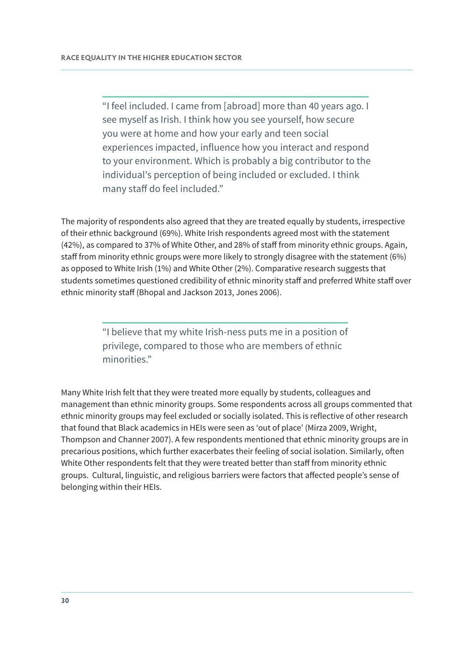"I feel included. I came from [abroad] more than 40 years ago. I see myself as Irish. I think how you see yourself, how secure you were at home and how your early and teen social experiences impacted, influence how you interact and respond to your environment. Which is probably a big contributor to the individual's perception of being included or excluded. I think many staff do feel included."

The majority of respondents also agreed that they are treated equally by students, irrespective of their ethnic background (69%). White Irish respondents agreed most with the statement (42%), as compared to 37% of White Other, and 28% of staff from minority ethnic groups. Again, staff from minority ethnic groups were more likely to strongly disagree with the statement (6%) as opposed to White Irish (1%) and White Other (2%). Comparative research suggests that students sometimes questioned credibility of ethnic minority staff and preferred White staff over ethnic minority staff (Bhopal and Jackson 2013, Jones 2006).

> "I believe that my white Irish-ness puts me in a position of privilege, compared to those who are members of ethnic minorities."

Many White Irish felt that they were treated more equally by students, colleagues and management than ethnic minority groups. Some respondents across all groups commented that ethnic minority groups may feel excluded or socially isolated. This is reflective of other research that found that Black academics in HEIs were seen as 'out of place' (Mirza 2009, Wright, Thompson and Channer 2007). A few respondents mentioned that ethnic minority groups are in precarious positions, which further exacerbates their feeling of social isolation. Similarly, often White Other respondents felt that they were treated better than staff from minority ethnic groups. Cultural, linguistic, and religious barriers were factors that affected people's sense of belonging within their HEIs.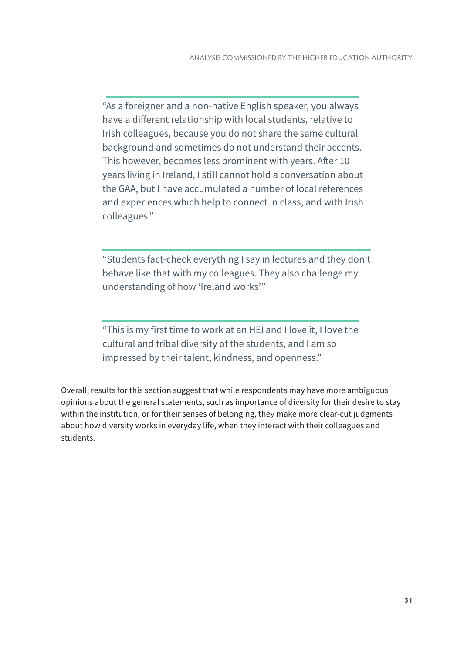"As a foreigner and a non-native English speaker, you always have a different relationship with local students, relative to Irish colleagues, because you do not share the same cultural background and sometimes do not understand their accents. This however, becomes less prominent with years. After 10 years living in Ireland, I still cannot hold a conversation about the GAA, but I have accumulated a number of local references and experiences which help to connect in class, and with Irish colleagues."

"Students fact-check everything I say in lectures and they don't behave like that with my colleagues. They also challenge my understanding of how 'Ireland works'."

"This is my first time to work at an HEI and I love it, I love the cultural and tribal diversity of the students, and I am so impressed by their talent, kindness, and openness."

Overall, results for this section suggest that while respondents may have more ambiguous opinions about the general statements, such as importance of diversity for their desire to stay within the institution, or for their senses of belonging, they make more clear-cut judgments about how diversity works in everyday life, when they interact with their colleagues and students.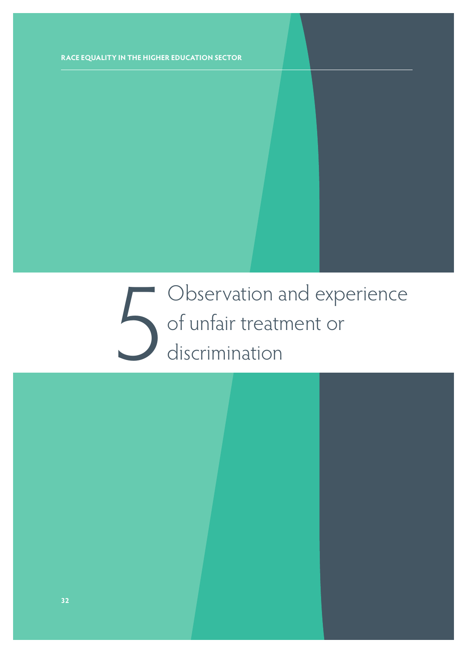5 Observation and experience of unfair treatment or discrimination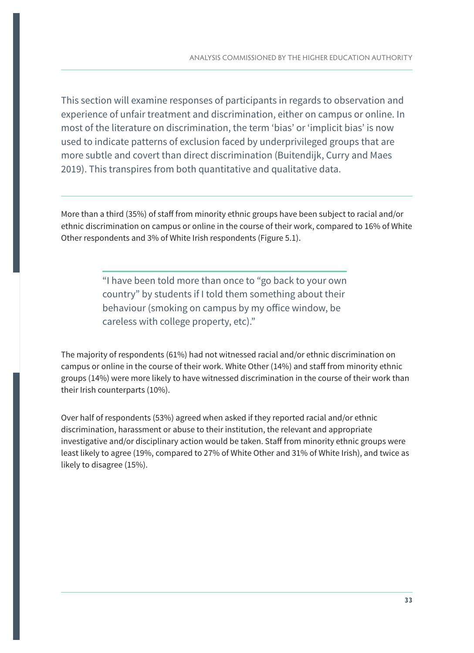This section will examine responses of participants in regards to observation and experience of unfair treatment and discrimination, either on campus or online. In most of the literature on discrimination, the term 'bias' or 'implicit bias' is now used to indicate patterns of exclusion faced by underprivileged groups that are more subtle and covert than direct discrimination (Buitendijk, Curry and Maes 2019). This transpires from both quantitative and qualitative data.

More than a third (35%) of staff from minority ethnic groups have been subject to racial and/or ethnic discrimination on campus or online in the course of their work, compared to 16% of White Other respondents and 3% of White Irish respondents (Figure 5.1).

> "I have been told more than once to "go back to your own country" by students if I told them something about their behaviour (smoking on campus by my office window, be careless with college property, etc)."

The majority of respondents (61%) had not witnessed racial and/or ethnic discrimination on campus or online in the course of their work. White Other (14%) and staff from minority ethnic groups (14%) were more likely to have witnessed discrimination in the course of their work than their Irish counterparts (10%).

Over half of respondents (53%) agreed when asked if they reported racial and/or ethnic discrimination, harassment or abuse to their institution, the relevant and appropriate investigative and/or disciplinary action would be taken. Staff from minority ethnic groups were least likely to agree (19%, compared to 27% of White Other and 31% of White Irish), and twice as likely to disagree (15%).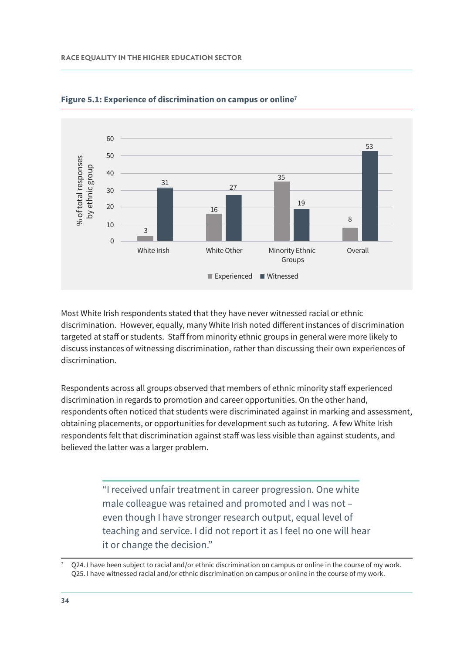

**Figure 5.1: Experience of discrimination on campus or online7** 

Most White Irish respondents stated that they have never witnessed racial or ethnic discrimination. However, equally, many White Irish noted different instances of discrimination targeted at staff or students. Staff from minority ethnic groups in general were more likely to discuss instances of witnessing discrimination, rather than discussing their own experiences of discrimination.

Respondents across all groups observed that members of ethnic minority staff experienced discrimination in regards to promotion and career opportunities. On the other hand, respondents often noticed that students were discriminated against in marking and assessment, obtaining placements, or opportunities for development such as tutoring. A few White Irish respondents felt that discrimination against staff was less visible than against students, and believed the latter was a larger problem.

> "I received unfair treatment in career progression. One white male colleague was retained and promoted and I was not – even though I have stronger research output, equal level of teaching and service. I did not report it as I feel no one will hear it or change the decision."

Q24. I have been subject to racial and/or ethnic discrimination on campus or online in the course of my work. Q25. I have witnessed racial and/or ethnic discrimination on campus or online in the course of my work.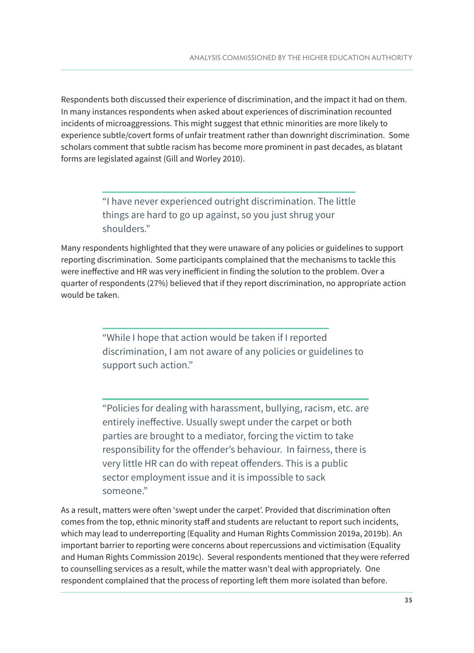Respondents both discussed their experience of discrimination, and the impact it had on them. In many instances respondents when asked about experiences of discrimination recounted incidents of microaggressions. This might suggest that ethnic minorities are more likely to experience subtle/covert forms of unfair treatment rather than downright discrimination. Some scholars comment that subtle racism has become more prominent in past decades, as blatant forms are legislated against (Gill and Worley 2010).

> "I have never experienced outright discrimination. The little things are hard to go up against, so you just shrug your shoulders."

Many respondents highlighted that they were unaware of any policies or guidelines to support reporting discrimination. Some participants complained that the mechanisms to tackle this were ineffective and HR was very inefficient in finding the solution to the problem. Over a quarter of respondents (27%) believed that if they report discrimination, no appropriate action would be taken.

> "While I hope that action would be taken if I reported discrimination, I am not aware of any policies or guidelines to support such action."

"Policies for dealing with harassment, bullying, racism, etc. are entirely ineffective. Usually swept under the carpet or both parties are brought to a mediator, forcing the victim to take responsibility for the offender's behaviour. In fairness, there is very little HR can do with repeat offenders. This is a public sector employment issue and it is impossible to sack someone."

As a result, matters were often 'swept under the carpet'. Provided that discrimination often comes from the top, ethnic minority staff and students are reluctant to report such incidents, which may lead to underreporting (Equality and Human Rights Commission 2019a, 2019b). An important barrier to reporting were concerns about repercussions and victimisation (Equality and Human Rights Commission 2019c). Several respondents mentioned that they were referred to counselling services as a result, while the matter wasn't deal with appropriately. One respondent complained that the process of reporting left them more isolated than before.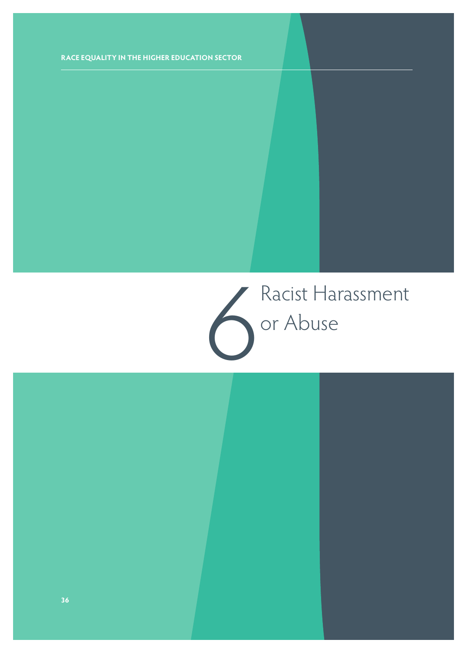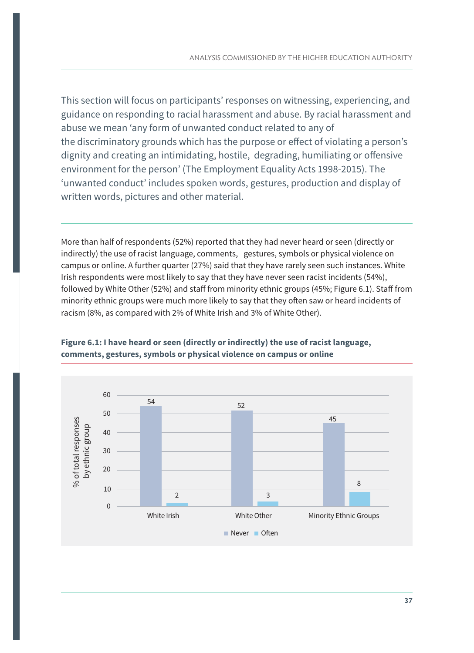This section will focus on participants' responses on witnessing, experiencing, and guidance on responding to racial harassment and abuse. By racial harassment and abuse we mean 'any form of unwanted conduct related to any of the discriminatory grounds which has the purpose or effect of violating a person's dignity and creating an intimidating, hostile, degrading, humiliating or offensive environment for the person' (The Employment Equality Acts 1998-2015). The 'unwanted conduct' includes spoken words, gestures, production and display of written words, pictures and other material.

More than half of respondents (52%) reported that they had never heard or seen (directly or indirectly) the use of racist language, comments, gestures, symbols or physical violence on campus or online. A further quarter (27%) said that they have rarely seen such instances. White Irish respondents were most likely to say that they have never seen racist incidents (54%), followed by White Other (52%) and staff from minority ethnic groups (45%; Figure 6.1). Staff from minority ethnic groups were much more likely to say that they often saw or heard incidents of racism (8%, as compared with 2% of White Irish and 3% of White Other).



#### **Figure 6.1: I have heard or seen (directly or indirectly) the use of racist language, comments, gestures, symbols or physical violence on campus or online**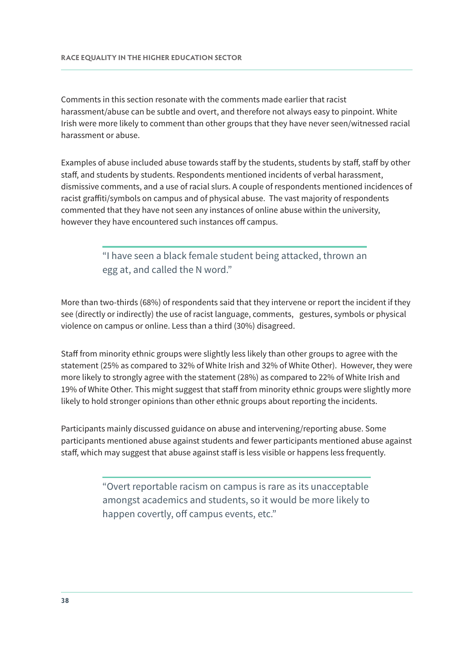Comments in this section resonate with the comments made earlier that racist harassment/abuse can be subtle and overt, and therefore not always easy to pinpoint. White Irish were more likely to comment than other groups that they have never seen/witnessed racial harassment or abuse.

Examples of abuse included abuse towards staff by the students, students by staff, staff by other staff, and students by students. Respondents mentioned incidents of verbal harassment, dismissive comments, and a use of racial slurs. A couple of respondents mentioned incidences of racist graffiti/symbols on campus and of physical abuse. The vast majority of respondents commented that they have not seen any instances of online abuse within the university, however they have encountered such instances off campus.

> "I have seen a black female student being attacked, thrown an egg at, and called the N word."

More than two-thirds (68%) of respondents said that they intervene or report the incident if they see (directly or indirectly) the use of racist language, comments, gestures, symbols or physical violence on campus or online. Less than a third (30%) disagreed.

Staff from minority ethnic groups were slightly less likely than other groups to agree with the statement (25% as compared to 32% of White Irish and 32% of White Other). However, they were more likely to strongly agree with the statement (28%) as compared to 22% of White Irish and 19% of White Other. This might suggest that staff from minority ethnic groups were slightly more likely to hold stronger opinions than other ethnic groups about reporting the incidents.

Participants mainly discussed guidance on abuse and intervening/reporting abuse. Some participants mentioned abuse against students and fewer participants mentioned abuse against staff, which may suggest that abuse against staff is less visible or happens less frequently.

> "Overt reportable racism on campus is rare as its unacceptable amongst academics and students, so it would be more likely to happen covertly, off campus events, etc."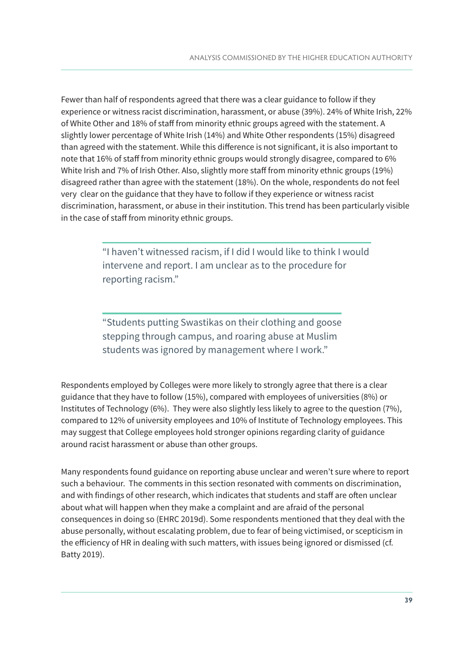Fewer than half of respondents agreed that there was a clear guidance to follow if they experience or witness racist discrimination, harassment, or abuse (39%). 24% of White Irish, 22% of White Other and 18% of staff from minority ethnic groups agreed with the statement. A slightly lower percentage of White Irish (14%) and White Other respondents (15%) disagreed than agreed with the statement. While this difference is not significant, it is also important to note that 16% of staff from minority ethnic groups would strongly disagree, compared to 6% White Irish and 7% of Irish Other. Also, slightly more staff from minority ethnic groups (19%) disagreed rather than agree with the statement (18%). On the whole, respondents do not feel very clear on the guidance that they have to follow if they experience or witness racist discrimination, harassment, or abuse in their institution. This trend has been particularly visible in the case of staff from minority ethnic groups.

> "I haven't witnessed racism, if I did I would like to think I would intervene and report. I am unclear as to the procedure for reporting racism."

"Students putting Swastikas on their clothing and goose stepping through campus, and roaring abuse at Muslim students was ignored by management where I work."

Respondents employed by Colleges were more likely to strongly agree that there is a clear guidance that they have to follow (15%), compared with employees of universities (8%) or Institutes of Technology (6%). They were also slightly less likely to agree to the question (7%), compared to 12% of university employees and 10% of Institute of Technology employees. This may suggest that College employees hold stronger opinions regarding clarity of guidance around racist harassment or abuse than other groups.

Many respondents found guidance on reporting abuse unclear and weren't sure where to report such a behaviour. The comments in this section resonated with comments on discrimination, and with findings of other research, which indicates that students and staff are often unclear about what will happen when they make a complaint and are afraid of the personal consequences in doing so (EHRC 2019d). Some respondents mentioned that they deal with the abuse personally, without escalating problem, due to fear of being victimised, or scepticism in the efficiency of HR in dealing with such matters, with issues being ignored or dismissed (cf. Batty 2019).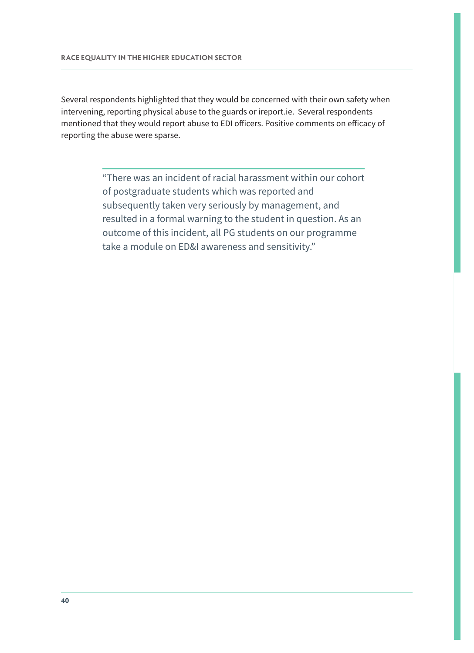Several respondents highlighted that they would be concerned with their own safety when intervening, reporting physical abuse to the guards or ireport.ie. Several respondents mentioned that they would report abuse to EDI officers. Positive comments on efficacy of reporting the abuse were sparse.

> "There was an incident of racial harassment within our cohort of postgraduate students which was reported and subsequently taken very seriously by management, and resulted in a formal warning to the student in question. As an outcome of this incident, all PG students on our programme take a module on ED&I awareness and sensitivity."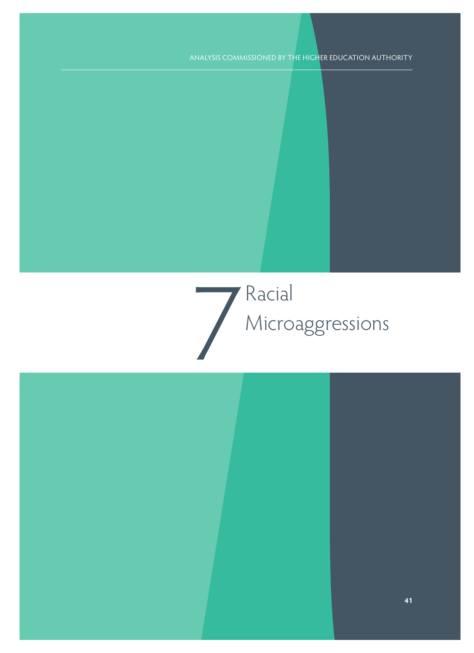## 7 Racial Microaggressions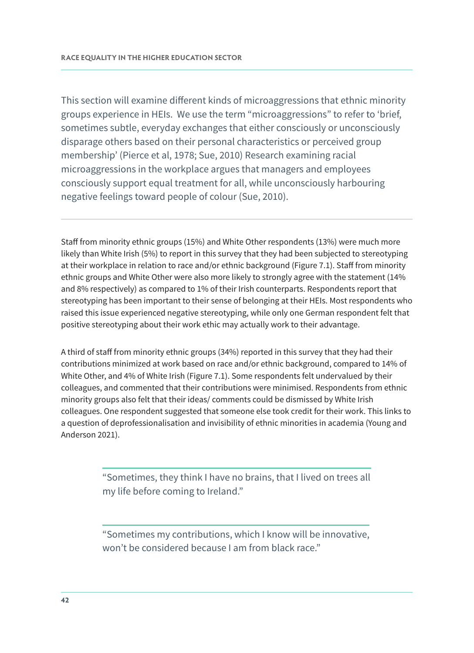This section will examine different kinds of microaggressions that ethnic minority groups experience in HEIs. We use the term "microaggressions" to refer to 'brief, sometimes subtle, everyday exchanges that either consciously or unconsciously disparage others based on their personal characteristics or perceived group membership' (Pierce et al, 1978; Sue, 2010) Research examining racial microaggressions in the workplace argues that managers and employees consciously support equal treatment for all, while unconsciously harbouring negative feelings toward people of colour (Sue, 2010).

Staff from minority ethnic groups (15%) and White Other respondents (13%) were much more likely than White Irish (5%) to report in this survey that they had been subjected to stereotyping at their workplace in relation to race and/or ethnic background (Figure 7.1). Staff from minority ethnic groups and White Other were also more likely to strongly agree with the statement (14% and 8% respectively) as compared to 1% of their Irish counterparts. Respondents report that stereotyping has been important to their sense of belonging at their HEIs. Most respondents who raised this issue experienced negative stereotyping, while only one German respondent felt that positive stereotyping about their work ethic may actually work to their advantage.

A third of staff from minority ethnic groups (34%) reported in this survey that they had their contributions minimized at work based on race and/or ethnic background, compared to 14% of White Other, and 4% of White Irish (Figure 7.1). Some respondents felt undervalued by their colleagues, and commented that their contributions were minimised. Respondents from ethnic minority groups also felt that their ideas/ comments could be dismissed by White Irish colleagues. One respondent suggested that someone else took credit for their work. This links to a question of deprofessionalisation and invisibility of ethnic minorities in academia (Young and Anderson 2021).

> "Sometimes, they think I have no brains, that I lived on trees all my life before coming to Ireland."

> "Sometimes my contributions, which I know will be innovative, won't be considered because I am from black race."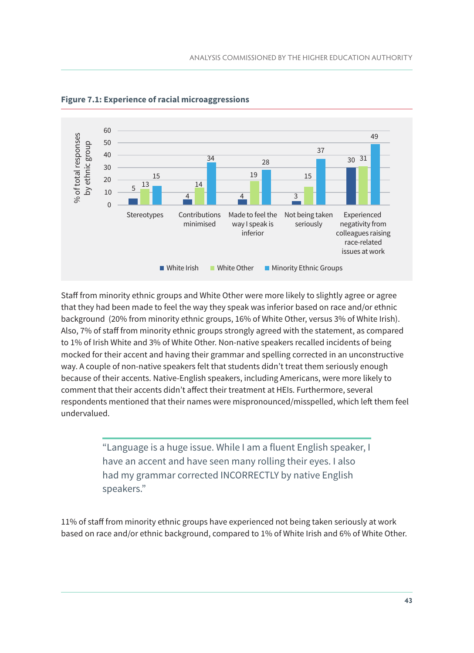

**Figure 7.1: Experience of racial microaggressions** 

Staff from minority ethnic groups and White Other were more likely to slightly agree or agree that they had been made to feel the way they speak was inferior based on race and/or ethnic background (20% from minority ethnic groups, 16% of White Other, versus 3% of White Irish). Also, 7% of staff from minority ethnic groups strongly agreed with the statement, as compared to 1% of Irish White and 3% of White Other. Non-native speakers recalled incidents of being mocked for their accent and having their grammar and spelling corrected in an unconstructive way. A couple of non-native speakers felt that students didn't treat them seriously enough because of their accents. Native-English speakers, including Americans, were more likely to comment that their accents didn't affect their treatment at HEIs. Furthermore, several respondents mentioned that their names were mispronounced/misspelled, which left them feel undervalued.

> "Language is a huge issue. While I am a fluent English speaker, I have an accent and have seen many rolling their eyes. I also had my grammar corrected INCORRECTLY by native English speakers."

11% of staff from minority ethnic groups have experienced not being taken seriously at work based on race and/or ethnic background, compared to 1% of White Irish and 6% of White Other.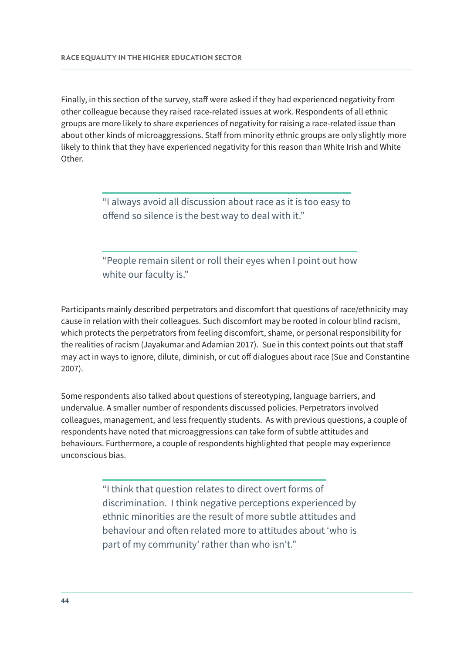Finally, in this section of the survey, staff were asked if they had experienced negativity from other colleague because they raised race-related issues at work. Respondents of all ethnic groups are more likely to share experiences of negativity for raising a race-related issue than about other kinds of microaggressions. Staff from minority ethnic groups are only slightly more likely to think that they have experienced negativity for this reason than White Irish and White Other.

> "I always avoid all discussion about race as it is too easy to offend so silence is the best way to deal with it."

"People remain silent or roll their eyes when I point out how white our faculty is."

Participants mainly described perpetrators and discomfort that questions of race/ethnicity may cause in relation with their colleagues. Such discomfort may be rooted in colour blind racism, which protects the perpetrators from feeling discomfort, shame, or personal responsibility for the realities of racism (Jayakumar and Adamian 2017). Sue in this context points out that staff may act in ways to ignore, dilute, diminish, or cut off dialogues about race (Sue and Constantine 2007).

Some respondents also talked about questions of stereotyping, language barriers, and undervalue. A smaller number of respondents discussed policies. Perpetrators involved colleagues, management, and less frequently students. As with previous questions, a couple of respondents have noted that microaggressions can take form of subtle attitudes and behaviours. Furthermore, a couple of respondents highlighted that people may experience unconscious bias.

> "I think that question relates to direct overt forms of discrimination. I think negative perceptions experienced by ethnic minorities are the result of more subtle attitudes and behaviour and often related more to attitudes about 'who is part of my community' rather than who isn't."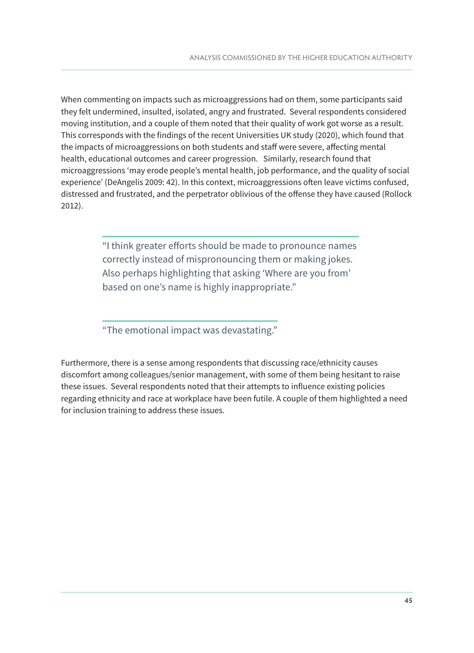When commenting on impacts such as microaggressions had on them, some participants said they felt undermined, insulted, isolated, angry and frustrated. Several respondents considered moving institution, and a couple of them noted that their quality of work got worse as a result. This corresponds with the findings of the recent Universities UK study (2020), which found that the impacts of microaggressions on both students and staff were severe, affecting mental health, educational outcomes and career progression. Similarly, research found that microaggressions 'may erode people's mental health, job performance, and the quality of social experience' (DeAngelis 2009: 42). In this context, microaggressions often leave victims confused, distressed and frustrated, and the perpetrator oblivious of the offense they have caused (Rollock 2012).

> "I think greater efforts should be made to pronounce names correctly instead of mispronouncing them or making jokes. Also perhaps highlighting that asking 'Where are you from' based on one's name is highly inappropriate."

"The emotional impact was devastating."

Furthermore, there is a sense among respondents that discussing race/ethnicity causes discomfort among colleagues/senior management, with some of them being hesitant to raise these issues. Several respondents noted that their attempts to influence existing policies regarding ethnicity and race at workplace have been futile. A couple of them highlighted a need for inclusion training to address these issues.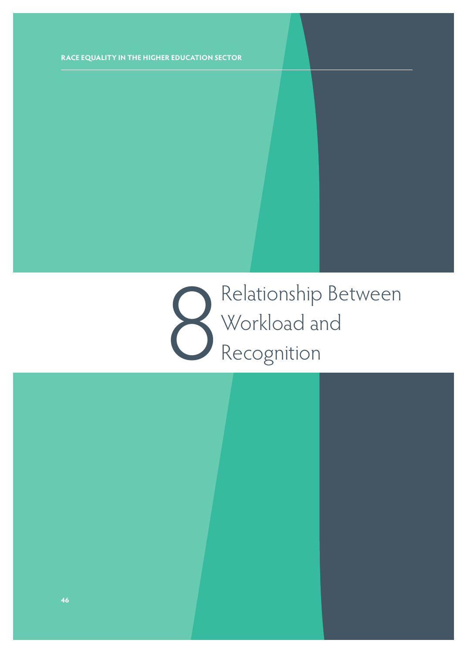8 Relationship Between Workload and Recognition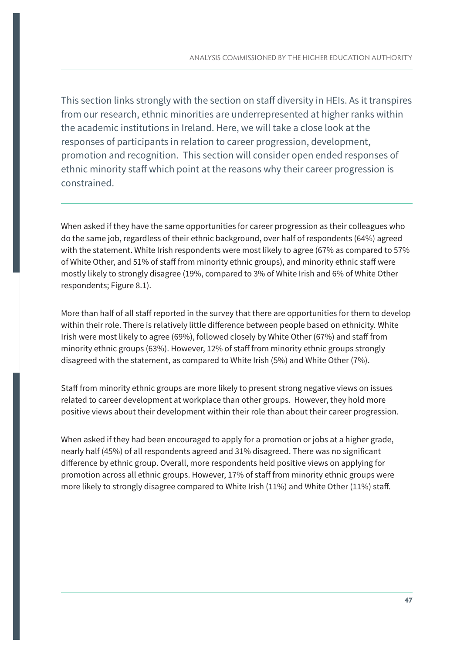This section links strongly with the section on staff diversity in HEIs. As it transpires from our research, ethnic minorities are underrepresented at higher ranks within the academic institutions in Ireland. Here, we will take a close look at the responses of participants in relation to career progression, development, promotion and recognition. This section will consider open ended responses of ethnic minority staff which point at the reasons why their career progression is constrained.

When asked if they have the same opportunities for career progression as their colleagues who do the same job, regardless of their ethnic background, over half of respondents (64%) agreed with the statement. White Irish respondents were most likely to agree (67% as compared to 57% of White Other, and 51% of staff from minority ethnic groups), and minority ethnic staff were mostly likely to strongly disagree (19%, compared to 3% of White Irish and 6% of White Other respondents; Figure 8.1).

More than half of all staff reported in the survey that there are opportunities for them to develop within their role. There is relatively little difference between people based on ethnicity. White Irish were most likely to agree (69%), followed closely by White Other (67%) and staff from minority ethnic groups (63%). However, 12% of staff from minority ethnic groups strongly disagreed with the statement, as compared to White Irish (5%) and White Other (7%).

Staff from minority ethnic groups are more likely to present strong negative views on issues related to career development at workplace than other groups. However, they hold more positive views about their development within their role than about their career progression.

When asked if they had been encouraged to apply for a promotion or jobs at a higher grade, nearly half (45%) of all respondents agreed and 31% disagreed. There was no significant difference by ethnic group. Overall, more respondents held positive views on applying for promotion across all ethnic groups. However, 17% of staff from minority ethnic groups were more likely to strongly disagree compared to White Irish (11%) and White Other (11%) staff.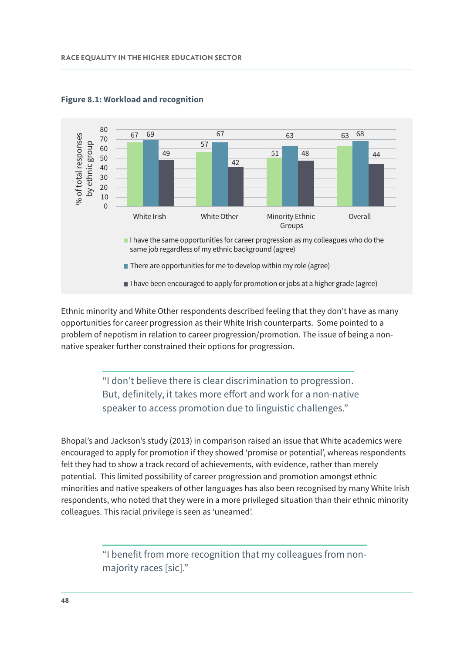

#### **Figure 8.1: Workload and recognition**

Ethnic minority and White Other respondents described feeling that they don't have as many opportunities for career progression as their White Irish counterparts. Some pointed to a problem of nepotism in relation to career progression/promotion. The issue of being a nonnative speaker further constrained their options for progression.

> "I don't believe there is clear discrimination to progression. But, definitely, it takes more effort and work for a non-native speaker to access promotion due to linguistic challenges."

Bhopal's and Jackson's study (2013) in comparison raised an issue that White academics were encouraged to apply for promotion if they showed 'promise or potential', whereas respondents felt they had to show a track record of achievements, with evidence, rather than merely potential. This limited possibility of career progression and promotion amongst ethnic minorities and native speakers of other languages has also been recognised by many White Irish respondents, who noted that they were in a more privileged situation than their ethnic minority colleagues. This racial privilege is seen as 'unearned'.

> "I benefit from more recognition that my colleagues from nonmajority races [sic]."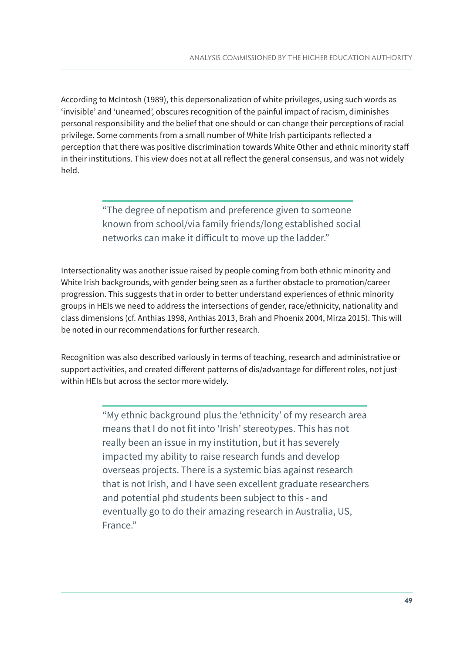According to McIntosh (1989), this depersonalization of white privileges, using such words as 'invisible' and 'unearned', obscures recognition of the painful impact of racism, diminishes personal responsibility and the belief that one should or can change their perceptions of racial privilege. Some comments from a small number of White Irish participants reflected a perception that there was positive discrimination towards White Other and ethnic minority staff in their institutions. This view does not at all reflect the general consensus, and was not widely held.

> "The degree of nepotism and preference given to someone known from school/via family friends/long established social networks can make it difficult to move up the ladder."

Intersectionality was another issue raised by people coming from both ethnic minority and White Irish backgrounds, with gender being seen as a further obstacle to promotion/career progression. This suggests that in order to better understand experiences of ethnic minority groups in HEIs we need to address the intersections of gender, race/ethnicity, nationality and class dimensions (cf. Anthias 1998, Anthias 2013, Brah and Phoenix 2004, Mirza 2015). This will be noted in our recommendations for further research.

Recognition was also described variously in terms of teaching, research and administrative or support activities, and created different patterns of dis/advantage for different roles, not just within HEIs but across the sector more widely.

> "My ethnic background plus the 'ethnicity' of my research area means that I do not fit into 'Irish' stereotypes. This has not really been an issue in my institution, but it has severely impacted my ability to raise research funds and develop overseas projects. There is a systemic bias against research that is not Irish, and I have seen excellent graduate researchers and potential phd students been subject to this - and eventually go to do their amazing research in Australia, US, France."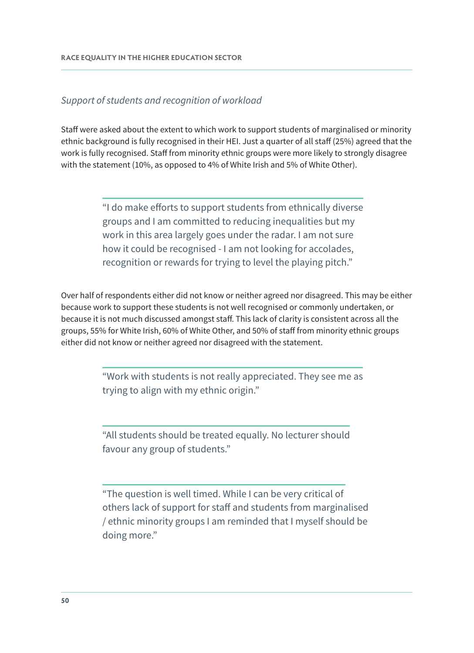#### Support of students and recognition of workload

Staff were asked about the extent to which work to support students of marginalised or minority ethnic background is fully recognised in their HEI. Just a quarter of all staff (25%) agreed that the work is fully recognised. Staff from minority ethnic groups were more likely to strongly disagree with the statement (10%, as opposed to 4% of White Irish and 5% of White Other).

> "I do make efforts to support students from ethnically diverse groups and I am committed to reducing inequalities but my work in this area largely goes under the radar. I am not sure how it could be recognised - I am not looking for accolades, recognition or rewards for trying to level the playing pitch."

Over half of respondents either did not know or neither agreed nor disagreed. This may be either because work to support these students is not well recognised or commonly undertaken, or because it is not much discussed amongst staff. This lack of clarity is consistent across all the groups, 55% for White Irish, 60% of White Other, and 50% of staff from minority ethnic groups either did not know or neither agreed nor disagreed with the statement.

> "Work with students is not really appreciated. They see me as trying to align with my ethnic origin."

"All students should be treated equally. No lecturer should favour any group of students."

"The question is well timed. While I can be very critical of others lack of support for staff and students from marginalised / ethnic minority groups I am reminded that I myself should be doing more."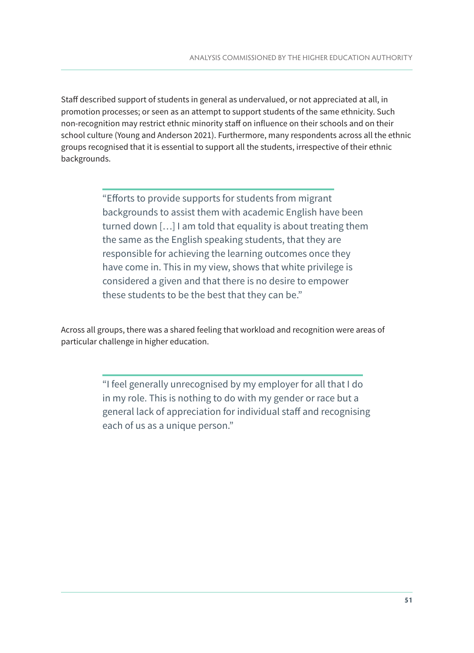Staff described support of students in general as undervalued, or not appreciated at all, in promotion processes; or seen as an attempt to support students of the same ethnicity. Such non-recognition may restrict ethnic minority staff on influence on their schools and on their school culture (Young and Anderson 2021). Furthermore, many respondents across all the ethnic groups recognised that it is essential to support all the students, irrespective of their ethnic backgrounds.

> "Efforts to provide supports for students from migrant backgrounds to assist them with academic English have been turned down […] I am told that equality is about treating them the same as the English speaking students, that they are responsible for achieving the learning outcomes once they have come in. This in my view, shows that white privilege is considered a given and that there is no desire to empower these students to be the best that they can be."

Across all groups, there was a shared feeling that workload and recognition were areas of particular challenge in higher education.

> "I feel generally unrecognised by my employer for all that I do in my role. This is nothing to do with my gender or race but a general lack of appreciation for individual staff and recognising each of us as a unique person."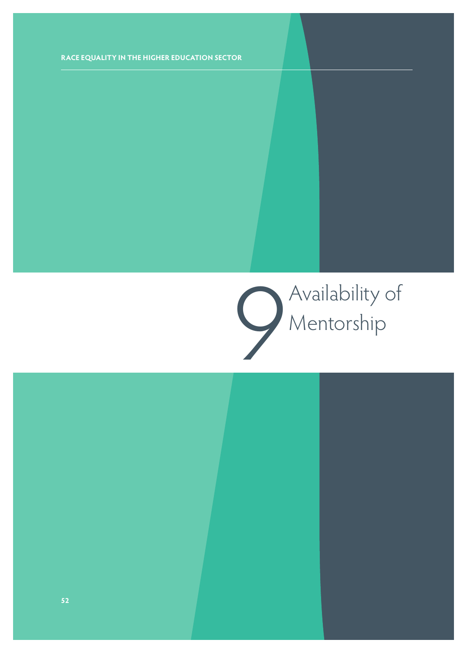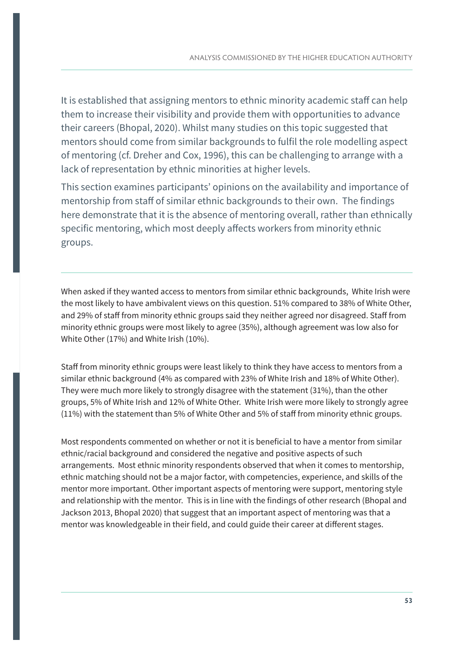It is established that assigning mentors to ethnic minority academic staff can help them to increase their visibility and provide them with opportunities to advance their careers (Bhopal, 2020). Whilst many studies on this topic suggested that mentors should come from similar backgrounds to fulfil the role modelling aspect of mentoring (cf. Dreher and Cox, 1996), this can be challenging to arrange with a lack of representation by ethnic minorities at higher levels.

This section examines participants' opinions on the availability and importance of mentorship from staff of similar ethnic backgrounds to their own. The findings here demonstrate that it is the absence of mentoring overall, rather than ethnically specific mentoring, which most deeply affects workers from minority ethnic groups.

When asked if they wanted access to mentors from similar ethnic backgrounds, White Irish were the most likely to have ambivalent views on this question. 51% compared to 38% of White Other, and 29% of staff from minority ethnic groups said they neither agreed nor disagreed. Staff from minority ethnic groups were most likely to agree (35%), although agreement was low also for White Other (17%) and White Irish (10%).

Staff from minority ethnic groups were least likely to think they have access to mentors from a similar ethnic background (4% as compared with 23% of White Irish and 18% of White Other). They were much more likely to strongly disagree with the statement (31%), than the other groups, 5% of White Irish and 12% of White Other. White Irish were more likely to strongly agree (11%) with the statement than 5% of White Other and 5% of staff from minority ethnic groups.

Most respondents commented on whether or not it is beneficial to have a mentor from similar ethnic/racial background and considered the negative and positive aspects of such arrangements. Most ethnic minority respondents observed that when it comes to mentorship, ethnic matching should not be a major factor, with competencies, experience, and skills of the mentor more important. Other important aspects of mentoring were support, mentoring style and relationship with the mentor. This is in line with the findings of other research (Bhopal and Jackson 2013, Bhopal 2020) that suggest that an important aspect of mentoring was that a mentor was knowledgeable in their field, and could guide their career at different stages.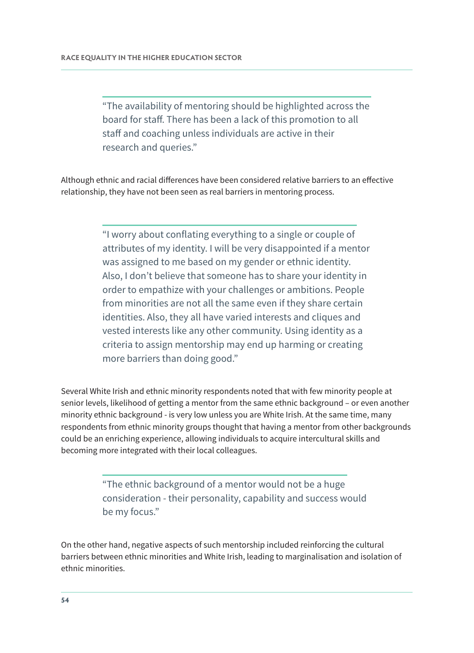"The availability of mentoring should be highlighted across the board for staff. There has been a lack of this promotion to all staff and coaching unless individuals are active in their research and queries."

Although ethnic and racial differences have been considered relative barriers to an effective relationship, they have not been seen as real barriers in mentoring process.

> "I worry about conflating everything to a single or couple of attributes of my identity. I will be very disappointed if a mentor was assigned to me based on my gender or ethnic identity. Also, I don't believe that someone has to share your identity in order to empathize with your challenges or ambitions. People from minorities are not all the same even if they share certain identities. Also, they all have varied interests and cliques and vested interests like any other community. Using identity as a criteria to assign mentorship may end up harming or creating more barriers than doing good."

Several White Irish and ethnic minority respondents noted that with few minority people at senior levels, likelihood of getting a mentor from the same ethnic background – or even another minority ethnic background - is very low unless you are White Irish. At the same time, many respondents from ethnic minority groups thought that having a mentor from other backgrounds could be an enriching experience, allowing individuals to acquire intercultural skills and becoming more integrated with their local colleagues.

> "The ethnic background of a mentor would not be a huge consideration - their personality, capability and success would be my focus."

On the other hand, negative aspects of such mentorship included reinforcing the cultural barriers between ethnic minorities and White Irish, leading to marginalisation and isolation of ethnic minorities.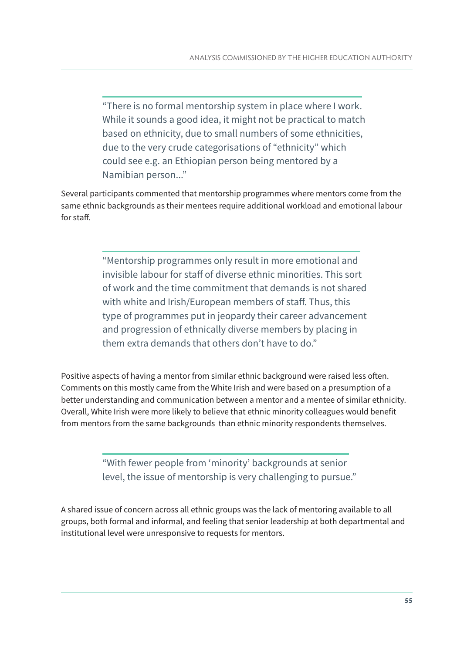"There is no formal mentorship system in place where I work. While it sounds a good idea, it might not be practical to match based on ethnicity, due to small numbers of some ethnicities, due to the very crude categorisations of "ethnicity" which could see e.g. an Ethiopian person being mentored by a Namibian person..."

Several participants commented that mentorship programmes where mentors come from the same ethnic backgrounds as their mentees require additional workload and emotional labour for staff.

> "Mentorship programmes only result in more emotional and invisible labour for staff of diverse ethnic minorities. This sort of work and the time commitment that demands is not shared with white and Irish/European members of staff. Thus, this type of programmes put in jeopardy their career advancement and progression of ethnically diverse members by placing in them extra demands that others don't have to do."

Positive aspects of having a mentor from similar ethnic background were raised less often. Comments on this mostly came from the White Irish and were based on a presumption of a better understanding and communication between a mentor and a mentee of similar ethnicity. Overall, White Irish were more likely to believe that ethnic minority colleagues would benefit from mentors from the same backgrounds than ethnic minority respondents themselves.

> "With fewer people from 'minority' backgrounds at senior level, the issue of mentorship is very challenging to pursue."

A shared issue of concern across all ethnic groups was the lack of mentoring available to all groups, both formal and informal, and feeling that senior leadership at both departmental and institutional level were unresponsive to requests for mentors.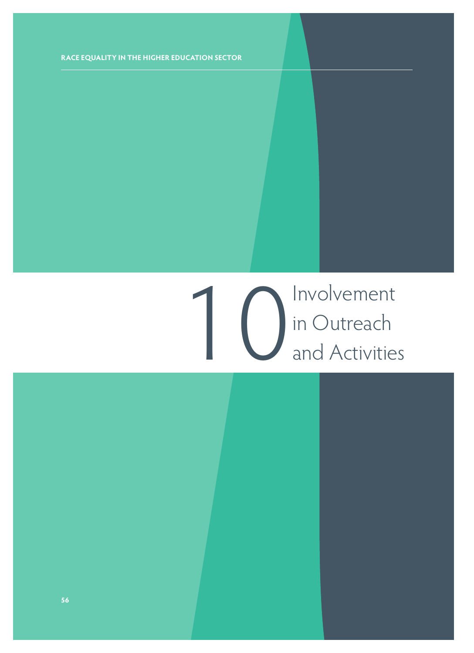## 1<br>10 In Outreach<br>and Activitie in Outreach and Activities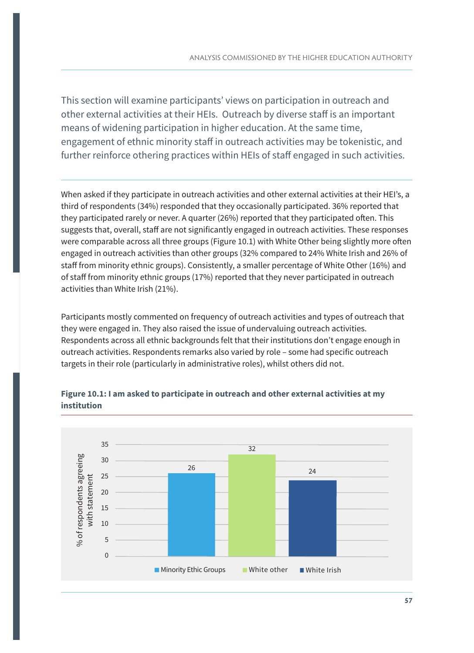This section will examine participants' views on participation in outreach and other external activities at their HEIs. Outreach by diverse staff is an important means of widening participation in higher education. At the same time, engagement of ethnic minority staff in outreach activities may be tokenistic, and further reinforce othering practices within HEIs of staff engaged in such activities.

When asked if they participate in outreach activities and other external activities at their HEI's, a third of respondents (34%) responded that they occasionally participated. 36% reported that they participated rarely or never. A quarter (26%) reported that they participated often. This suggests that, overall, staff are not significantly engaged in outreach activities. These responses were comparable across all three groups (Figure 10.1) with White Other being slightly more often engaged in outreach activities than other groups (32% compared to 24% White Irish and 26% of staff from minority ethnic groups). Consistently, a smaller percentage of White Other (16%) and of staff from minority ethnic groups (17%) reported that they never participated in outreach activities than White Irish (21%).

Participants mostly commented on frequency of outreach activities and types of outreach that they were engaged in. They also raised the issue of undervaluing outreach activities. Respondents across all ethnic backgrounds felt that their institutions don't engage enough in outreach activities. Respondents remarks also varied by role – some had specific outreach targets in their role (particularly in administrative roles), whilst others did not.



#### **Figure 10.1: I am asked to participate in outreach and other external activities at my institution**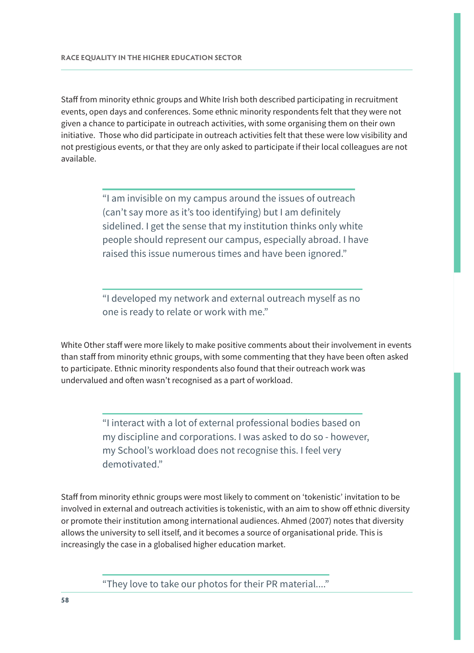Staff from minority ethnic groups and White Irish both described participating in recruitment events, open days and conferences. Some ethnic minority respondents felt that they were not given a chance to participate in outreach activities, with some organising them on their own initiative. Those who did participate in outreach activities felt that these were low visibility and not prestigious events, or that they are only asked to participate if their local colleagues are not available.

> "I am invisible on my campus around the issues of outreach (can't say more as it's too identifying) but I am definitely sidelined. I get the sense that my institution thinks only white people should represent our campus, especially abroad. I have raised this issue numerous times and have been ignored."

"I developed my network and external outreach myself as no one is ready to relate or work with me."

White Other staff were more likely to make positive comments about their involvement in events than staff from minority ethnic groups, with some commenting that they have been often asked to participate. Ethnic minority respondents also found that their outreach work was undervalued and often wasn't recognised as a part of workload.

> "I interact with a lot of external professional bodies based on my discipline and corporations. I was asked to do so - however, my School's workload does not recognise this. I feel very demotivated."

Staff from minority ethnic groups were most likely to comment on 'tokenistic' invitation to be involved in external and outreach activities is tokenistic, with an aim to show off ethnic diversity or promote their institution among international audiences. Ahmed (2007) notes that diversity allows the university to sell itself, and it becomes a source of organisational pride. This is increasingly the case in a globalised higher education market.

"They love to take our photos for their PR material...."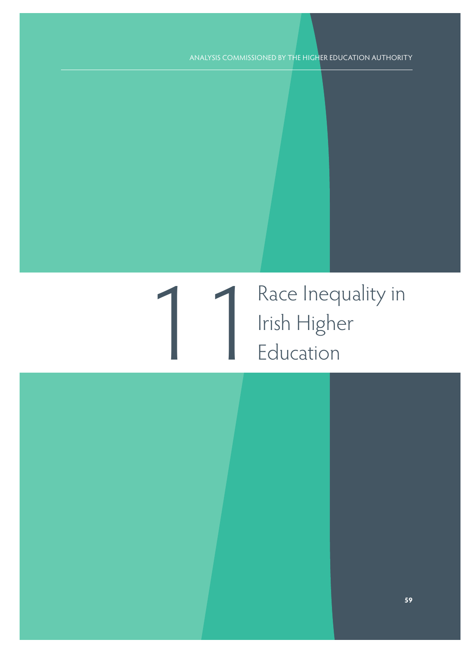### 1 Race Inequality in<br>11 Irish Higher Irish Higher Education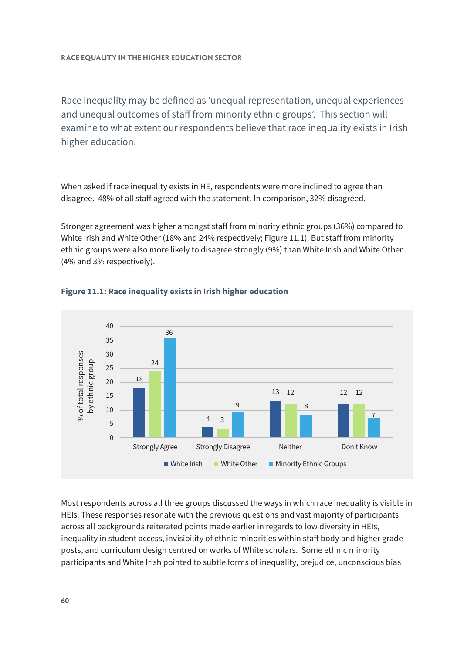Race inequality may be defined as 'unequal representation, unequal experiences and unequal outcomes of staff from minority ethnic groups'. This section will examine to what extent our respondents believe that race inequality exists in Irish higher education.

When asked if race inequality exists in HE, respondents were more inclined to agree than disagree. 48% of all staff agreed with the statement. In comparison, 32% disagreed.

Stronger agreement was higher amongst staff from minority ethnic groups (36%) compared to White Irish and White Other (18% and 24% respectively; Figure 11.1). But staff from minority ethnic groups were also more likely to disagree strongly (9%) than White Irish and White Other (4% and 3% respectively).



#### **Figure 11.1: Race inequality exists in Irish higher education**

Most respondents across all three groups discussed the ways in which race inequality is visible in HEIs. These responses resonate with the previous questions and vast majority of participants across all backgrounds reiterated points made earlier in regards to low diversity in HEIs, inequality in student access, invisibility of ethnic minorities within staff body and higher grade posts, and curriculum design centred on works of White scholars. Some ethnic minority participants and White Irish pointed to subtle forms of inequality, prejudice, unconscious bias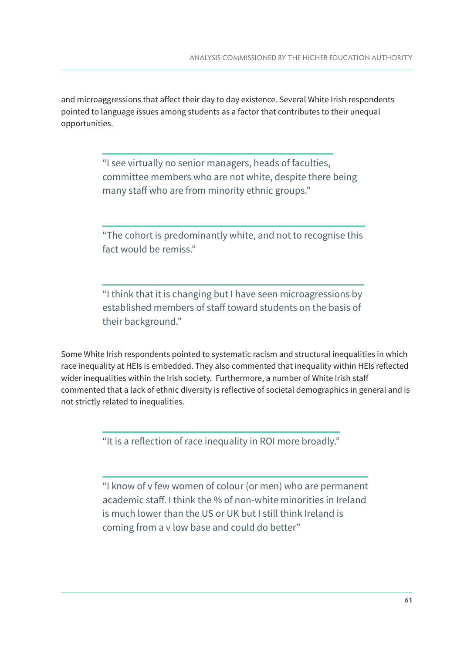and microaggressions that affect their day to day existence. Several White Irish respondents pointed to language issues among students as a factor that contributes to their unequal opportunities.

> "I see virtually no senior managers, heads of faculties, committee members who are not white, despite there being many staff who are from minority ethnic groups."

"The cohort is predominantly white, and not to recognise this fact would be remiss."

"I think that it is changing but I have seen microagressions by established members of staff toward students on the basis of their background."

Some White Irish respondents pointed to systematic racism and structural inequalities in which race inequality at HEIs is embedded. They also commented that inequality within HEIs reflected wider inequalities within the Irish society. Furthermore, a number of White Irish staff commented that a lack of ethnic diversity is reflective of societal demographics in general and is not strictly related to inequalities.

"It is a reflection of race inequality in ROI more broadly."

"I know of v few women of colour (or men) who are permanent academic staff. I think the % of non-white minorities in Ireland is much lower than the US or UK but I still think Ireland is coming from a v low base and could do better"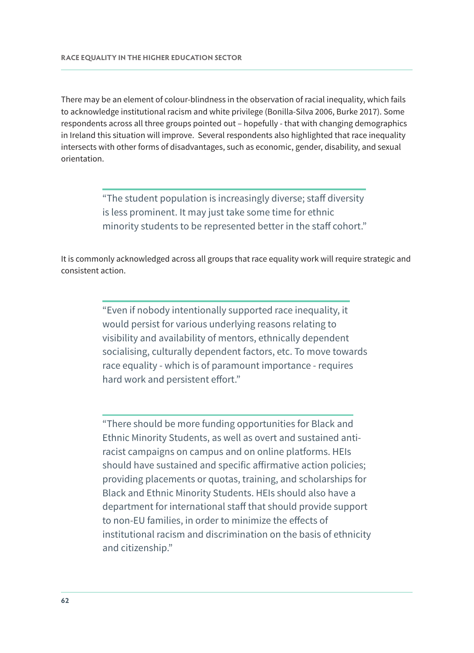There may be an element of colour-blindness in the observation of racial inequality, which fails to acknowledge institutional racism and white privilege (Bonilla-Silva 2006, Burke 2017). Some respondents across all three groups pointed out – hopefully - that with changing demographics in Ireland this situation will improve. Several respondents also highlighted that race inequality intersects with other forms of disadvantages, such as economic, gender, disability, and sexual orientation.

> "The student population is increasingly diverse; staff diversity is less prominent. It may just take some time for ethnic minority students to be represented better in the staff cohort."

It is commonly acknowledged across all groups that race equality work will require strategic and consistent action.

> "Even if nobody intentionally supported race inequality, it would persist for various underlying reasons relating to visibility and availability of mentors, ethnically dependent socialising, culturally dependent factors, etc. To move towards race equality - which is of paramount importance - requires hard work and persistent effort."

"There should be more funding opportunities for Black and Ethnic Minority Students, as well as overt and sustained antiracist campaigns on campus and on online platforms. HEIs should have sustained and specific affirmative action policies; providing placements or quotas, training, and scholarships for Black and Ethnic Minority Students. HEIs should also have a department for international staff that should provide support to non-EU families, in order to minimize the effects of institutional racism and discrimination on the basis of ethnicity and citizenship."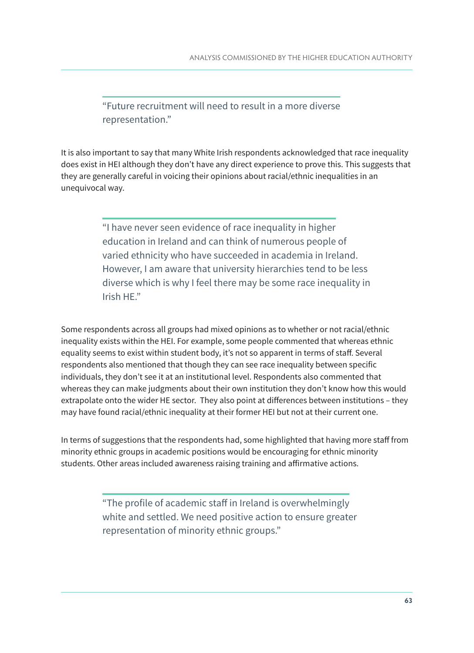"Future recruitment will need to result in a more diverse representation."

It is also important to say that many White Irish respondents acknowledged that race inequality does exist in HEI although they don't have any direct experience to prove this. This suggests that they are generally careful in voicing their opinions about racial/ethnic inequalities in an unequivocal way.

> "I have never seen evidence of race inequality in higher education in Ireland and can think of numerous people of varied ethnicity who have succeeded in academia in Ireland. However, I am aware that university hierarchies tend to be less diverse which is why I feel there may be some race inequality in Irish HE."

Some respondents across all groups had mixed opinions as to whether or not racial/ethnic inequality exists within the HEI. For example, some people commented that whereas ethnic equality seems to exist within student body, it's not so apparent in terms of staff. Several respondents also mentioned that though they can see race inequality between specific individuals, they don't see it at an institutional level. Respondents also commented that whereas they can make judgments about their own institution they don't know how this would extrapolate onto the wider HE sector. They also point at differences between institutions – they may have found racial/ethnic inequality at their former HEI but not at their current one.

In terms of suggestions that the respondents had, some highlighted that having more staff from minority ethnic groups in academic positions would be encouraging for ethnic minority students. Other areas included awareness raising training and affirmative actions.

> "The profile of academic staff in Ireland is overwhelmingly white and settled. We need positive action to ensure greater representation of minority ethnic groups."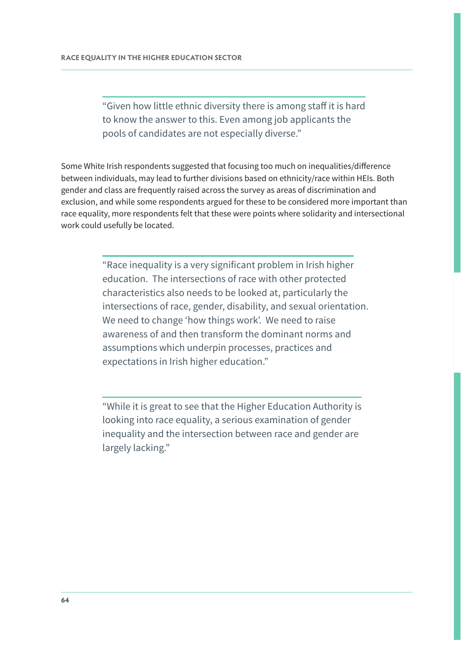"Given how little ethnic diversity there is among staff it is hard to know the answer to this. Even among job applicants the pools of candidates are not especially diverse."

Some White Irish respondents suggested that focusing too much on inequalities/difference between individuals, may lead to further divisions based on ethnicity/race within HEIs. Both gender and class are frequently raised across the survey as areas of discrimination and exclusion, and while some respondents argued for these to be considered more important than race equality, more respondents felt that these were points where solidarity and intersectional work could usefully be located.

> "Race inequality is a very significant problem in Irish higher education. The intersections of race with other protected characteristics also needs to be looked at, particularly the intersections of race, gender, disability, and sexual orientation. We need to change 'how things work'. We need to raise awareness of and then transform the dominant norms and assumptions which underpin processes, practices and expectations in Irish higher education."

"While it is great to see that the Higher Education Authority is looking into race equality, a serious examination of gender inequality and the intersection between race and gender are largely lacking."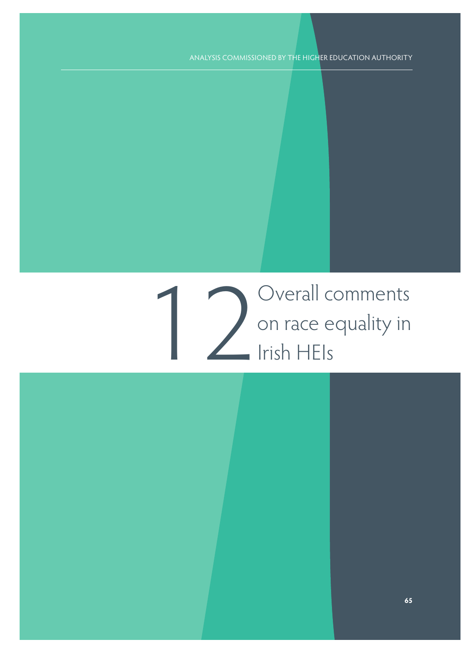12 Overall comments<br>
12 On race equality in<br>
12 Irish HEIs on race equality in Irish HEIs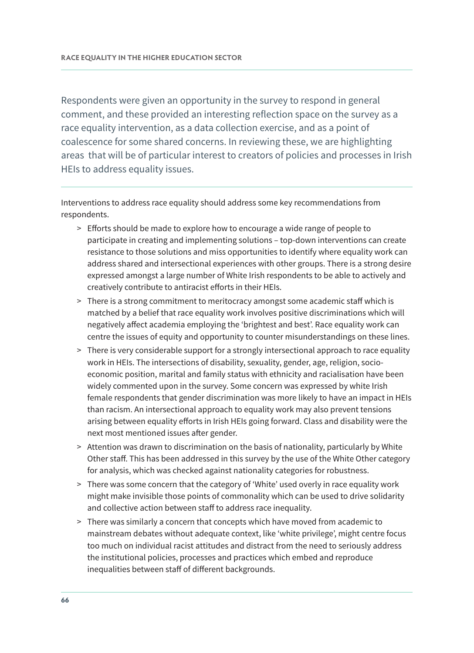Respondents were given an opportunity in the survey to respond in general comment, and these provided an interesting reflection space on the survey as a race equality intervention, as a data collection exercise, and as a point of coalescence for some shared concerns. In reviewing these, we are highlighting areas that will be of particular interest to creators of policies and processes in Irish HEIs to address equality issues.

Interventions to address race equality should address some key recommendations from respondents.

- > Efforts should be made to explore how to encourage a wide range of people to participate in creating and implementing solutions – top-down interventions can create resistance to those solutions and miss opportunities to identify where equality work can address shared and intersectional experiences with other groups. There is a strong desire expressed amongst a large number of White Irish respondents to be able to actively and creatively contribute to antiracist efforts in their HEIs.
- > There is a strong commitment to meritocracy amongst some academic staff which is matched by a belief that race equality work involves positive discriminations which will negatively affect academia employing the 'brightest and best'. Race equality work can centre the issues of equity and opportunity to counter misunderstandings on these lines.
- > There is very considerable support for a strongly intersectional approach to race equality work in HEIs. The intersections of disability, sexuality, gender, age, religion, socioeconomic position, marital and family status with ethnicity and racialisation have been widely commented upon in the survey. Some concern was expressed by white Irish female respondents that gender discrimination was more likely to have an impact in HEIs than racism. An intersectional approach to equality work may also prevent tensions arising between equality efforts in Irish HEIs going forward. Class and disability were the next most mentioned issues after gender.
- > Attention was drawn to discrimination on the basis of nationality, particularly by White Other staff. This has been addressed in this survey by the use of the White Other category for analysis, which was checked against nationality categories for robustness.
- > There was some concern that the category of 'White' used overly in race equality work might make invisible those points of commonality which can be used to drive solidarity and collective action between staff to address race inequality.
- > There was similarly a concern that concepts which have moved from academic to mainstream debates without adequate context, like 'white privilege', might centre focus too much on individual racist attitudes and distract from the need to seriously address the institutional policies, processes and practices which embed and reproduce inequalities between staff of different backgrounds.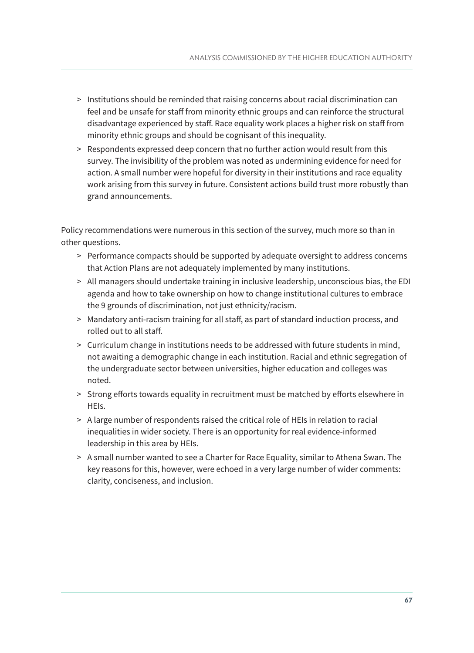- > Institutions should be reminded that raising concerns about racial discrimination can feel and be unsafe for staff from minority ethnic groups and can reinforce the structural disadvantage experienced by staff. Race equality work places a higher risk on staff from minority ethnic groups and should be cognisant of this inequality.
- > Respondents expressed deep concern that no further action would result from this survey. The invisibility of the problem was noted as undermining evidence for need for action. A small number were hopeful for diversity in their institutions and race equality work arising from this survey in future. Consistent actions build trust more robustly than grand announcements.

Policy recommendations were numerous in this section of the survey, much more so than in other questions.

- > Performance compacts should be supported by adequate oversight to address concerns that Action Plans are not adequately implemented by many institutions.
- > All managers should undertake training in inclusive leadership, unconscious bias, the EDI agenda and how to take ownership on how to change institutional cultures to embrace the 9 grounds of discrimination, not just ethnicity/racism.
- > Mandatory anti-racism training for all staff, as part of standard induction process, and rolled out to all staff.
- > Curriculum change in institutions needs to be addressed with future students in mind, not awaiting a demographic change in each institution. Racial and ethnic segregation of the undergraduate sector between universities, higher education and colleges was noted.
- > Strong efforts towards equality in recruitment must be matched by efforts elsewhere in HEIs.
- > A large number of respondents raised the critical role of HEIs in relation to racial inequalities in wider society. There is an opportunity for real evidence-informed leadership in this area by HEIs.
- > A small number wanted to see a Charter for Race Equality, similar to Athena Swan. The key reasons for this, however, were echoed in a very large number of wider comments: clarity, conciseness, and inclusion.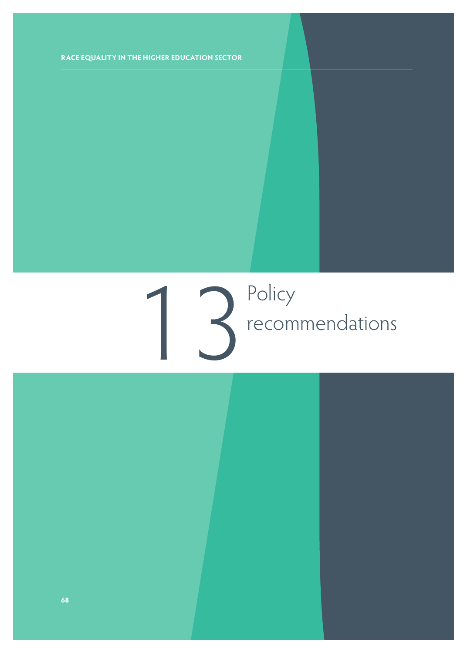# 13 Policy<br>Precom recommendations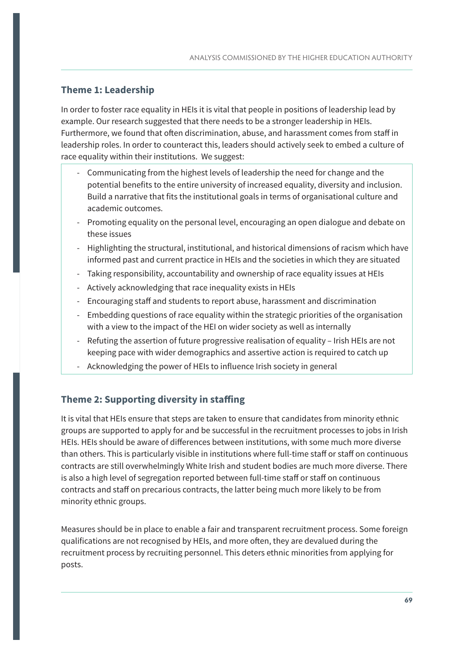#### **Theme 1: Leadership**

In order to foster race equality in HEIs it is vital that people in positions of leadership lead by example. Our research suggested that there needs to be a stronger leadership in HEIs. Furthermore, we found that often discrimination, abuse, and harassment comes from staff in leadership roles. In order to counteract this, leaders should actively seek to embed a culture of race equality within their institutions. We suggest:

- Communicating from the highest levels of leadership the need for change and the potential benefits to the entire university of increased equality, diversity and inclusion. Build a narrative that fits the institutional goals in terms of organisational culture and academic outcomes.
- Promoting equality on the personal level, encouraging an open dialogue and debate on these issues
- Highlighting the structural, institutional, and historical dimensions of racism which have informed past and current practice in HEIs and the societies in which they are situated
- Taking responsibility, accountability and ownership of race equality issues at HEIs
- Actively acknowledging that race inequality exists in HEIs
- Encouraging staff and students to report abuse, harassment and discrimination
- Embedding questions of race equality within the strategic priorities of the organisation with a view to the impact of the HEI on wider society as well as internally
- Refuting the assertion of future progressive realisation of equality Irish HEIs are not keeping pace with wider demographics and assertive action is required to catch up
- Acknowledging the power of HEIs to influence Irish society in general

#### **Theme 2: Supporting diversity in staffing**

It is vital that HEIs ensure that steps are taken to ensure that candidates from minority ethnic groups are supported to apply for and be successful in the recruitment processes to jobs in Irish HEIs. HEIs should be aware of differences between institutions, with some much more diverse than others. This is particularly visible in institutions where full-time staff or staff on continuous contracts are still overwhelmingly White Irish and student bodies are much more diverse. There is also a high level of segregation reported between full-time staff or staff on continuous contracts and staff on precarious contracts, the latter being much more likely to be from minority ethnic groups.

Measures should be in place to enable a fair and transparent recruitment process. Some foreign qualifications are not recognised by HEIs, and more often, they are devalued during the recruitment process by recruiting personnel. This deters ethnic minorities from applying for posts.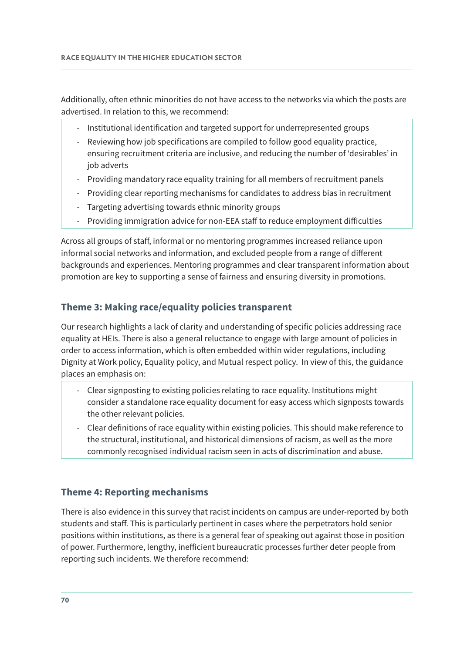Additionally, often ethnic minorities do not have access to the networks via which the posts are advertised. In relation to this, we recommend:

- Institutional identification and targeted support for underrepresented groups
- Reviewing how job specifications are compiled to follow good equality practice, ensuring recruitment criteria are inclusive, and reducing the number of 'desirables' in job adverts
- Providing mandatory race equality training for all members of recruitment panels
- Providing clear reporting mechanisms for candidates to address bias in recruitment
- Targeting advertising towards ethnic minority groups
- Providing immigration advice for non-EEA staff to reduce employment difficulties

Across all groups of staff, informal or no mentoring programmes increased reliance upon informal social networks and information, and excluded people from a range of different backgrounds and experiences. Mentoring programmes and clear transparent information about promotion are key to supporting a sense of fairness and ensuring diversity in promotions.

#### **Theme 3: Making race/equality policies transparent**

Our research highlights a lack of clarity and understanding of specific policies addressing race equality at HEIs. There is also a general reluctance to engage with large amount of policies in order to access information, which is often embedded within wider regulations, including Dignity at Work policy, Equality policy, and Mutual respect policy. In view of this, the guidance places an emphasis on:

- Clear signposting to existing policies relating to race equality. Institutions might consider a standalone race equality document for easy access which signposts towards the other relevant policies.
- Clear definitions of race equality within existing policies. This should make reference to the structural, institutional, and historical dimensions of racism, as well as the more commonly recognised individual racism seen in acts of discrimination and abuse.

#### **Theme 4: Reporting mechanisms**

There is also evidence in this survey that racist incidents on campus are under-reported by both students and staff. This is particularly pertinent in cases where the perpetrators hold senior positions within institutions, as there is a general fear of speaking out against those in position of power. Furthermore, lengthy, inefficient bureaucratic processes further deter people from reporting such incidents. We therefore recommend: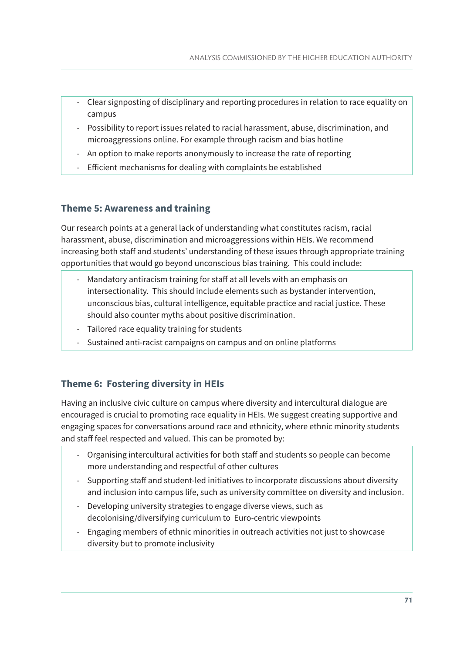- Clear signposting of disciplinary and reporting procedures in relation to race equality on campus
- Possibility to report issues related to racial harassment, abuse, discrimination, and microaggressions online. For example through racism and bias hotline
- An option to make reports anonymously to increase the rate of reporting
- Efficient mechanisms for dealing with complaints be established

#### **Theme 5: Awareness and training**

Our research points at a general lack of understanding what constitutes racism, racial harassment, abuse, discrimination and microaggressions within HEIs. We recommend increasing both staff and students' understanding of these issues through appropriate training opportunities that would go beyond unconscious bias training. This could include:

- Mandatory antiracism training for staff at all levels with an emphasis on intersectionality. This should include elements such as bystander intervention, unconscious bias, cultural intelligence, equitable practice and racial justice. These should also counter myths about positive discrimination.
- Tailored race equality training for students
- Sustained anti-racist campaigns on campus and on online platforms

#### **Theme 6: Fostering diversity in HEIs**

Having an inclusive civic culture on campus where diversity and intercultural dialogue are encouraged is crucial to promoting race equality in HEIs. We suggest creating supportive and engaging spaces for conversations around race and ethnicity, where ethnic minority students and staff feel respected and valued. This can be promoted by:

- Organising intercultural activities for both staff and students so people can become more understanding and respectful of other cultures
- Supporting staff and student-led initiatives to incorporate discussions about diversity and inclusion into campus life, such as university committee on diversity and inclusion.
- Developing university strategies to engage diverse views, such as decolonising/diversifying curriculum to Euro-centric viewpoints
- Engaging members of ethnic minorities in outreach activities not just to showcase diversity but to promote inclusivity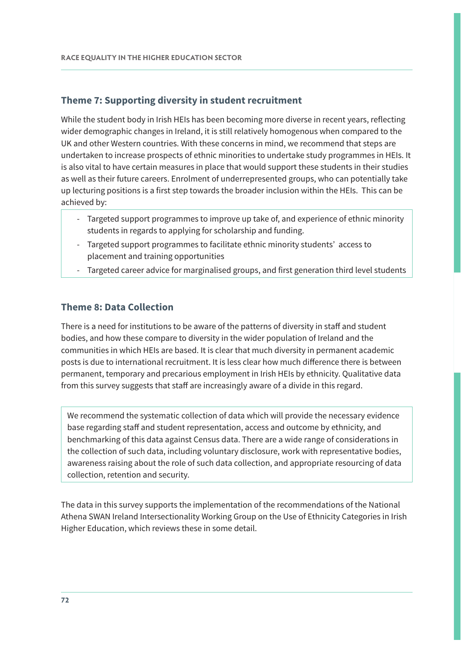#### **Theme 7: Supporting diversity in student recruitment**

While the student body in Irish HEIs has been becoming more diverse in recent years, reflecting wider demographic changes in Ireland, it is still relatively homogenous when compared to the UK and other Western countries. With these concerns in mind, we recommend that steps are undertaken to increase prospects of ethnic minorities to undertake study programmes in HEIs. It is also vital to have certain measures in place that would support these students in their studies as well as their future careers. Enrolment of underrepresented groups, who can potentially take up lecturing positions is a first step towards the broader inclusion within the HEIs. This can be achieved by:

- Targeted support programmes to improve up take of, and experience of ethnic minority students in regards to applying for scholarship and funding.
- Targeted support programmes to facilitate ethnic minority students' access to placement and training opportunities
- Targeted career advice for marginalised groups, and first generation third level students

#### **Theme 8: Data Collection**

There is a need for institutions to be aware of the patterns of diversity in staff and student bodies, and how these compare to diversity in the wider population of Ireland and the communities in which HEIs are based. It is clear that much diversity in permanent academic posts is due to international recruitment. It is less clear how much difference there is between permanent, temporary and precarious employment in Irish HEIs by ethnicity. Qualitative data from this survey suggests that staff are increasingly aware of a divide in this regard.

We recommend the systematic collection of data which will provide the necessary evidence base regarding staff and student representation, access and outcome by ethnicity, and benchmarking of this data against Census data. There are a wide range of considerations in the collection of such data, including voluntary disclosure, work with representative bodies, awareness raising about the role of such data collection, and appropriate resourcing of data collection, retention and security.

The data in this survey supports the implementation of the recommendations of the National Athena SWAN Ireland Intersectionality Working Group on the Use of Ethnicity Categories in Irish Higher Education, which reviews these in some detail.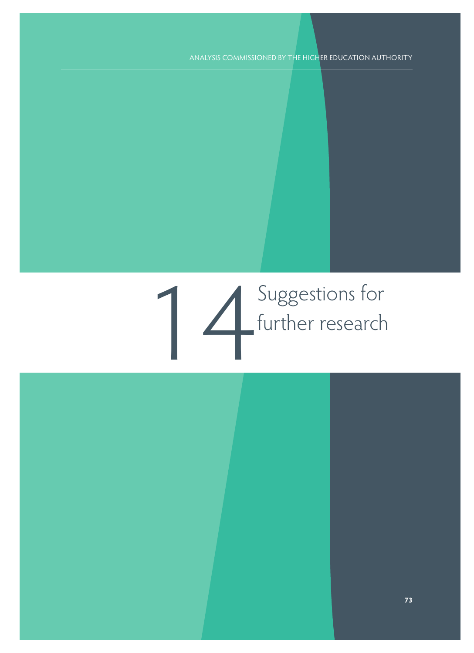# Suggestions for<br>further research further research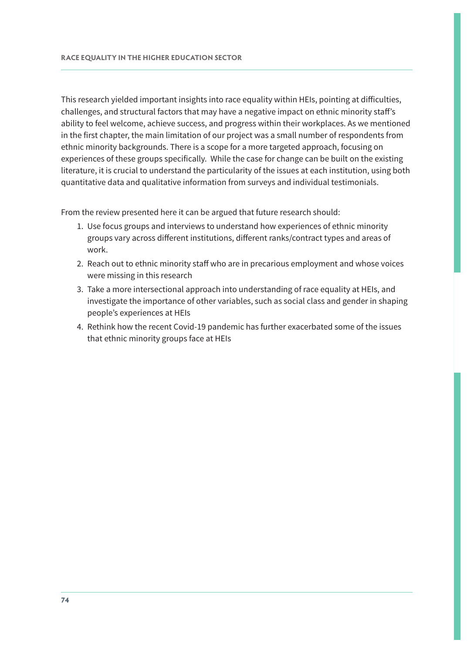This research yielded important insights into race equality within HEIs, pointing at difficulties, challenges, and structural factors that may have a negative impact on ethnic minority staff's ability to feel welcome, achieve success, and progress within their workplaces. As we mentioned in the first chapter, the main limitation of our project was a small number of respondents from ethnic minority backgrounds. There is a scope for a more targeted approach, focusing on experiences of these groups specifically. While the case for change can be built on the existing literature, it is crucial to understand the particularity of the issues at each institution, using both quantitative data and qualitative information from surveys and individual testimonials.

From the review presented here it can be argued that future research should:

- 1. Use focus groups and interviews to understand how experiences of ethnic minority groups vary across different institutions, different ranks/contract types and areas of work.
- 2. Reach out to ethnic minority staff who are in precarious employment and whose voices were missing in this research
- 3. Take a more intersectional approach into understanding of race equality at HEIs, and investigate the importance of other variables, such as social class and gender in shaping people's experiences at HEIs
- 4. Rethink how the recent Covid-19 pandemic has further exacerbated some of the issues that ethnic minority groups face at HEIs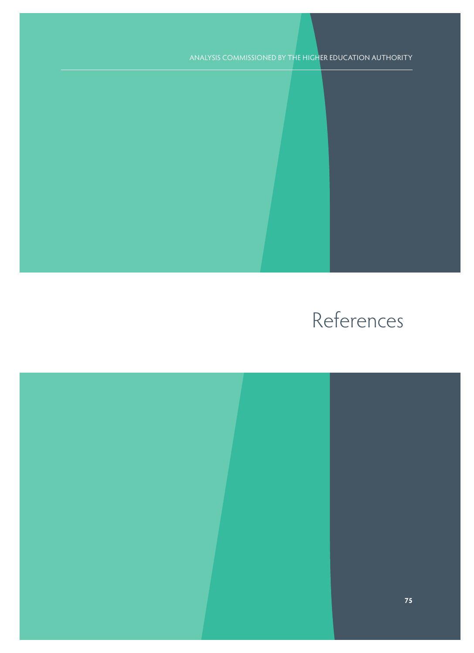## References

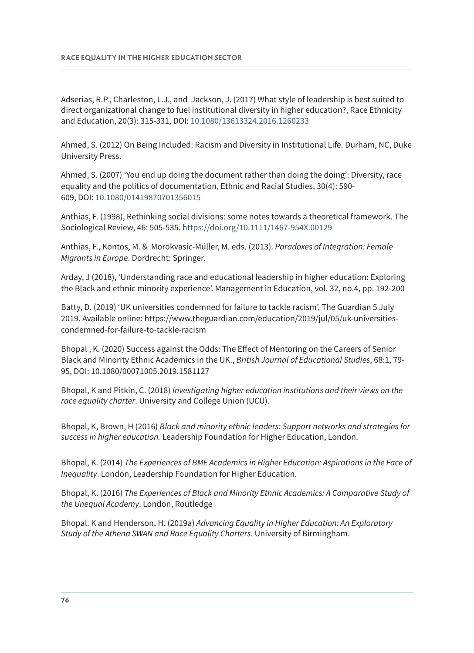Adserias, R.P., Charleston, L.J., and Jackson, J. (2017) What style of leadership is best suited to direct organizational change to fuel institutional diversity in higher education?, Race Ethnicity and Education, 20(3): 315-331, DOI: [10.1080/13613324.2016.1260233](https://doi-org.queens.ezp1.qub.ac.uk/10.1080/13613324.2016.1260233)

Ahmed, S. (2012) On Being Included: Racism and Diversity in Institutional Life. Durham, NC, Duke University Press.

Ahmed, S. (2007) 'You end up doing the document rather than doing the doing': Diversity, race equality and the politics of documentation, Ethnic and Racial Studies, 30(4): 590- 609, DOI: [10.1080/01419870701356015](https://doi-org.queens.ezp1.qub.ac.uk/10.1080/01419870701356015)

Anthias, F. (1998), Rethinking social divisions: some notes towards a theoretical framework. The Sociological Review, 46: 505-535.<https://doi.org/10.1111/1467-954X.00129>

Anthias, F., Kontos, M. & Morokvasic-Müller, M. eds. (2013). Paradoxes of Integration: Female Migrants in Europe. Dordrecht: Springer.

Arday, J (2018), 'Understanding race and educational leadership in higher education: Exploring the Black and ethnic minority experience'. Management in Education, vol. 32, no.4, pp. 192-200

Batty, D. (2019) 'UK universities condemned for failure to tackle racism', The Guardian 5 July 2019. Available online: [https://www.theguardian.com/education/2019/jul/05/uk-universities](https://www.theguardian.com/education/2019/jul/05/uk-universities-condemned-for-failure-to-tackle-racism)[condemned-for-failure-to-tackle-racism](https://www.theguardian.com/education/2019/jul/05/uk-universities-condemned-for-failure-to-tackle-racism) 

Bhopal , K. (2020) Success against the Odds: The Effect of Mentoring on the Careers of Senior Black and Minority Ethnic Academics in the UK., British Journal of Educational Studies, 68:1, 79- 95, DOI: 10.1080/00071005.2019.1581127

Bhopal, K and Pitkin, C. (2018) Investigating higher education institutions and their views on the race equality charter. University and College Union (UCU).

Bhopal, K, Brown, H (2016) Black and minority ethnic leaders: Support networks and strategies for success in higher education. Leadership Foundation for Higher Education, London.

Bhopal, K. (2014) The Experiences of BME Academics in Higher Education: Aspirations in the Face of Inequality. London, Leadership Foundation for Higher Education.

Bhopal, K. (2016) The Experiences of Black and Minority Ethnic Academics: A Comparative Study of the Unequal Academy. London, Routledge

Bhopal. K and Henderson, H. (2019a) Advancing Equality in Higher Education: An Exploratory Study of the Athena SWAN and Race Equality Charters. University of Birmingham.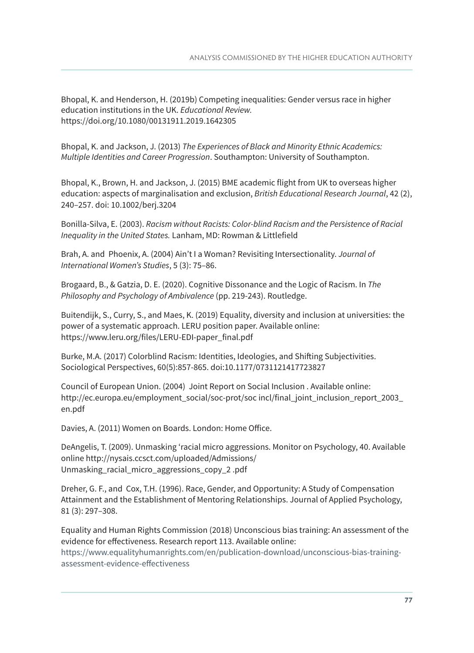Bhopal, K. and Henderson, H. (2019b) Competing inequalities: Gender versus race in higher education institutions in the UK. Educational Review. <https://doi.org/10.1080/00131911.2019.1642305>

Bhopal, K. and Jackson, J. (2013) The Experiences of Black and Minority Ethnic Academics: Multiple Identities and Career Progression. Southampton: University of Southampton.

Bhopal, K., Brown, H. and Jackson, J. (2015) BME academic flight from UK to overseas higher education: aspects of marginalisation and exclusion, British Educational Research Journal, 42 (2), 240–257. doi: 10.1002/berj.3204

Bonilla-Silva, E. (2003). Racism without Racists: Color-blind Racism and the Persistence of Racial Inequality in the United States. Lanham, MD: Rowman & Littlefield

Brah, A. and Phoenix, A. (2004) Ain't I a Woman? Revisiting Intersectionality. Journal of International Women's Studies, 5 (3): 75–86.

Brogaard, B., & Gatzia, D. E. (2020). Cognitive Dissonance and the Logic of Racism. In The Philosophy and Psychology of Ambivalence (pp. 219-243). Routledge.

Buitendijk, S., Curry, S., and Maes, K. (2019) Equality, diversity and inclusion at universities: the power of a systematic approach. LERU position paper. Available online: [https://www.leru.org/files/LERU-EDI-paper\\_final.pdf](https://www.leru.org/files/LERU-EDI-paper_final.pdf) 

Burke, M.A. (2017) Colorblind Racism: Identities, Ideologies, and Shifting Subjectivities. Sociological Perspectives, 60(5):857-865. doi:10.1177/0731121417723827

Council of European Union. (2004) Joint Report on Social Inclusion . Available online: [http://ec.europa.eu/employment\\_social/soc-prot/soc incl/final\\_joint\\_inclusion\\_report\\_2003\\_](http://ec.europa.eu/employment_social/soc-prot/soc incl/final_joint_inclusion_report_2003_ en.pdf)  [en.pdf](http://ec.europa.eu/employment_social/soc-prot/soc incl/final_joint_inclusion_report_2003_ en.pdf) 

Davies, A. (2011) Women on Boards. London: Home Office.

DeAngelis, T. (2009). Unmasking 'racial micro aggressions. Monitor on Psychology, 40. Available online [http://nysais.ccsct.com/uploaded/Admissions/](http://nysais.ccsct.com/uploaded/Admissions/ Unmasking_racial_micro_aggressions_copy_2 .pd)  [Unmasking\\_racial\\_micro\\_aggressions\\_copy\\_2 .pdf](http://nysais.ccsct.com/uploaded/Admissions/ Unmasking_racial_micro_aggressions_copy_2 .pd)

Dreher, G. F., and Cox, T.H. (1996). Race, Gender, and Opportunity: A Study of Compensation Attainment and the Establishment of Mentoring Relationships. Journal of Applied Psychology, 81 (3): 297–308.

Equality and Human Rights Commission (2018) Unconscious bias training: An assessment of the evidence for effectiveness. Research report 113. Available online: [https://www.equalityhumanrights.com/en/publication-download/unconscious-bias-training](https://www.equalityhumanrights.com/en/publication-download/unconscious-bias-training-assessment-evidence-effectiveness)[assessment-evidence-effectiveness](https://www.equalityhumanrights.com/en/publication-download/unconscious-bias-training-assessment-evidence-effectiveness)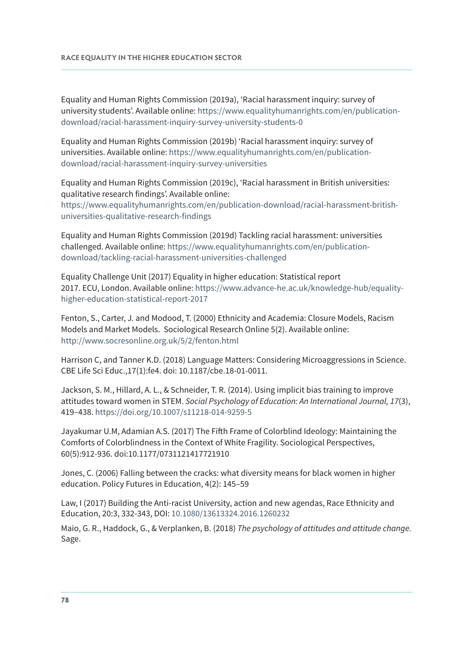Equality and Human Rights Commission (2019a), 'Racial harassment inquiry: survey of university students'. Available online: [https://www.equalityhumanrights.com/en/publication](https://www.equalityhumanrights.com/en/publication-download/racial-harassment-inquiry-survey-university-students-0)[download/racial-harassment-inquiry-survey-university-students-0](https://www.equalityhumanrights.com/en/publication-download/racial-harassment-inquiry-survey-university-students-0)

Equality and Human Rights Commission (2019b) 'Racial harassment inquiry: survey of universities. Available online: [https://www.equalityhumanrights.com/en/publication](https://www.equalityhumanrights.com/en/publication-download/racial-harassment-inquiry-survey-universities)[download/racial-harassment-inquiry-survey-universities](https://www.equalityhumanrights.com/en/publication-download/racial-harassment-inquiry-survey-universities)

Equality and Human Rights Commission (2019c), 'Racial harassment in British universities: qualitative research findings'. Available online: [https://www.equalityhumanrights.com/en/publication-download/racial-harassment-british](https://www.equalityhumanrights.com/en/publication-download/racial-harassment-british-universities-qualitative-research-findings)[universities-qualitative-research-findings](https://www.equalityhumanrights.com/en/publication-download/racial-harassment-british-universities-qualitative-research-findings)

Equality and Human Rights Commission (2019d) Tackling racial harassment: universities challenged. Available online: [https://www.equalityhumanrights.com/en/publication](https://www.equalityhumanrights.com/en/publication-download/tackling-racial-harassment-universities-challenged)[download/tackling-racial-harassment-universities-challenged](https://www.equalityhumanrights.com/en/publication-download/tackling-racial-harassment-universities-challenged) 

Equality Challenge Unit (2017) Equality in higher education: Statistical report 2017. ECU, London. Available online: [https://www.advance-he.ac.uk/knowledge-hub/equality](https://www.advance-he.ac.uk/knowledge-hub/equality-higher-education-statistical-report-2017)[higher-education-statistical-report-2017](https://www.advance-he.ac.uk/knowledge-hub/equality-higher-education-statistical-report-2017) 

Fenton, S., Carter, J. and Modood, T. (2000) Ethnicity and Academia: Closure Models, Racism Models and Market Models. Sociological Research Online 5(2). Available online: <http://www.socresonline.org.uk/5/2/fenton.html>

Harrison C, and Tanner K.D. (2018) Language Matters: Considering Microaggressions in Science. CBE Life Sci Educ.,17(1):fe4. doi: 10.1187/cbe.18-01-0011.

Jackson, S. M., Hillard, A. L., & Schneider, T. R. (2014). Using implicit bias training to improve attitudes toward women in STEM. Social Psychology of Education: An International Journal, 17(3), 419–438. [https://doi.org/10.1007/s11218-014-9259-5](https://psycnet.apa.org/doi/10.1007/s11218-014-9259-5)

Jayakumar U.M, Adamian A.S. (2017) The Fifth Frame of Colorblind Ideology: Maintaining the Comforts of Colorblindness in the Context of White Fragility. Sociological Perspectives, 60(5):912-936. doi:10.1177/0731121417721910

Jones, C. (2006) Falling between the cracks: what diversity means for black women in higher education. Policy Futures in Education, 4(2): 145–59

Law, I (2017) Building the Anti-racist University, action and new agendas, Race Ethnicity and Education, 20:3, 332-343, DOI: [10.1080/13613324.2016.1260232](https://doi-org.queens.ezp1.qub.ac.uk/10.1080/13613324.2016.1260232)

Maio, G. R., Haddock, G., & Verplanken, B. (2018) The psychology of attitudes and attitude change. Sage.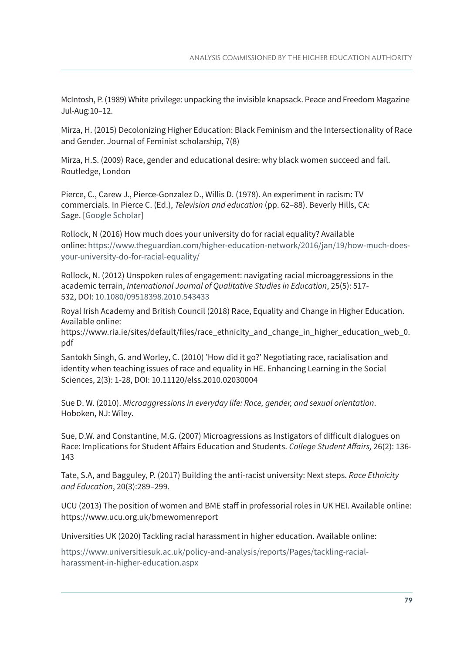McIntosh, P. (1989) White privilege: unpacking the invisible knapsack. Peace and Freedom Magazine Jul-Aug:10–12.

Mirza, H. (2015) Decolonizing Higher Education: Black Feminism and the Intersectionality of Race and Gender. Journal of Feminist scholarship, 7(8)

Mirza, H.S. (2009) Race, gender and educational desire: why black women succeed and fail. Routledge, London

Pierce, C., Carew J., Pierce-Gonzalez D., Willis D. (1978). An experiment in racism: TV commercials. In Pierce C. (Ed.), Television and education (pp. 62–88). Beverly Hills, CA: Sage. [\[Google Scholar\]](https://scholar.google.com/scholar_lookup?title=Television+and+education&author=C.+Pierce&author=J.+Carew&author=D.+Pierce-Gonzalez&author=D.+Willis&publication_year=1978&)

Rollock, N (2016) How much does your university do for racial equality? Available online: [https://www.theguardian.com/higher-education-network/2016/jan/19/how-much-does](https://www.theguardian.com/higher-education-network/2016/jan/19/how-much-does-your-university-do-for-racial-equality/)[your-university-do-for-racial-equality/](https://www.theguardian.com/higher-education-network/2016/jan/19/how-much-does-your-university-do-for-racial-equality/) 

Rollock, N. (2012) Unspoken rules of engagement: navigating racial microaggressions in the academic terrain, International Journal of Qualitative Studies in Education, 25(5): 517- 532, DOI: [10.1080/09518398.2010.543433](https://doi.org/10.1080/09518398.2010.543433)

Royal Irish Academy and British Council (2018) Race, Equality and Change in Higher Education. Available online:

[https://www.ria.ie/sites/default/files/race\\_ethnicity\\_and\\_change\\_in\\_higher\\_education\\_web\\_0.](https://www.ria.ie/sites/default/files/race_ethnicity_and_change_in_higher_education_web_0.pdf) [pdf](https://www.ria.ie/sites/default/files/race_ethnicity_and_change_in_higher_education_web_0.pdf) 

Santokh Singh, G. and Worley, C. (2010) 'How did it go?' Negotiating race, racialisation and identity when teaching issues of race and equality in HE. Enhancing Learning in the Social Sciences, 2(3): 1-28, DOI: 10.11120/elss.2010.02030004

Sue D. W. (2010). Microaggressions in everyday life: Race, gender, and sexual orientation. Hoboken, NJ: Wiley.

Sue, D.W. and Constantine, M.G. (2007) Microagressions as Instigators of difficult dialogues on Race: Implications for Student Affairs Education and Students. College Student Affairs, 26(2): 136- 143

Tate, S.A, and Bagguley, P. (2017) Building the anti-racist university: Next steps. Race Ethnicity and Education, 20(3):289–299.

UCU (2013) The position of women and BME staff in professorial roles in UK HEI. Available online: <https://www.ucu.org.uk/bmewomenreport>

Universities UK (2020) Tackling racial harassment in higher education. Available online:

[https://www.universitiesuk.ac.uk/policy-and-analysis/reports/Pages/tackling-racial](https://www.universitiesuk.ac.uk/policy-and-analysis/reports/Pages/tackling-racial-harassment-in-higher-education.aspx)[harassment-in-higher-education.aspx](https://www.universitiesuk.ac.uk/policy-and-analysis/reports/Pages/tackling-racial-harassment-in-higher-education.aspx)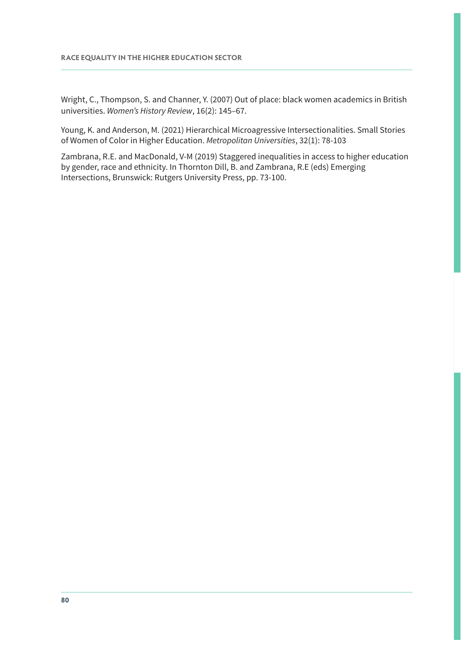Wright, C., Thompson, S. and Channer, Y. (2007) Out of place: black women academics in British universities. Women's History Review, 16(2): 145–67.

Young, K. and Anderson, M. (2021) Hierarchical Microagressive Intersectionalities. Small Stories of Women of Color in Higher Education. Metropolitan Universities, 32(1): 78-103

Zambrana, R.E. and MacDonald, V-M (2019) Staggered inequalities in access to higher education by gender, race and ethnicity. In Thornton Dill, B. and Zambrana, R.E (eds) Emerging Intersections, Brunswick: Rutgers University Press, pp. 73-100.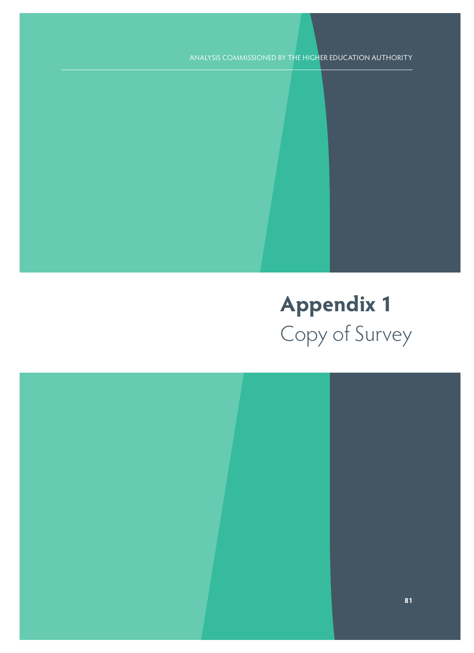ANALYSIS COMMISSIONED BY THE HIGHER EDUCATION AUTHORITY

## **Appendix 1** Copy of Survey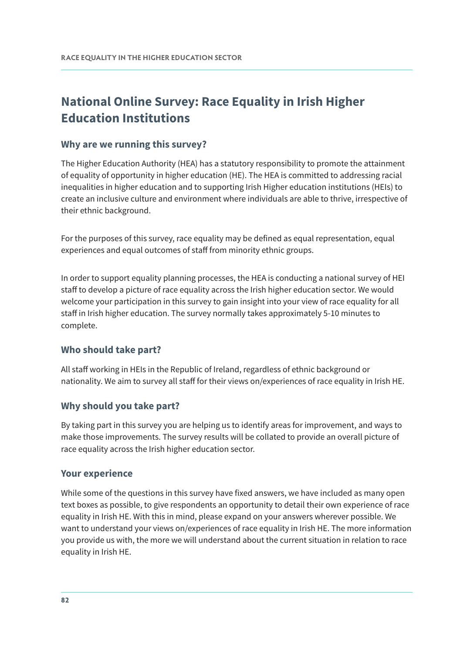### **National Online Survey: Race Equality in Irish Higher Education Institutions**

#### **Why are we running this survey?**

The Higher Education Authority (HEA) has a statutory responsibility to promote the attainment of equality of opportunity in higher education (HE). The HEA is committed to addressing racial inequalities in higher education and to supporting Irish Higher education institutions (HEIs) to create an inclusive culture and environment where individuals are able to thrive, irrespective of their ethnic background.

For the purposes of this survey, race equality may be defined as equal representation, equal experiences and equal outcomes of staff from minority ethnic groups.

In order to support equality planning processes, the HEA is conducting a national survey of HEI staff to develop a picture of race equality across the Irish higher education sector. We would welcome your participation in this survey to gain insight into your view of race equality for all staff in Irish higher education. The survey normally takes approximately 5-10 minutes to complete.

#### **Who should take part?**

All staff working in HEIs in the Republic of Ireland, regardless of ethnic background or nationality. We aim to survey all staff for their views on/experiences of race equality in Irish HE.

#### **Why should you take part?**

By taking part in this survey you are helping us to identify areas for improvement, and ways to make those improvements. The survey results will be collated to provide an overall picture of race equality across the Irish higher education sector.

#### **Your experience**

While some of the questions in this survey have fixed answers, we have included as many open text boxes as possible, to give respondents an opportunity to detail their own experience of race equality in Irish HE. With this in mind, please expand on your answers wherever possible. We want to understand your views on/experiences of race equality in Irish HE. The more information you provide us with, the more we will understand about the current situation in relation to race equality in Irish HE.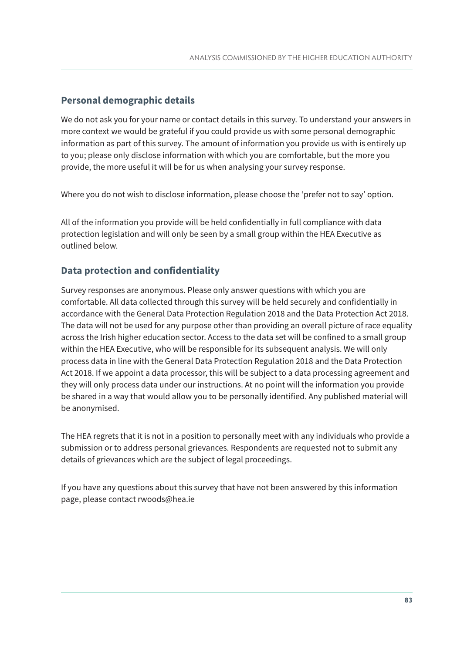#### **Personal demographic details**

We do not ask you for your name or contact details in this survey. To understand your answers in more context we would be grateful if you could provide us with some personal demographic information as part of this survey. The amount of information you provide us with is entirely up to you; please only disclose information with which you are comfortable, but the more you provide, the more useful it will be for us when analysing your survey response.

Where you do not wish to disclose information, please choose the 'prefer not to say' option.

All of the information you provide will be held confidentially in full compliance with data protection legislation and will only be seen by a small group within the HEA Executive as outlined below.

#### **Data protection and confidentiality**

Survey responses are anonymous. Please only answer questions with which you are comfortable. All data collected through this survey will be held securely and confidentially in accordance with the General Data Protection Regulation 2018 and the Data Protection Act 2018. The data will not be used for any purpose other than providing an overall picture of race equality across the Irish higher education sector. Access to the data set will be confined to a small group within the HEA Executive, who will be responsible for its subsequent analysis. We will only process data in line with the General Data Protection Regulation 2018 and the Data Protection Act 2018. If we appoint a data processor, this will be subject to a data processing agreement and they will only process data under our instructions. At no point will the information you provide be shared in a way that would allow you to be personally identified. Any published material will be anonymised.

The HEA regrets that it is not in a position to personally meet with any individuals who provide a submission or to address personal grievances. Respondents are requested not to submit any details of grievances which are the subject of legal proceedings.

If you have any questions about this survey that have not been answered by this information page, please contact rwoods@hea.ie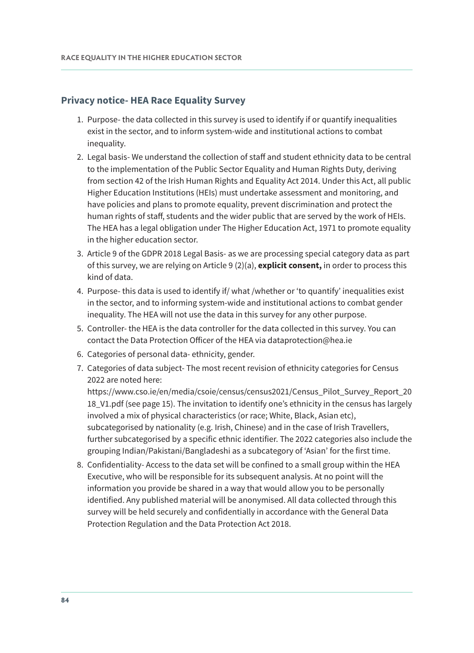#### **Privacy notice- HEA Race Equality Survey**

- 1. Purpose- the data collected in this survey is used to identify if or quantify inequalities exist in the sector, and to inform system-wide and institutional actions to combat inequality.
- 2. Legal basis- We understand the collection of staff and student ethnicity data to be central to the implementation of the Public Sector Equality and Human Rights Duty, deriving from section 42 of the Irish Human Rights and Equality Act 2014. Under this Act, all public Higher Education Institutions (HEIs) must undertake assessment and monitoring, and have policies and plans to promote equality, prevent discrimination and protect the human rights of staff, students and the wider public that are served by the work of HEIs. The HEA has a legal obligation under The Higher Education Act, 1971 to promote equality in the higher education sector.
- 3. Article 9 of the GDPR 2018 Legal Basis- as we are processing special category data as part of this survey, we are relying on Article 9 (2)(a), **explicit consent,** in order to process this kind of data.
- 4. Purpose- this data is used to identify if/ what /whether or 'to quantify' inequalities exist in the sector, and to informing system-wide and institutional actions to combat gender inequality. The HEA will not use the data in this survey for any other purpose.
- 5. Controller- the HEA is the data controller for the data collected in this survey. You can contact the Data Protection Officer of the HEA via [dataprotection@hea.ie](mailto:dataprotection@hea.ie)
- 6. Categories of personal data- ethnicity, gender.
- 7. Categories of data subject- The most recent revision of ethnicity categories for Census 2022 are noted here:

[https://www.cso.ie/en/media/csoie/census/census2021/Census\\_Pilot\\_Survey\\_Report\\_20](https://www.cso.ie/en/media/csoie/census/census2021/Census_Pilot_Survey_Report_2018_V1.pdf) [18\\_V1.pdf](https://www.cso.ie/en/media/csoie/census/census2021/Census_Pilot_Survey_Report_2018_V1.pdf) (see page 15). The invitation to identify one's ethnicity in the census has largely involved a mix of physical characteristics (or race; White, Black, Asian etc), subcategorised by nationality (e.g. Irish, Chinese) and in the case of Irish Travellers, further subcategorised by a specific ethnic identifier. The 2022 categories also include the grouping Indian/Pakistani/Bangladeshi as a subcategory of 'Asian' for the first time.

8. Confidentiality- Access to the data set will be confined to a small group within the HEA Executive, who will be responsible for its subsequent analysis. At no point will the information you provide be shared in a way that would allow you to be personally identified. Any published material will be anonymised. All data collected through this survey will be held securely and confidentially in accordance with the General Data Protection Regulation and the Data Protection Act 2018.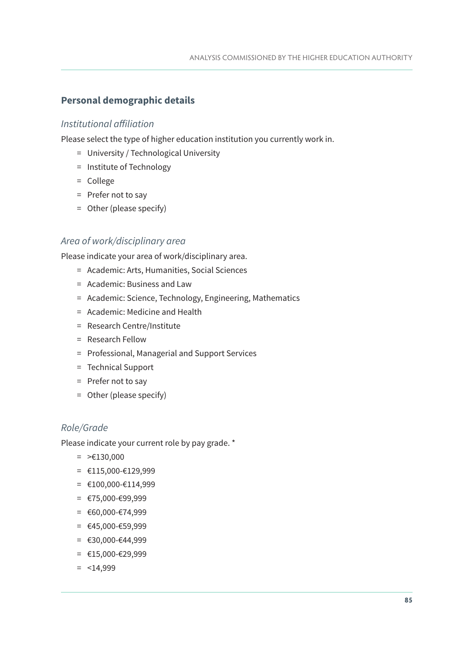#### **Personal demographic details**

#### Institutional affiliation

Please select the type of higher education institution you currently work in.

- = University / Technological University
- = Institute of Technology
- = College
- = Prefer not to say
- = Other (please specify)

#### Area of work/disciplinary area

Please indicate your area of work/disciplinary area.

- = Academic: Arts, Humanities, Social Sciences
- = Academic: Business and Law
- = Academic: Science, Technology, Engineering, Mathematics
- = Academic: Medicine and Health
- = Research Centre/Institute
- = Research Fellow
- = Professional, Managerial and Support Services
- = Technical Support
- = Prefer not to say
- = Other (please specify)

#### Role/Grade

Please indicate your current role by pay grade. \*

- $=$  >  $\epsilon$ 130,000
- $=$  €115,000-€129,999
- $=$  €100,000-€114,999
- $=$  €75,000-€99,999
- $=$  €60,000-€74,999
- = €45,000-€59,999
- $=$  €30,000-€44,999
- $=$  €15,000-€29,999
- $=$   $<$ 14,999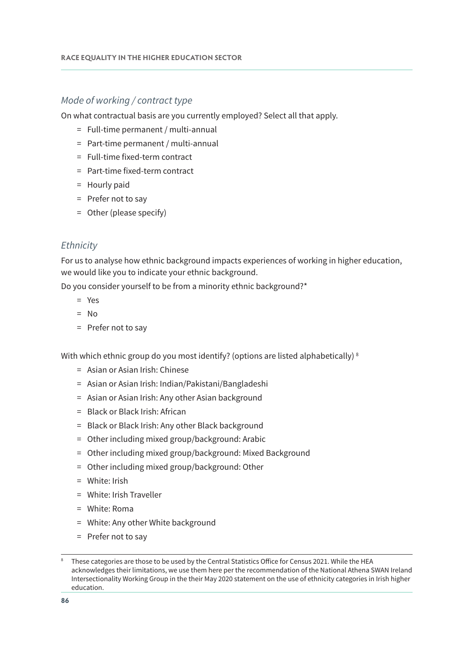#### Mode of working / contract type

On what contractual basis are you currently employed? Select all that apply.

- = Full-time permanent / multi-annual
- = Part-time permanent / multi-annual
- = Full-time fixed-term contract
- = Part-time fixed-term contract
- = Hourly paid
- = Prefer not to say
- = Other (please specify)

#### **Ethnicity**

For us to analyse how ethnic background impacts experiences of working in higher education, we would like you to indicate your ethnic background.

Do you consider yourself to be from a minority ethnic background?\*

- = Yes
- $=$  No
- = Prefer not to say

With which ethnic group do you most identify? (options are listed alphabetically)<sup>8</sup>

- = Asian or Asian Irish: Chinese
- = Asian or Asian Irish: Indian/Pakistani/Bangladeshi
- = Asian or Asian Irish: Any other Asian background
- = Black or Black Irish: African
- = Black or Black Irish: Any other Black background
- = Other including mixed group/background: Arabic
- = Other including mixed group/background: Mixed Background
- = Other including mixed group/background: Other
- = White: Irish
- = White: Irish Traveller
- = White: Roma
- = White: Any other White background
- = Prefer not to say

These categories are those to be used by the Central Statistics Office for Census 2021. While the HEA acknowledges their limitations, we use them here per the recommendation of the National Athena SWAN Ireland Intersectionality Working Group in the their May 2020 [statement](https://hea.ie/assets/uploads/2020/07/Intersectionality-WG-Statement-on-Ethnicity-Categories-in-Irish-HE.pdf) on the use of ethnicity categories in Irish higher education.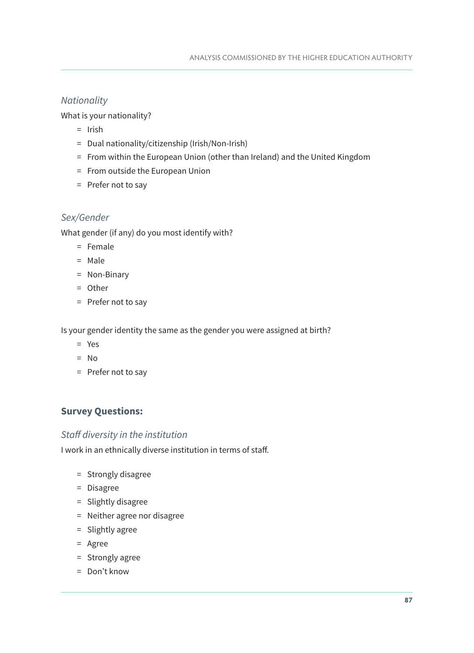#### **Nationality**

What is your nationality?

- = Irish
- = Dual nationality/citizenship (Irish/Non-Irish)
- = From within the European Union (other than Ireland) and the United Kingdom
- = From outside the European Union
- = Prefer not to say

#### Sex/Gender

What gender (if any) do you most identify with?

- = Female
- = Male
- = Non-Binary
- = Other
- = Prefer not to say

Is your gender identity the same as the gender you were assigned at birth?

- = Yes
- $=$  No
- = Prefer not to say

#### **Survey Questions:**

#### Staff diversity in the institution

I work in an ethnically diverse institution in terms of staff.

- = Strongly disagree
- = Disagree
- = Slightly disagree
- = Neither agree nor disagree
- = Slightly agree
- = Agree
- = Strongly agree
- = Don't know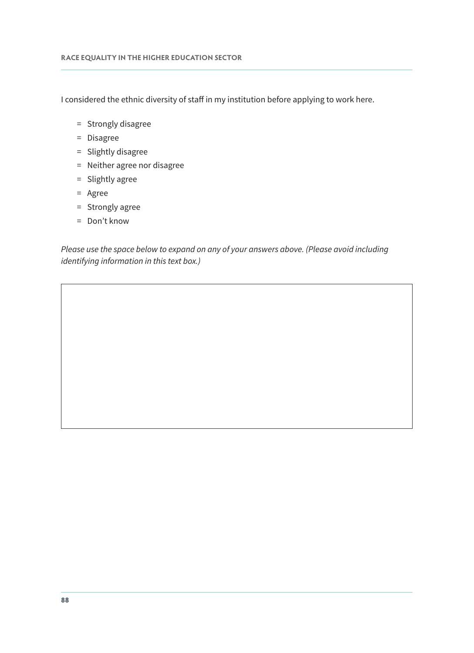I considered the ethnic diversity of staff in my institution before applying to work here.

- = Strongly disagree
- = Disagree
- = Slightly disagree
- = Neither agree nor disagree
- = Slightly agree
- = Agree
- = Strongly agree
- = Don't know

Please use the space below to expand on any of your answers above. (Please avoid including identifying information in this text box.)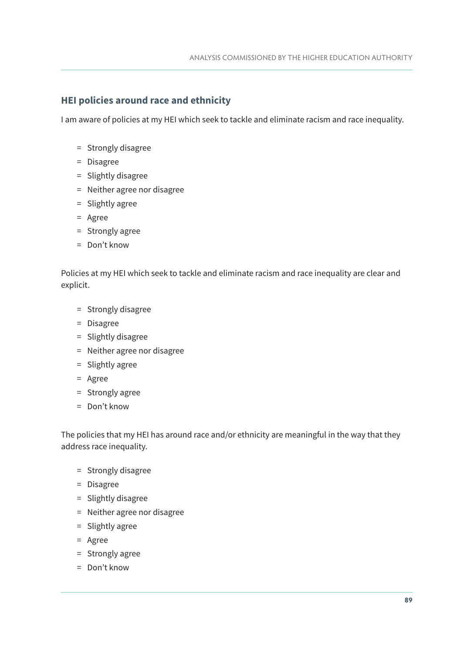#### **HEI policies around race and ethnicity**

I am aware of policies at my HEI which seek to tackle and eliminate racism and race inequality.

- = Strongly disagree
- = Disagree
- = Slightly disagree
- = Neither agree nor disagree
- = Slightly agree
- = Agree
- = Strongly agree
- = Don't know

Policies at my HEI which seek to tackle and eliminate racism and race inequality are clear and explicit.

- = Strongly disagree
- = Disagree
- = Slightly disagree
- = Neither agree nor disagree
- = Slightly agree
- = Agree
- = Strongly agree
- = Don't know

The policies that my HEI has around race and/or ethnicity are meaningful in the way that they address race inequality.

- = Strongly disagree
- = Disagree
- = Slightly disagree
- = Neither agree nor disagree
- = Slightly agree
- = Agree
- = Strongly agree
- = Don't know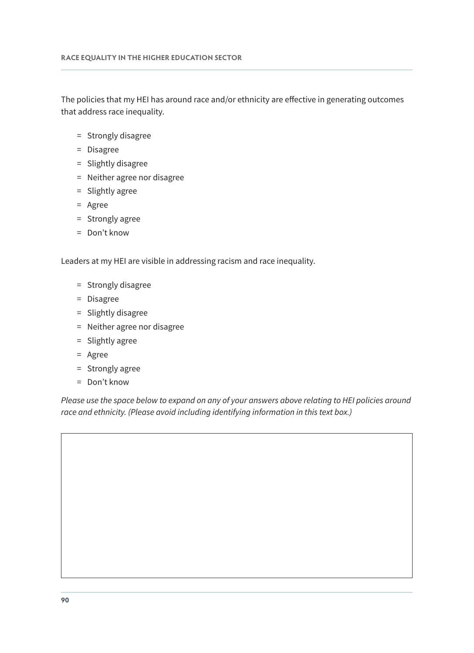The policies that my HEI has around race and/or ethnicity are effective in generating outcomes that address race inequality.

- = Strongly disagree
- = Disagree
- = Slightly disagree
- = Neither agree nor disagree
- = Slightly agree
- = Agree
- = Strongly agree
- = Don't know

Leaders at my HEI are visible in addressing racism and race inequality.

- = Strongly disagree
- = Disagree
- = Slightly disagree
- = Neither agree nor disagree
- = Slightly agree
- = Agree
- = Strongly agree
- = Don't know

Please use the space below to expand on any of your answers above relating to HEI policies around race and ethnicity. (Please avoid including identifying information in this text box.)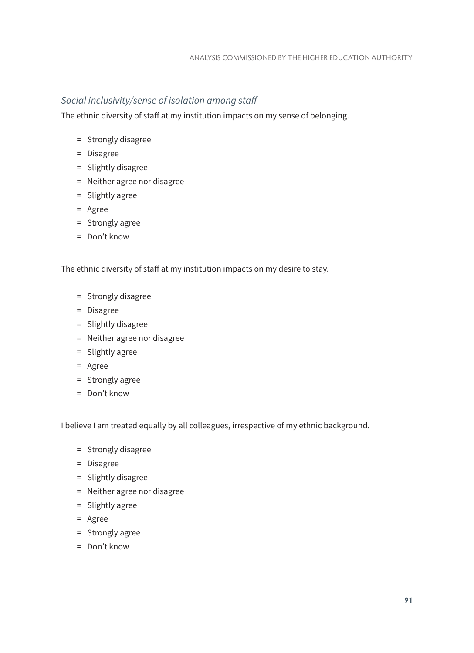#### Social inclusivity/sense of isolation among staff

The ethnic diversity of staff at my institution impacts on my sense of belonging.

- = Strongly disagree
- = Disagree
- = Slightly disagree
- = Neither agree nor disagree
- = Slightly agree
- = Agree
- = Strongly agree
- = Don't know

The ethnic diversity of staff at my institution impacts on my desire to stay.

- = Strongly disagree
- = Disagree
- = Slightly disagree
- = Neither agree nor disagree
- = Slightly agree
- = Agree
- = Strongly agree
- = Don't know

I believe I am treated equally by all colleagues, irrespective of my ethnic background.

- = Strongly disagree
- = Disagree
- = Slightly disagree
- = Neither agree nor disagree
- = Slightly agree
- = Agree
- = Strongly agree
- = Don't know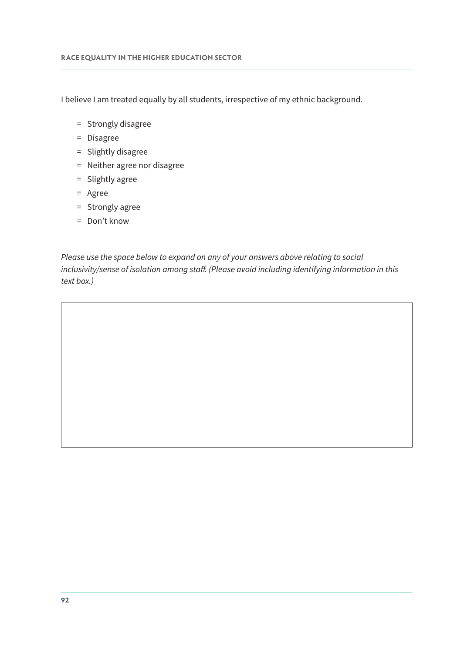I believe I am treated equally by all students, irrespective of my ethnic background.

- = Strongly disagree
- = Disagree
- = Slightly disagree
- = Neither agree nor disagree
- = Slightly agree
- = Agree
- = Strongly agree
- = Don't know

Please use the space below to expand on any of your answers above relating to social inclusivity/sense of isolation among staff. (Please avoid including identifying information in this text box.)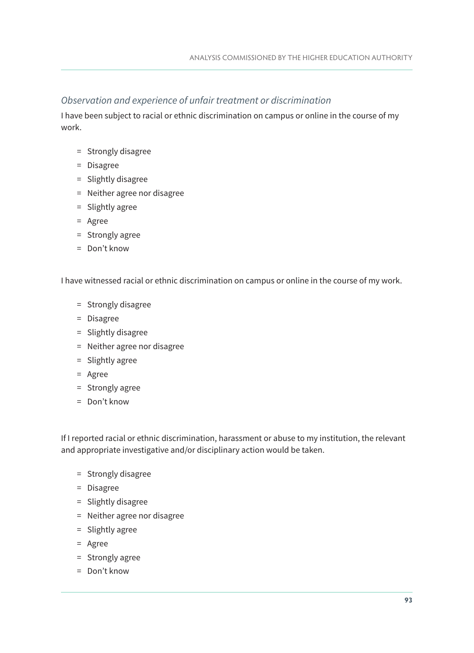#### Observation and experience of unfair treatment or discrimination

I have been subject to racial or ethnic discrimination on campus or online in the course of my work.

- = Strongly disagree
- = Disagree
- = Slightly disagree
- = Neither agree nor disagree
- = Slightly agree
- = Agree
- = Strongly agree
- = Don't know

I have witnessed racial or ethnic discrimination on campus or online in the course of my work.

- = Strongly disagree
- = Disagree
- = Slightly disagree
- = Neither agree nor disagree
- = Slightly agree
- = Agree
- = Strongly agree
- = Don't know

If I reported racial or ethnic discrimination, harassment or abuse to my institution, the relevant and appropriate investigative and/or disciplinary action would be taken.

- = Strongly disagree
- = Disagree
- = Slightly disagree
- = Neither agree nor disagree
- = Slightly agree
- = Agree
- = Strongly agree
- = Don't know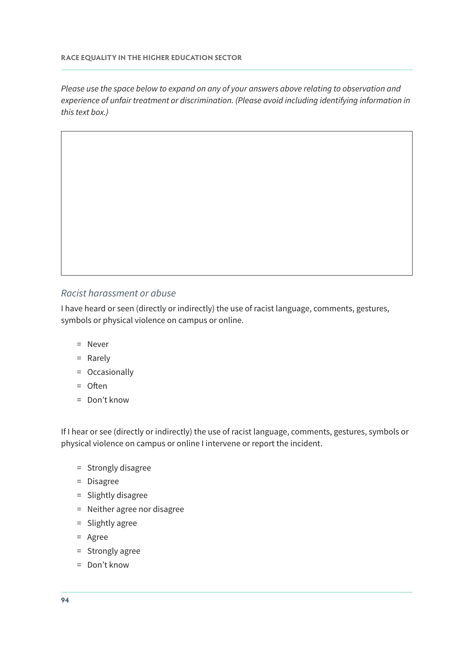Please use the space below to expand on any of your answers above relating to observation and experience of unfair treatment or discrimination. (Please avoid including identifying information in this text box.)

#### Racist harassment or abuse

I have heard or seen (directly or indirectly) the use of racist language, comments, gestures, symbols or physical violence on campus or online.

- = Never
- = Rarely
- = Occasionally
- = Often
- = Don't know

If I hear or see (directly or indirectly) the use of racist language, comments, gestures, symbols or physical violence on campus or online I intervene or report the incident.

- = Strongly disagree
- = Disagree
- = Slightly disagree
- = Neither agree nor disagree
- = Slightly agree
- = Agree
- = Strongly agree
- = Don't know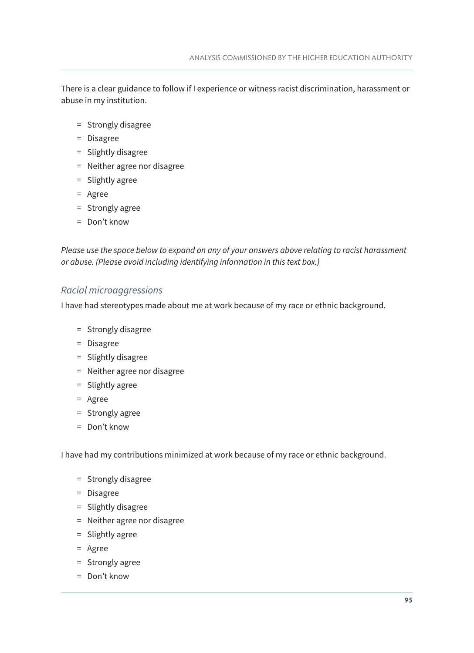There is a clear guidance to follow if I experience or witness racist discrimination, harassment or abuse in my institution.

- = Strongly disagree
- = Disagree
- = Slightly disagree
- = Neither agree nor disagree
- = Slightly agree
- = Agree
- = Strongly agree
- = Don't know

Please use the space below to expand on any of your answers above relating to racist harassment or abuse. (Please avoid including identifying information in this text box.)

#### Racial microaggressions

I have had stereotypes made about me at work because of my race or ethnic background.

- = Strongly disagree
- = Disagree
- = Slightly disagree
- = Neither agree nor disagree
- = Slightly agree
- = Agree
- = Strongly agree
- = Don't know

I have had my contributions minimized at work because of my race or ethnic background.

- = Strongly disagree
- = Disagree
- = Slightly disagree
- = Neither agree nor disagree
- = Slightly agree
- = Agree
- = Strongly agree
- = Don't know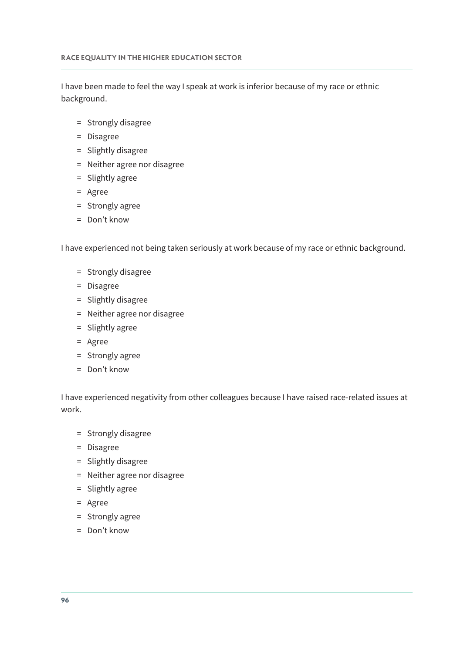I have been made to feel the way I speak at work is inferior because of my race or ethnic background.

- = Strongly disagree
- = Disagree
- = Slightly disagree
- = Neither agree nor disagree
- = Slightly agree
- = Agree
- = Strongly agree
- = Don't know

I have experienced not being taken seriously at work because of my race or ethnic background.

- = Strongly disagree
- = Disagree
- = Slightly disagree
- = Neither agree nor disagree
- = Slightly agree
- = Agree
- = Strongly agree
- = Don't know

I have experienced negativity from other colleagues because I have raised race-related issues at work.

- = Strongly disagree
- = Disagree
- = Slightly disagree
- = Neither agree nor disagree
- = Slightly agree
- = Agree
- = Strongly agree
- = Don't know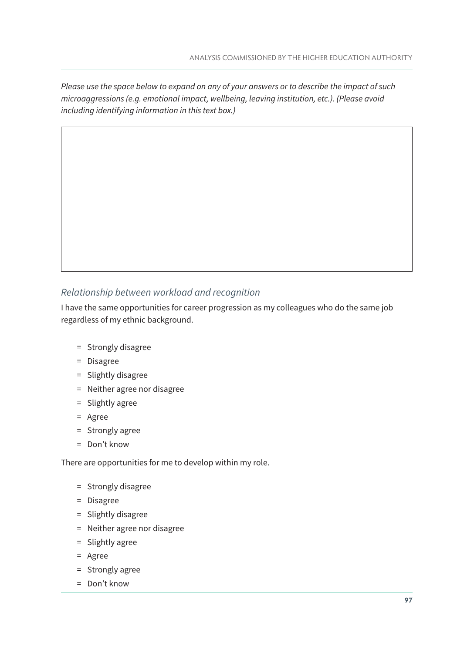Please use the space below to expand on any of your answers or to describe the impact of such microaggressions (e.g. emotional impact, wellbeing, leaving institution, etc.). (Please avoid including identifying information in this text box.)

#### Relationship between workload and recognition

I have the same opportunities for career progression as my colleagues who do the same job regardless of my ethnic background.

- = Strongly disagree
- = Disagree
- = Slightly disagree
- = Neither agree nor disagree
- = Slightly agree
- = Agree
- = Strongly agree
- = Don't know

There are opportunities for me to develop within my role.

- = Strongly disagree
- = Disagree
- = Slightly disagree
- = Neither agree nor disagree
- = Slightly agree
- = Agree
- = Strongly agree
- = Don't know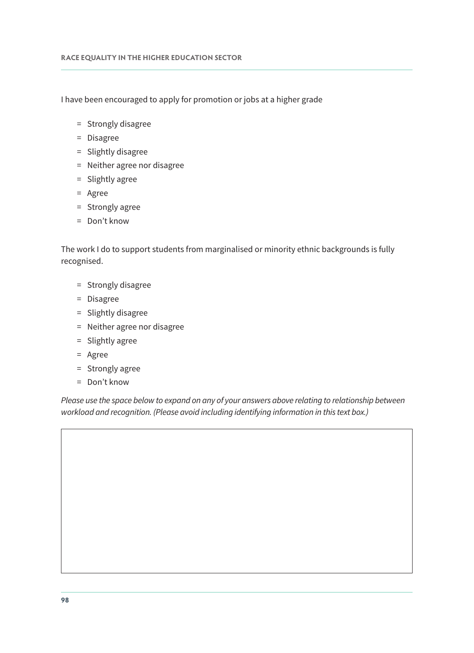I have been encouraged to apply for promotion or jobs at a higher grade

- = Strongly disagree
- = Disagree
- = Slightly disagree
- = Neither agree nor disagree
- = Slightly agree
- = Agree
- = Strongly agree
- = Don't know

The work I do to support students from marginalised or minority ethnic backgrounds is fully recognised.

- = Strongly disagree
- = Disagree
- = Slightly disagree
- = Neither agree nor disagree
- = Slightly agree
- = Agree
- = Strongly agree
- = Don't know

Please use the space below to expand on any of your answers above relating to relationship between workload and recognition. (Please avoid including identifying information in this text box.)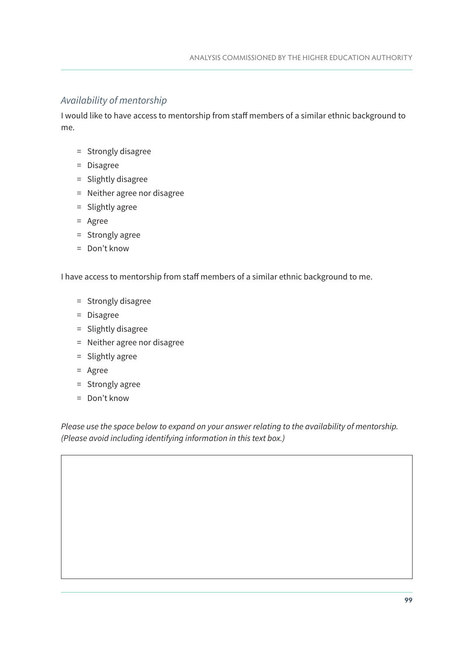#### Availability of mentorship

I would like to have access to mentorship from staff members of a similar ethnic background to me.

- = Strongly disagree
- = Disagree
- = Slightly disagree
- = Neither agree nor disagree
- = Slightly agree
- = Agree
- = Strongly agree
- = Don't know

I have access to mentorship from staff members of a similar ethnic background to me.

- = Strongly disagree
- = Disagree
- = Slightly disagree
- = Neither agree nor disagree
- = Slightly agree
- = Agree
- = Strongly agree
- = Don't know

Please use the space below to expand on your answer relating to the availability of mentorship. (Please avoid including identifying information in this text box.)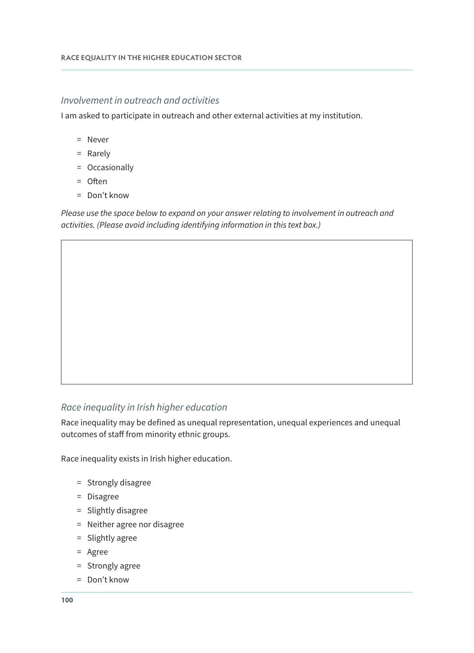#### Involvement in outreach and activities

I am asked to participate in outreach and other external activities at my institution.

- = Never
- = Rarely
- = Occasionally
- = Often
- = Don't know

Please use the space below to expand on your answer relating to involvement in outreach and activities. (Please avoid including identifying information in this text box.)

#### Race inequality in Irish higher education

Race inequality may be defined as unequal representation, unequal experiences and unequal outcomes of staff from minority ethnic groups.

Race inequality exists in Irish higher education.

- = Strongly disagree
- = Disagree
- = Slightly disagree
- = Neither agree nor disagree
- = Slightly agree
- = Agree
- = Strongly agree
- = Don't know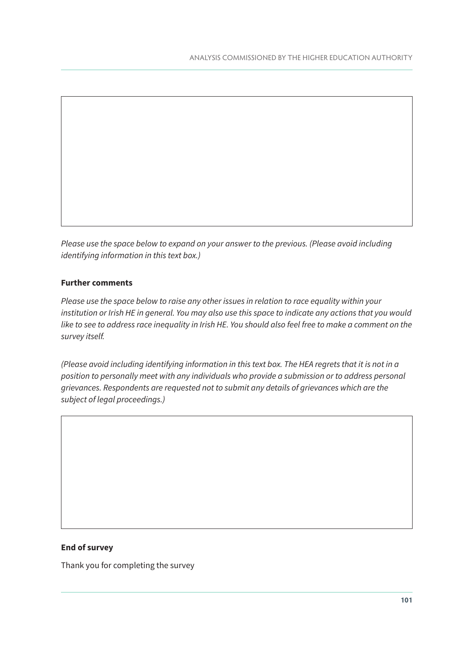Please use the space below to expand on your answer to the previous. (Please avoid including identifying information in this text box.)

#### **Further comments**

Please use the space below to raise any other issues in relation to race equality within your institution or Irish HE in general. You may also use this space to indicate any actions that you would like to see to address race inequality in Irish HE. You should also feel free to make a comment on the survey itself.

(Please avoid including identifying information in this text box. The HEA regrets that it is not in a position to personally meet with any individuals who provide a submission or to address personal grievances. Respondents are requested not to submit any details of grievances which are the subject of legal proceedings.)

#### **End of survey**

Thank you for completing the survey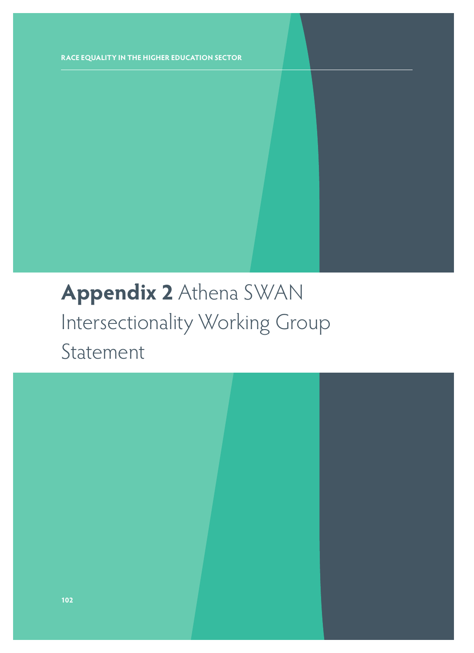## **Appendix 2** Athena SWAN Intersectionality Working Group Statement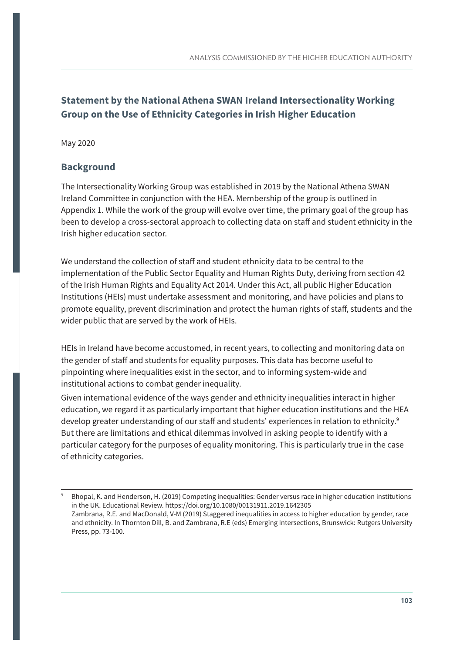#### **Statement by the National Athena SWAN Ireland Intersectionality Working Group on the Use of Ethnicity Categories in Irish Higher Education**

May 2020

#### **Background**

The Intersectionality Working Group was established in 2019 by the National Athena SWAN Ireland Committee in conjunction with the HEA. Membership of the group is outlined in Appendix 1. While the work of the group will evolve over time, the primary goal of the group has been to develop a cross-sectoral approach to collecting data on staff and student ethnicity in the Irish higher education sector.

We understand the collection of staff and student ethnicity data to be central to the implementation of the Public Sector Equality and Human Rights Duty, deriving from section 42 of the [Irish Human Rights and Equality Act 2014.](http://www.ihrec.ie/download/pdf/ihrec_act_2014.pdf) Under this Act, all public Higher Education Institutions (HEIs) must undertake assessment and monitoring, and have policies and plans to promote equality, prevent discrimination and protect the human rights of staff, students and the wider public that are served by the work of HEIs.

HEIs in Ireland have become accustomed, in recent years, to collecting and monitoring data on the gender of staff and students for equality purposes. This data has become useful to pinpointing where inequalities exist in the sector, and to informing system-wide and institutional actions to combat gender inequality.

Given international evidence of the ways gender and ethnicity inequalities interact in higher education, we regard it as particularly important that higher education institutions and the HEA develop greater understanding of our staff and students' experiences in relation to ethnicity.9 But there are limitations and ethical dilemmas involved in asking people to identify with a particular category for the purposes of equality monitoring. This is particularly true in the case of ethnicity categories.

<sup>9</sup> Bhopal, K. and Henderson, H. (2019) Competing inequalities: Gender versus race in higher education institutions in the UK. Educational Review.<https://doi.org/10.1080/00131911.2019.1642305> Zambrana, R.E. and MacDonald, V-M (2019) Staggered inequalities in access to higher education by gender, race and ethnicity. In Thornton Dill, B. and Zambrana, R.E (eds) Emerging Intersections, Brunswick: Rutgers University Press, pp. 73-100.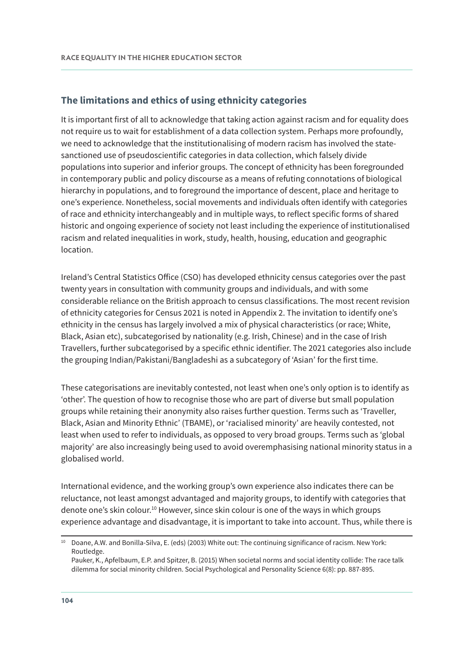#### **The limitations and ethics of using ethnicity categories**

It is important first of all to acknowledge that taking action against racism and for equality does not require us to wait for establishment of a data collection system. Perhaps more profoundly, we need to acknowledge that the institutionalising of modern racism has involved the statesanctioned use of pseudoscientific categories in data collection, which falsely divide populations into superior and inferior groups. The concept of ethnicity has been foregrounded in contemporary public and policy discourse as a means of refuting connotations of biological hierarchy in populations, and to foreground the importance of descent, place and heritage to one's experience. Nonetheless, social movements and individuals often identify with categories of race and ethnicity interchangeably and in multiple ways, to reflect specific forms of shared historic and ongoing experience of society not least including the experience of institutionalised racism and related inequalities in work, study, health, housing, education and geographic location.

Ireland's Central Statistics Office (CSO) has developed ethnicity census categories over the past twenty years in consultation with community groups and individuals, and with some considerable reliance on the British approach to census classifications. The most recent revision of ethnicity categories for Census 2021 is noted in Appendix 2. The invitation to identify one's ethnicity in the census has largely involved a mix of physical characteristics (or race; White, Black, Asian etc), subcategorised by nationality (e.g. Irish, Chinese) and in the case of Irish Travellers, further subcategorised by a specific ethnic identifier. The 2021 categories also include the grouping Indian/Pakistani/Bangladeshi as a subcategory of 'Asian' for the first time.

These categorisations are inevitably contested, not least when one's only option is to identify as 'other'. The question of how to recognise those who are part of diverse but small population groups while retaining their anonymity also raises further question. Terms such as 'Traveller, Black, Asian and Minority Ethnic' (TBAME), or 'racialised minority' are heavily contested, not least when used to refer to individuals, as opposed to very broad groups. Terms such as 'global majority' are also increasingly being used to avoid overemphasising national minority status in a globalised world.

International evidence, and the working group's own experience also indicates there can be reluctance, not least amongst advantaged and majority groups, to identify with categories that denote one's skin colour.10 However, since skin colour is one of the ways in which groups experience advantage and disadvantage, it is important to take into account. Thus, while there is

<sup>10</sup> Doane, A.W. and Bonilla-Silva, E. (eds) (2003) White out: The continuing significance of racism. New York: Routledge.

Pauker, K., Apfelbaum, E.P. and Spitzer, B. (2015) When societal norms and social identity collide: The race talk dilemma for social minority children. Social Psychological and Personality Science 6(8): pp. 887-895.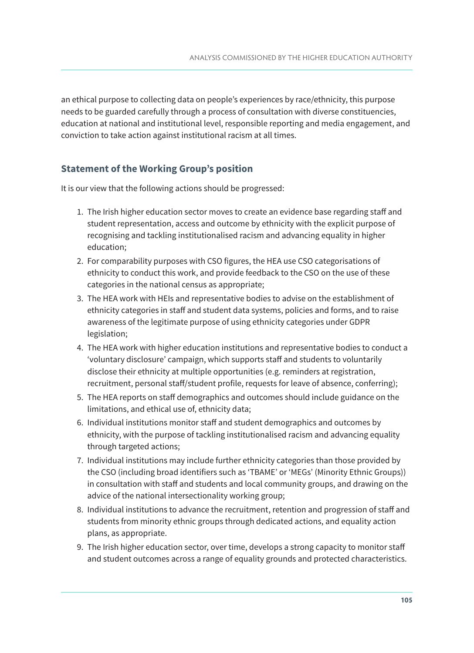an ethical purpose to collecting data on people's experiences by race/ethnicity, this purpose needs to be guarded carefully through a process of consultation with diverse constituencies, education at national and institutional level, responsible reporting and media engagement, and conviction to take action against institutional racism at all times.

#### **Statement of the Working Group's position**

It is our view that the following actions should be progressed:

- 1. The Irish higher education sector moves to create an evidence base regarding staff and student representation, access and outcome by ethnicity with the explicit purpose of recognising and tackling institutionalised racism and advancing equality in higher education;
- 2. For comparability purposes with CSO figures, the HEA use CSO categorisations of ethnicity to conduct this work, and provide feedback to the CSO on the use of these categories in the national census as appropriate;
- 3. The HEA work with HEIs and representative bodies to advise on the establishment of ethnicity categories in staff and student data systems, policies and forms, and to raise awareness of the legitimate purpose of using ethnicity categories under GDPR legislation;
- 4. The HEA work with higher education institutions and representative bodies to conduct a 'voluntary disclosure' campaign, which supports staff and students to voluntarily disclose their ethnicity at multiple opportunities (e.g. reminders at registration, recruitment, personal staff/student profile, requests for leave of absence, conferring);
- 5. The HEA reports on staff demographics and outcomes should include guidance on the limitations, and ethical use of, ethnicity data;
- 6. Individual institutions monitor staff and student demographics and outcomes by ethnicity, with the purpose of tackling institutionalised racism and advancing equality through targeted actions;
- 7. Individual institutions may include further ethnicity categories than those provided by the CSO (including broad identifiers such as 'TBAME' or 'MEGs' (Minority Ethnic Groups)) in consultation with staff and students and local community groups, and drawing on the advice of the national intersectionality working group;
- 8. Individual institutions to advance the recruitment, retention and progression of staff and students from minority ethnic groups through dedicated actions, and equality action plans, as appropriate.
- 9. The Irish higher education sector, over time, develops a strong capacity to monitor staff and student outcomes across a range of equality grounds and protected characteristics.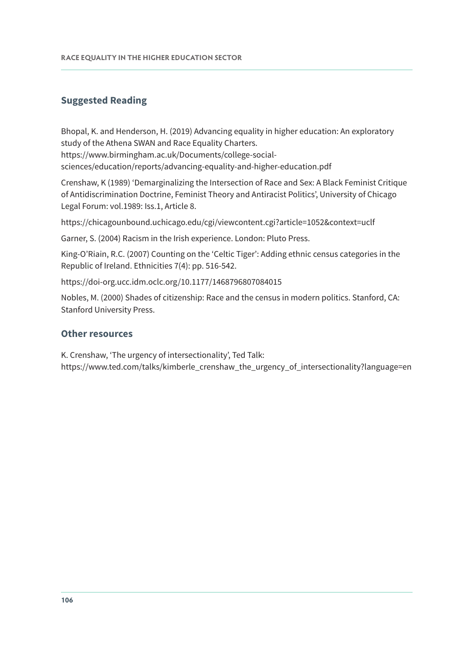#### **Suggested Reading**

Bhopal, K. and Henderson, H. (2019) Advancing equality in higher education: An exploratory study of the Athena SWAN and Race Equality Charters.

[https://www.birmingham.ac.uk/Documents/college-social-](https://www.birmingham.ac.uk/Documents/college-social-sciences/education/reports/advancing-equality-and-higher-education.pdf)

[sciences/education/reports/advancing-equality-and-higher-education.pdf](https://www.birmingham.ac.uk/Documents/college-social-sciences/education/reports/advancing-equality-and-higher-education.pdf) 

Crenshaw, K (1989) 'Demarginalizing the Intersection of Race and Sex: A Black Feminist Critique of Antidiscrimination Doctrine, Feminist Theory and Antiracist Politics', University of Chicago Legal Forum: vol.1989: Iss.1, Article 8.

<https://chicagounbound.uchicago.edu/cgi/viewcontent.cgi?article=1052&context=uclf>

Garner, S. (2004) Racism in the Irish experience. London: Pluto Press.

King-O'Riain, R.C. (2007) Counting on the 'Celtic Tiger': Adding ethnic census categories in the Republic of Ireland. Ethnicities 7(4): pp. 516-542.

[https://doi-org.ucc.idm.oclc.org/10.1177/1468796807084015](https://doi-org.ucc.idm.oclc.org/10.1177%2F1468796807084015) 

Nobles, M. (2000) Shades of citizenship: Race and the census in modern politics. Stanford, CA: Stanford University Press.

#### **Other resources**

K. Crenshaw, 'The urgency of intersectionality', Ted Talk:

[https://www.ted.com/talks/kimberle\\_crenshaw\\_the\\_urgency\\_of\\_intersectionality?language=en](https://www.ted.com/talks/kimberle_crenshaw_the_urgency_of_intersectionality?language=en)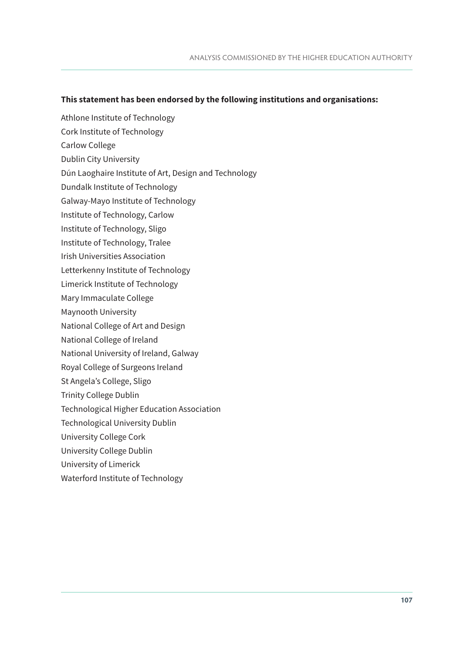#### **This statement has been endorsed by the following institutions and organisations:**

- Athlone Institute of Technology
- Cork Institute of Technology
- Carlow College
- Dublin City University
- Dún Laoghaire Institute of Art, Design and Technology
- Dundalk Institute of Technology
- Galway-Mayo Institute of Technology
- Institute of Technology, Carlow
- Institute of Technology, Sligo
- Institute of Technology, Tralee
- Irish Universities Association
- Letterkenny Institute of Technology
- Limerick Institute of Technology
- Mary Immaculate College
- Maynooth University
- National College of Art and Design
- National College of Ireland
- National University of Ireland, Galway
- Royal College of Surgeons Ireland
- St Angela's College, Sligo
- Trinity College Dublin
- Technological Higher Education Association
- Technological University Dublin
- University College Cork
- University College Dublin
- University of Limerick
- Waterford Institute of Technology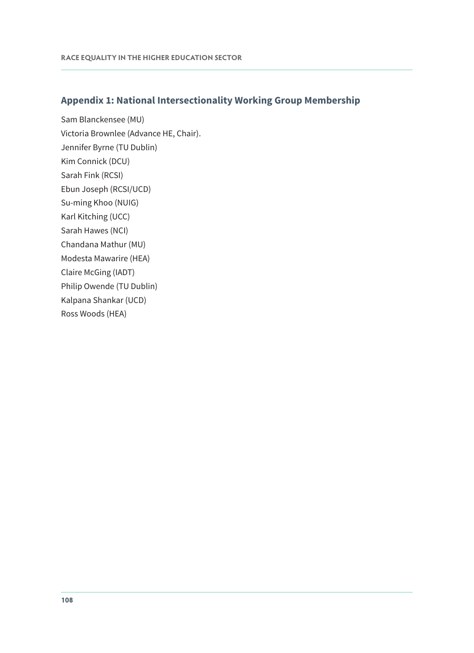#### **Appendix 1: National Intersectionality Working Group Membership**

Sam Blanckensee (MU) Victoria Brownlee (Advance HE, Chair). Jennifer Byrne (TU Dublin) Kim Connick (DCU) Sarah Fink (RCSI) Ebun Joseph (RCSI/UCD) Su-ming Khoo (NUIG) Karl Kitching (UCC) Sarah Hawes (NCI) Chandana Mathur (MU) Modesta Mawarire (HEA) Claire McGing (IADT) Philip Owende (TU Dublin) Kalpana Shankar (UCD) Ross Woods (HEA)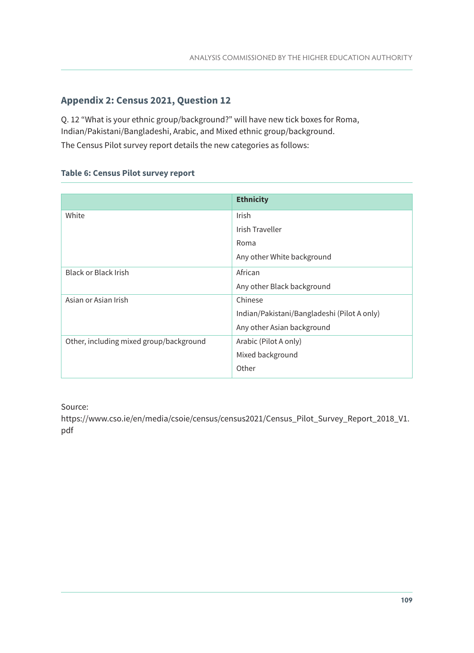## **Appendix 2: Census 2021, Question 12**

Q. 12 "What is your ethnic group/background?" will have new tick boxes for Roma, Indian/Pakistani/Bangladeshi, Arabic, and Mixed ethnic group/background. The Census Pilot survey report details the new categories as follows:

## **Table 6: Census Pilot survey report**

|                                         | <b>Ethnicity</b>                            |
|-----------------------------------------|---------------------------------------------|
| White                                   | Irish                                       |
|                                         | Irish Traveller                             |
|                                         | Roma                                        |
|                                         | Any other White background                  |
| <b>Black or Black Irish</b>             | African                                     |
|                                         | Any other Black background                  |
| Asian or Asian Irish                    | Chinese                                     |
|                                         | Indian/Pakistani/Bangladeshi (Pilot A only) |
|                                         | Any other Asian background                  |
| Other, including mixed group/background | Arabic (Pilot A only)                       |
|                                         | Mixed background                            |
|                                         | Other                                       |

## Source:

[https://www.cso.ie/en/media/csoie/census/census2021/Census\\_Pilot\\_Survey\\_Report\\_2018\\_V1.](https://www.cso.ie/en/media/csoie/census/census2021/Census_Pilot_Survey_Report_2018_V1.pdf) [pdf](https://www.cso.ie/en/media/csoie/census/census2021/Census_Pilot_Survey_Report_2018_V1.pdf)